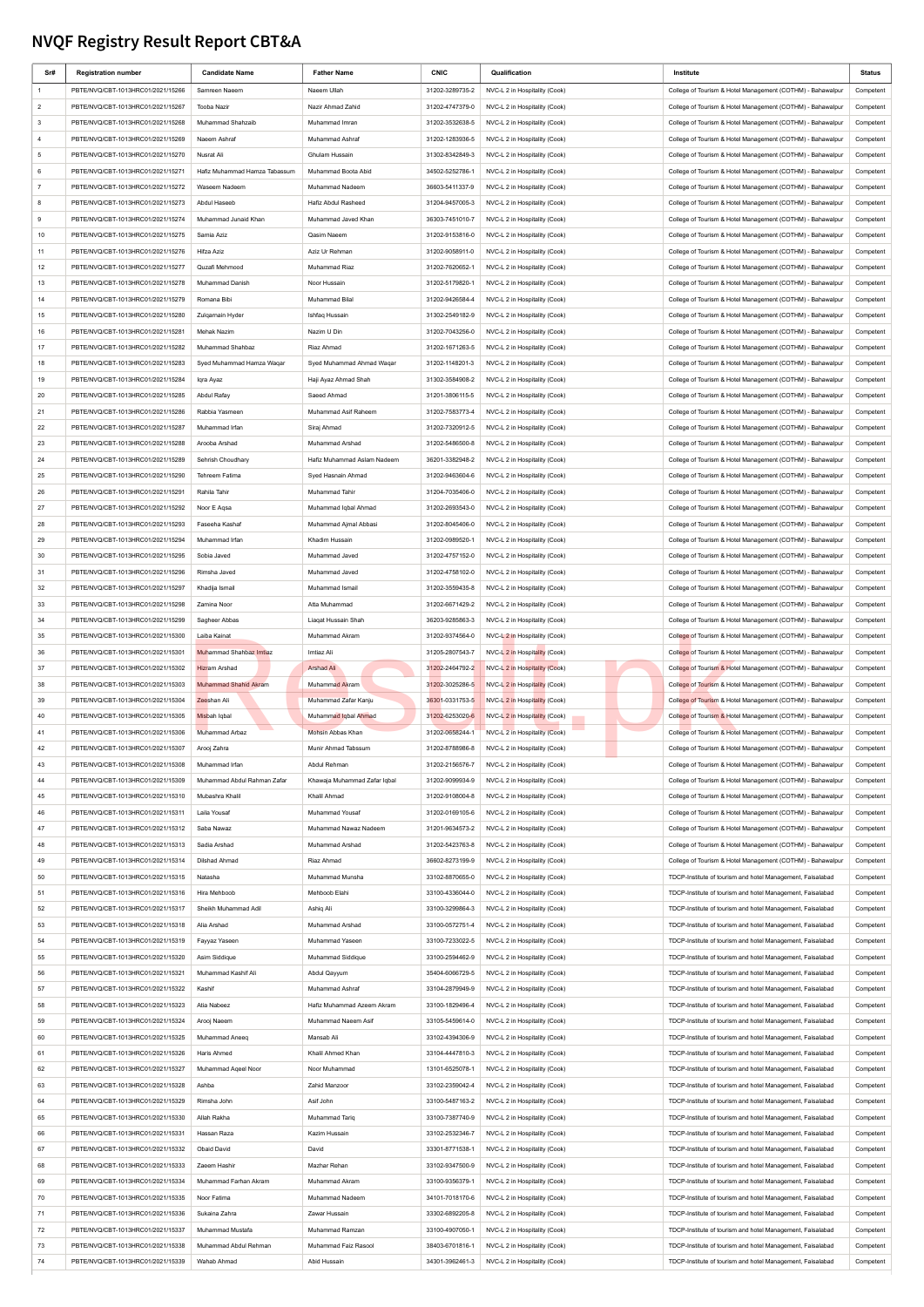## **NVQF Registry Result Report CBT&A**

| Sr#            | <b>Registration number</b>        | <b>Candidate Name</b>         | <b>Father Name</b>           | <b>CNIC</b>     | Qualification                 | Institute                                                  | Status    |
|----------------|-----------------------------------|-------------------------------|------------------------------|-----------------|-------------------------------|------------------------------------------------------------|-----------|
|                | PBTE/NVQ/CBT-1013HRC01/2021/15266 | Samreen Naeem                 | Naeem Ullah                  | 31202-3289735-2 | NVC-L 2 in Hospitality (Cook) | College of Tourism & Hotel Management (COTHM) - Bahawalpur | Competent |
| $\overline{2}$ | PBTE/NVQ/CBT-1013HRC01/2021/15267 | Tooba Nazir                   | Nazir Ahmad Zahid            | 31202-4747379-0 | NVC-L 2 in Hospitality (Cook) | College of Tourism & Hotel Management (COTHM) - Bahawalpur | Competent |
| 3              |                                   | Muhammad Shahzaib             |                              |                 |                               | College of Tourism & Hotel Management (COTHM) - Bahawalpur |           |
|                | PBTE/NVQ/CBT-1013HRC01/2021/15268 |                               | Muhammad Imran               | 31202-3532638-5 | NVC-L 2 in Hospitality (Cook) |                                                            | Competent |
| $\overline{a}$ | PBTE/NVQ/CBT-1013HRC01/2021/15269 | Naeem Ashraf                  | Muhammad Ashraf              | 31202-1283936-5 | NVC-L 2 in Hospitality (Cook) | College of Tourism & Hotel Management (COTHM) - Bahawalpur | Competent |
| 5              | PBTE/NVQ/CBT-1013HRC01/2021/15270 | Nusrat Ali                    | Ghulam Hussain               | 31302-8342849-3 | NVC-L 2 in Hospitality (Cook) | College of Tourism & Hotel Management (COTHM) - Bahawalpur | Competent |
| 6              | PBTE/NVQ/CBT-1013HRC01/2021/15271 | Hafiz Muhammad Hamza Tabassum | Muhammad Boota Abid          | 34502-5252786-1 | NVC-L 2 in Hospitality (Cook) | College of Tourism & Hotel Management (COTHM) - Bahawalpur | Competent |
| $\overline{7}$ | PBTE/NVQ/CBT-1013HRC01/2021/15272 | Waseem Nadeem                 | Muhammad Nadeem              | 36603-5411337-9 | NVC-L 2 in Hospitality (Cook) | College of Tourism & Hotel Management (COTHM) - Bahawalpur | Competent |
| 8              | PBTE/NVQ/CBT-1013HRC01/2021/15273 | Abdul Haseeb                  | Hafiz Abdul Rasheed          | 31204-9457005-3 | NVC-L 2 in Hospitality (Cook) | College of Tourism & Hotel Management (COTHM) - Bahawalpur | Competent |
| 9              | PBTE/NVQ/CBT-1013HRC01/2021/15274 | Muhammad Junaid Khan          | Muhammad Javed Khan          | 36303-7451010-7 | NVC-L 2 in Hospitality (Cook) | College of Tourism & Hotel Management (COTHM) - Bahawalpur | Competent |
| 10             | PBTE/NVQ/CBT-1013HRC01/2021/15275 | Samia Aziz                    | Qasim Naeem                  | 31202-9153816-0 | NVC-L 2 in Hospitality (Cook) | College of Tourism & Hotel Management (COTHM) - Bahawalpur | Competent |
|                |                                   |                               |                              |                 |                               |                                                            |           |
| 11             | PBTE/NVQ/CBT-1013HRC01/2021/15276 | Hifza Aziz                    | Aziz Ur Rehman               | 31202-9058911-0 | NVC-L 2 in Hospitality (Cook) | College of Tourism & Hotel Management (COTHM) - Bahawalpur | Competent |
| 12             | PBTE/NVQ/CBT-1013HRC01/2021/15277 | Quzafi Mehmood                | Muhammad Riaz                | 31202-7620652-1 | NVC-L 2 in Hospitality (Cook) | College of Tourism & Hotel Management (COTHM) - Bahawalpur | Competent |
| 13             | PBTE/NVQ/CBT-1013HRC01/2021/15278 | Muhammad Danish               | Noor Hussain                 | 31202-5179820-1 | NVC-L 2 in Hospitality (Cook) | College of Tourism & Hotel Management (COTHM) - Bahawalpur | Competent |
| 14             | PBTE/NVQ/CBT-1013HRC01/2021/15279 | Romana Bibi                   | Muhammad Bilal               | 31202-9426584-4 | NVC-L 2 in Hospitality (Cook) | College of Tourism & Hotel Management (COTHM) - Bahawalpur | Competent |
| 15             | PBTE/NVQ/CBT-1013HRC01/2021/15280 | Zulgarnain Hyder              | Ishfaq Hussain               | 31302-2549182-9 | NVC-L 2 in Hospitality (Cook) | College of Tourism & Hotel Management (COTHM) - Bahawalpur | Competent |
| 16             | PBTE/NVQ/CBT-1013HRC01/2021/15281 | Mehak Nazim                   | Nazim U Din                  | 31202-7043256-0 | NVC-L 2 in Hospitality (Cook) | College of Tourism & Hotel Management (COTHM) - Bahawalpur | Competent |
| 17             | PBTE/NVQ/CBT-1013HRC01/2021/15282 | Muhammad Shahbaz              | Riaz Ahmad                   | 31202-1671263-5 | NVC-L 2 in Hospitality (Cook) | College of Tourism & Hotel Management (COTHM) - Bahawalpur | Competent |
|                |                                   |                               |                              |                 |                               |                                                            |           |
| 18             | PBTE/NVQ/CBT-1013HRC01/2021/15283 | Syed Muhammad Hamza Waqar     | Syed Muhammad Ahmad Wagar    | 31202-1148201-3 | NVC-L 2 in Hospitality (Cook) | College of Tourism & Hotel Management (COTHM) - Bahawalpur | Competent |
| 19             | PBTE/NVQ/CBT-1013HRC01/2021/15284 | Iqra Ayaz                     | Haji Ayaz Ahmad Shah         | 31302-3584908-2 | NVC-L 2 in Hospitality (Cook) | College of Tourism & Hotel Management (COTHM) - Bahawalpur | Competent |
| 20             | PBTE/NVQ/CBT-1013HRC01/2021/15285 | Abdul Rafay                   | Saeed Ahmad                  | 31201-3806115-5 | NVC-L 2 in Hospitality (Cook) | College of Tourism & Hotel Management (COTHM) - Bahawalpur | Competent |
| 21             | PBTE/NVQ/CBT-1013HRC01/2021/15286 | Rabbia Yasmeen                | Muhammad Asif Raheem         | 31202-7583773-4 | NVC-L 2 in Hospitality (Cook) | College of Tourism & Hotel Management (COTHM) - Bahawalpur | Competent |
| 22             | PBTE/NVQ/CBT-1013HRC01/2021/15287 | Muhammad Irfan                | Siraj Ahmad                  | 31202-7320912-5 | NVC-L 2 in Hospitality (Cook) | College of Tourism & Hotel Management (COTHM) - Bahawalpur | Competent |
| 23             | PBTE/NVQ/CBT-1013HRC01/2021/15288 | Arooba Arshad                 | Muhammad Arshad              | 31202-5486500-8 | NVC-L 2 in Hospitality (Cook) | College of Tourism & Hotel Management (COTHM) - Bahawalpur | Competent |
| 24             | PBTE/NVQ/CBT-1013HRC01/2021/15289 | Sehrish Choudhary             | Hafiz Muhammad Aslam Nadeem  | 36201-3382948-2 | NVC-L 2 in Hospitality (Cook) | College of Tourism & Hotel Management (COTHM) - Bahawalpur | Competent |
| 25             | PBTE/NVQ/CBT-1013HRC01/2021/15290 | Tehreem Fatima                | Syed Hasnain Ahmad           | 31202-9463604-6 | NVC-L 2 in Hospitality (Cook) | College of Tourism & Hotel Management (COTHM) - Bahawalpur | Competent |
|                |                                   |                               |                              |                 |                               |                                                            |           |
| 26             | PBTE/NVQ/CBT-1013HRC01/2021/15291 | Rahila Tahir                  | Muhammad Tahir               | 31204-7035406-0 | NVC-L 2 in Hospitality (Cook) | College of Tourism & Hotel Management (COTHM) - Bahawalpur | Competent |
| 27             | PBTE/NVQ/CBT-1013HRC01/2021/15292 | Noor E Agsa                   | Muhammad Iqbal Ahmad         | 31202-2693543-0 | NVC-L 2 in Hospitality (Cook) | College of Tourism & Hotel Management (COTHM) - Bahawalpur | Competent |
| 28             | PBTE/NVQ/CBT-1013HRC01/2021/15293 | Faseeha Kashaf                | Muhammad Ajmal Abbasi        | 31202-8045406-0 | NVC-L 2 in Hospitality (Cook) | College of Tourism & Hotel Management (COTHM) - Bahawalpur | Competent |
| 29             | PBTE/NVQ/CBT-1013HRC01/2021/15294 | Muhammad Irfan                | Khadim Hussain               | 31202-0989520-1 | NVC-L 2 in Hospitality (Cook) | College of Tourism & Hotel Management (COTHM) - Bahawalpur | Competent |
| 30             | PBTE/NVQ/CBT-1013HRC01/2021/15295 | Sobia Javed                   | Muhammad Javed               | 31202-4757152-0 | NVC-L 2 in Hospitality (Cook) | College of Tourism & Hotel Management (COTHM) - Bahawalpur | Competent |
| 31             | PBTE/NVQ/CBT-1013HRC01/2021/15296 | Rimsha Javed                  | Muhammad Javed               | 31202-4758102-0 | NVC-L 2 in Hospitality (Cook) | College of Tourism & Hotel Management (COTHM) - Bahawalpur | Competent |
| 32             | PBTE/NVQ/CBT-1013HRC01/2021/15297 | Khadija Ismail                | Muhammad Ismail              | 31202-3559435-8 | NVC-L 2 in Hospitality (Cook) | College of Tourism & Hotel Management (COTHM) - Bahawalpur | Competent |
|                |                                   |                               |                              |                 |                               |                                                            |           |
| 33             | PBTE/NVQ/CBT-1013HRC01/2021/15298 | Zamina Noor                   | Atta Muhammad                | 31202-6671429-2 | NVC-L 2 in Hospitality (Cook) | College of Tourism & Hotel Management (COTHM) - Bahawalpur | Competent |
| 34             | PBTE/NVQ/CBT-1013HRC01/2021/15299 | Sagheer Abbas                 | Liagat Hussain Shah          | 36203-9285863-3 | NVC-L 2 in Hospitality (Cook) | College of Tourism & Hotel Management (COTHM) - Bahawalpur | Competent |
| 35             | PBTE/NVQ/CBT-1013HRC01/2021/15300 | Laiba Kainat                  | Muhammad Akram               | 31202-9374564-0 | NVC-L 2 in Hospitality (Cook) | College of Tourism & Hotel Management (COTHM) - Bahawalpur | Competent |
| 36             | PBTE/NVQ/CBT-1013HRC01/2021/15301 | Muhammad Shahbaz Imtiaz       | Imtiaz Ali                   | 31205-2807543-7 | NVC-L 2 in Hospitality (Cook) | College of Tourism & Hotel Management (COTHM) - Bahawalpur | Competent |
| 37             | PBTE/NVQ/CBT-1013HRC01/2021/15302 | <b>Hizram Arshad</b>          | Arshad Ali                   | 31202-2464792-2 | NVC-L 2 in Hospitality (Cook) | College of Tourism & Hotel Management (COTHM) - Bahawalpur | Competent |
| 38             | PBTE/NVQ/CBT-1013HRC01/2021/15303 | Muhammad Shahid Akram         | Muhammad Akram               | 31202-3025286-5 | NVC-L 2 in Hospitality (Cook) | College of Tourism & Hotel Management (COTHM) - Bahawalpur | Competent |
| 39             | PBTE/NVQ/CBT-1013HRC01/2021/15304 | Zeeshan Ali                   | Muhammad Zafar Kanju         | 36301-0331753-5 | NVC-L 2 in Hospitality (Cook) | College of Tourism & Hotel Management (COTHM) - Bahawalpur | Competent |
|                |                                   |                               |                              |                 |                               |                                                            |           |
| 40             | PBTE/NVQ/CBT-1013HRC01/2021/15305 | Misbah Iqbal                  | Muhammad Iqbal Ahmad         | 31202-6253020-6 | NVC-L 2 in Hospitality (Cook) | College of Tourism & Hotel Management (COTHM) - Bahawalpur | Competent |
| 41             | PBTE/NVQ/CBT-1013HRC01/2021/15306 | Muhammad Arbaz                | Mohsin Abbas Khan            | 31202-0658244-1 | NVC-L 2 in Hospitality (Cook) | College of Tourism & Hotel Management (COTHM) - Bahawalpur | Competent |
| 42             | PBTE/NVQ/CBT-1013HRC01/2021/15307 | Arooj Zahra                   | Munir Ahmad Tabssum          | 31202-8788986-8 | NVC-L 2 in Hospitality (Cook) | College of Tourism & Hotel Management (COTHM) - Bahawalpur | Competent |
| 43             | PBTE/NVQ/CBT-1013HRC01/2021/15308 | Muhammad Irfan                | Abdul Rehman                 | 31202-2156576-7 | NVC-L 2 in Hospitality (Cook) | College of Tourism & Hotel Management (COTHM) - Bahawalpur | Competent |
| 44             | PBTE/NVQ/CBT-1013HRC01/2021/15309 | Muhammad Abdul Rahman Zafar   | Khawaja Muhammad Zafar Iqbal | 31202-9099934-9 | NVC-L 2 in Hospitality (Cook) | College of Tourism & Hotel Management (COTHM) - Bahawalpur | Competent |
| 45             | PBTE/NVQ/CBT-1013HRC01/2021/15310 | Mubashra Khalil               | Khalil Ahmad                 | 31202-9108004-8 | NVC-L 2 in Hospitality (Cook) | College of Tourism & Hotel Management (COTHM) - Bahawalpur | Competent |
| 46             | PBTE/NVQ/CBT-1013HRC01/2021/15311 | Laila Yousaf                  | Muhammad Yousaf              | 31202-0169105-6 | NVC-L 2 in Hospitality (Cook) | College of Tourism & Hotel Management (COTHM) - Bahawalpur | Competent |
| 47             | PBTE/NVQ/CBT-1013HRC01/2021/15312 | Saba Nawaz                    | Muhammad Nawaz Nadeem        | 31201-9634573-2 | NVC-L 2 in Hospitality (Cook) | College of Tourism & Hotel Management (COTHM) - Bahawalpur |           |
|                |                                   |                               |                              |                 |                               |                                                            | Competent |
| 48             | PBTE/NVQ/CBT-1013HRC01/2021/15313 | Sadia Arshad                  | Muhammad Arshad              | 31202-5423763-8 | NVC-L 2 in Hospitality (Cook) | College of Tourism & Hotel Management (COTHM) - Bahawalpur | Competent |
| 49             | PBTE/NVQ/CBT-1013HRC01/2021/15314 | Dilshad Ahmad                 | Riaz Ahmad                   | 36602-8273199-9 | NVC-L 2 in Hospitality (Cook) | College of Tourism & Hotel Management (COTHM) - Bahawalpur | Competent |
| 50             | PBTE/NVQ/CBT-1013HRC01/2021/15315 | Natasha                       | Muhammad Munsha              | 33102-8870655-0 | NVC-L 2 in Hospitality (Cook) | TDCP-Institute of tourism and hotel Management, Faisalabad | Competent |
| 51             | PBTE/NVQ/CBT-1013HRC01/2021/15316 | Hira Mehboob                  | Mehboob Elahi                | 33100-4336044-0 | NVC-L 2 in Hospitality (Cook) | TDCP-Institute of tourism and hotel Management, Faisalabad | Competent |
| 52             | PBTE/NVQ/CBT-1013HRC01/2021/15317 | Sheikh Muhammad Adil          | Ashiq Ali                    | 33100-3299864-3 | NVC-L 2 in Hospitality (Cook) | TDCP-Institute of tourism and hotel Management, Faisalabad | Competent |
| 53             | PBTE/NVQ/CBT-1013HRC01/2021/15318 | Alia Arshad                   | Muhammad Arshad              | 33100-0572751-4 | NVC-L 2 in Hospitality (Cook) | TDCP-Institute of tourism and hotel Management, Faisalabad | Competent |
| 54             | PBTE/NVQ/CBT-1013HRC01/2021/15319 | Fayyaz Yaseen                 | Muhammad Yaseen              | 33100-7233022-5 | NVC-L 2 in Hospitality (Cook) | TDCP-Institute of tourism and hotel Management, Faisalabad | Competent |
|                |                                   |                               |                              |                 |                               |                                                            |           |
| 55             | PBTE/NVQ/CBT-1013HRC01/2021/15320 | Asim Siddique                 | Muhammad Siddique            | 33100-2594462-9 | NVC-L 2 in Hospitality (Cook) | TDCP-Institute of tourism and hotel Management, Faisalabad | Competent |
| 56             | PBTE/NVQ/CBT-1013HRC01/2021/15321 | Muhammad Kashif Ali           | Abdul Qayyum                 | 35404-6066729-5 | NVC-L 2 in Hospitality (Cook) | TDCP-Institute of tourism and hotel Management, Faisalabad | Competent |
| 57             | PBTE/NVQ/CBT-1013HRC01/2021/15322 | Kashif                        | Muhammad Ashraf              | 33104-2879949-9 | NVC-L 2 in Hospitality (Cook) | TDCP-Institute of tourism and hotel Management, Faisalabad | Competent |
| 58             | PBTE/NVQ/CBT-1013HRC01/2021/15323 | Atia Nabeez                   | Hafiz Muhammad Azeem Akram   | 33100-1829496-4 | NVC-L 2 in Hospitality (Cook) | TDCP-Institute of tourism and hotel Management, Faisalabad | Competent |
| 59             | PBTE/NVQ/CBT-1013HRC01/2021/15324 | Arooj Naeem                   | Muhammad Naeem Asif          | 33105-5459614-0 | NVC-L 2 in Hospitality (Cook) | TDCP-Institute of tourism and hotel Management, Faisalabad | Competent |
| 60             | PBTE/NVQ/CBT-1013HRC01/2021/15325 | Muhammad Aneeq                | Mansab Ali                   | 33102-4394306-9 | NVC-L 2 in Hospitality (Cook) | TDCP-Institute of tourism and hotel Management, Faisalabad | Competent |
| 61             | PBTE/NVQ/CBT-1013HRC01/2021/15326 | Haris Ahmed                   | Khalil Ahmed Khan            | 33104-4447810-3 | NVC-L 2 in Hospitality (Cook) | TDCP-Institute of tourism and hotel Management, Faisalabad | Competent |
|                |                                   |                               |                              |                 | NVC-L 2 in Hospitality (Cook) |                                                            |           |
| 62             | PBTE/NVQ/CBT-1013HRC01/2021/15327 | Muhammad Ageel Noor           | Noor Muhammad                | 13101-6525078-1 |                               | TDCP-Institute of tourism and hotel Management, Faisalabad | Competent |
| 63             | PBTE/NVQ/CBT-1013HRC01/2021/15328 | Ashba                         | Zahid Manzoor                | 33102-2359042-4 | NVC-L 2 in Hospitality (Cook) | TDCP-Institute of tourism and hotel Management, Faisalabad | Competent |
| 64             | PBTE/NVQ/CBT-1013HRC01/2021/15329 | Rimsha John                   | Asif John                    | 33100-5487163-2 | NVC-L 2 in Hospitality (Cook) | TDCP-Institute of tourism and hotel Management, Faisalabad | Competent |
| 65             | PBTE/NVQ/CBT-1013HRC01/2021/15330 | Allah Rakha                   | Muhammad Tariq               | 33100-7387740-9 | NVC-L 2 in Hospitality (Cook) | TDCP-Institute of tourism and hotel Management, Faisalabad | Competent |
| 66             | PBTE/NVQ/CBT-1013HRC01/2021/15331 | Hassan Raza                   | Kazim Hussain                | 33102-2532346-7 | NVC-L 2 in Hospitality (Cook) | TDCP-Institute of tourism and hotel Management, Faisalabad | Competent |
| 67             | PBTE/NVQ/CBT-1013HRC01/2021/15332 | Obaid David                   | David                        | 33301-8771538-1 | NVC-L 2 in Hospitality (Cook) | TDCP-Institute of tourism and hotel Management, Faisalabad | Competent |
| 68             | PBTE/NVQ/CBT-1013HRC01/2021/15333 | Zaeem Hashir                  | Mazhar Rehan                 | 33102-9347500-9 | NVC-L 2 in Hospitality (Cook) | TDCP-Institute of tourism and hotel Management, Faisalabad | Competent |
|                |                                   |                               |                              |                 |                               |                                                            |           |
| 69             | PBTE/NVQ/CBT-1013HRC01/2021/15334 | Muhammad Farhan Akram         | Muhammad Akram               | 33100-9356379-1 | NVC-L 2 in Hospitality (Cook) | TDCP-Institute of tourism and hotel Management, Faisalabad | Competent |
| 70             | PBTE/NVQ/CBT-1013HRC01/2021/15335 | Noor Fatima                   | Muhammad Nadeem              | 34101-7018170-6 | NVC-L 2 in Hospitality (Cook) | TDCP-Institute of tourism and hotel Management, Faisalabad | Competent |
| 71             | PBTE/NVQ/CBT-1013HRC01/2021/15336 | Sukaina Zahra                 | Zawar Hussain                | 33302-6892205-8 | NVC-L 2 in Hospitality (Cook) | TDCP-Institute of tourism and hotel Management, Faisalabad | Competent |
| 72             | PBTE/NVQ/CBT-1013HRC01/2021/15337 | Muhammad Mustafa              | Muhammad Ramzan              | 33100-4907050-1 | NVC-L 2 in Hospitality (Cook) | TDCP-Institute of tourism and hotel Management, Faisalabad | Competent |
| 73             | PBTE/NVQ/CBT-1013HRC01/2021/15338 | Muhammad Abdul Rehman         | Muhammad Faiz Rasool         | 38403-6701816-1 | NVC-L 2 in Hospitality (Cook) | TDCP-Institute of tourism and hotel Management, Faisalabad | Competent |
| 74             | PBTE/NVQ/CBT-1013HRC01/2021/15339 | Wahab Ahmad                   | Abid Hussain                 | 34301-3962461-3 | NVC-L 2 in Hospitality (Cook) | TDCP-Institute of tourism and hotel Management, Faisalabad | Competent |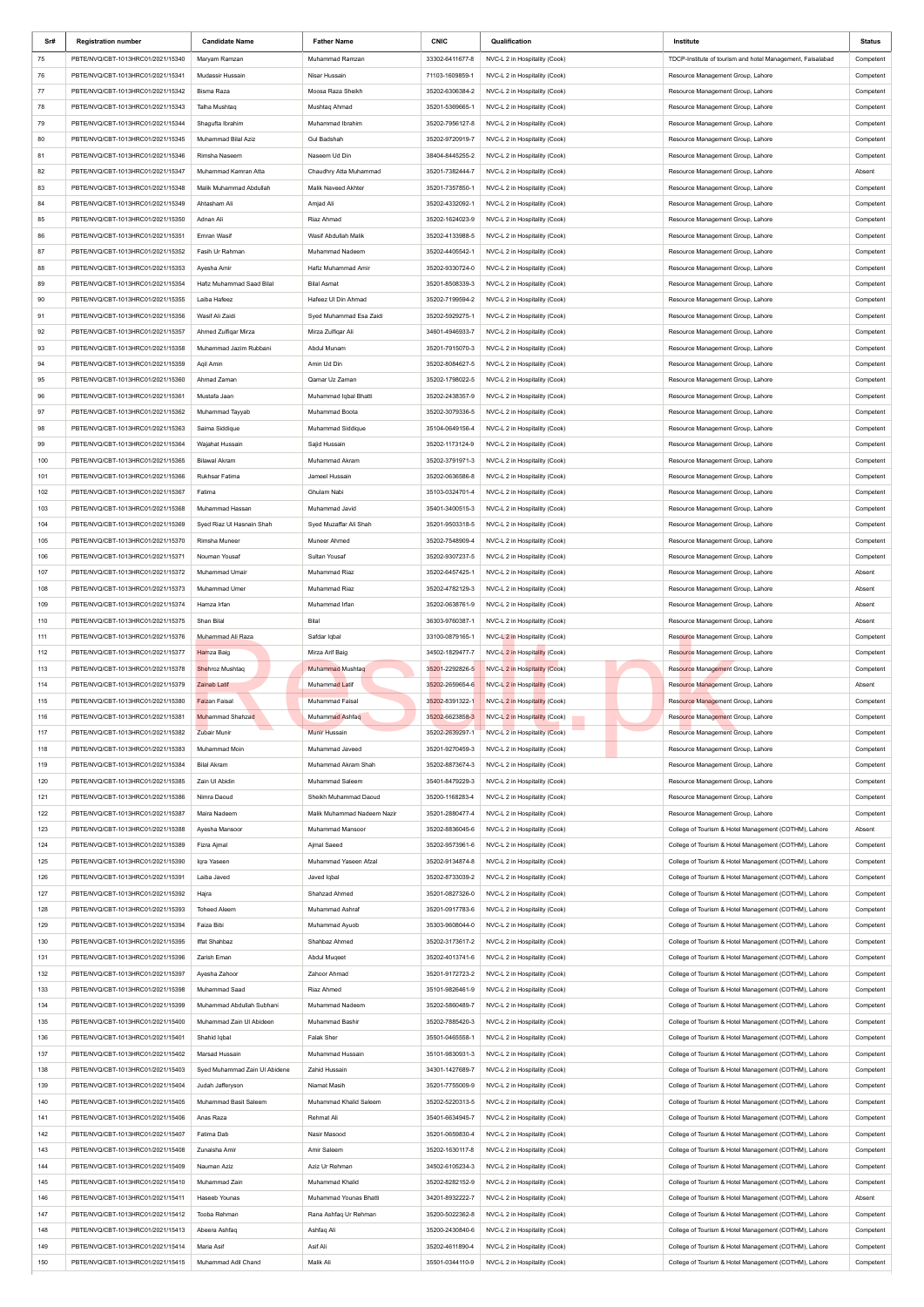| Sr#        | <b>Registration number</b>                                             | <b>Candidate Name</b>             | <b>Father Name</b>                | <b>CNIC</b>                        | Qualification                                                  | Institute                                                                                                      | <b>Status</b>          |
|------------|------------------------------------------------------------------------|-----------------------------------|-----------------------------------|------------------------------------|----------------------------------------------------------------|----------------------------------------------------------------------------------------------------------------|------------------------|
| 75         | PBTE/NVQ/CBT-1013HRC01/2021/15340                                      | Maryam Ramzan                     | Muhammad Ramzan                   | 33302-6411677-8                    | NVC-L 2 in Hospitality (Cook)                                  | TDCP-Institute of tourism and hotel Management, Faisalabad                                                     | Competent              |
| 76         | PBTE/NVQ/CBT-1013HRC01/2021/15341                                      | Mudassir Hussain                  | Nisar Hussain                     | 71103-1609859-1                    | NVC-L 2 in Hospitality (Cook)                                  | Resource Management Group, Lahore                                                                              | Competent              |
| 77         | PBTE/NVQ/CBT-1013HRC01/2021/15342                                      | Bisma Raza                        | Moosa Raza Sheikh                 | 35202-6306384-2                    | NVC-L 2 in Hospitality (Cook)                                  | Resource Management Group, Lahore                                                                              | Competent              |
| 78         | PBTE/NVQ/CBT-1013HRC01/2021/15343                                      | Talha Mushtag                     | Mushtag Ahmad                     | 35201-5369665-1                    | NVC-L 2 in Hospitality (Cook)                                  | Resource Management Group, Lahore                                                                              | Competent              |
| 79         | PBTE/NVQ/CBT-1013HRC01/2021/15344                                      | Shagufta Ibrahim                  | Muhammad Ibrahim                  | 35202-7956127-8                    | NVC-L 2 in Hospitality (Cook)                                  | Resource Management Group, Lahore                                                                              | Competent              |
| 80         | PBTE/NVQ/CBT-1013HRC01/2021/15345                                      | Muhammad Bilal Aziz               | <b>Gul Badshah</b>                | 35202-9720919-7                    | NVC-L 2 in Hospitality (Cook)                                  | Resource Management Group, Lahore                                                                              | Competent              |
| 81         | PBTE/NVQ/CBT-1013HRC01/2021/15346                                      | Rimsha Naseem                     | Naseem Ud Din                     | 38404-8445255-2                    | NVC-L 2 in Hospitality (Cook)                                  | Resource Management Group, Lahore                                                                              | Competent              |
| 82         | PBTE/NVQ/CBT-1013HRC01/2021/15347                                      | Muhammad Kamran Atta              | Chaudhry Atta Muhammad            | 35201-7382444-7                    | NVC-L 2 in Hospitality (Cook)                                  | Resource Management Group, Lahore                                                                              | Absent                 |
| 83         | PBTE/NVQ/CBT-1013HRC01/2021/15348                                      | Malik Muhammad Abdullah           | Malik Naveed Akhter               | 35201-7357850-1                    | NVC-L 2 in Hospitality (Cook)                                  | Resource Management Group, Lahore                                                                              | Competent              |
| 84         | PBTE/NVQ/CBT-1013HRC01/2021/15349                                      | Ahtasham Ali                      | Amjad Ali                         | 35202-4332092-1                    | NVC-L 2 in Hospitality (Cook)                                  | Resource Management Group, Lahore                                                                              | Competent              |
| 85         | PBTE/NVQ/CBT-1013HRC01/2021/15350                                      | Adnan Ali                         | Riaz Ahmad                        | 35202-1624023-9                    | NVC-L 2 in Hospitality (Cook)                                  | Resource Management Group, Lahore                                                                              | Competent              |
| 86         | PBTE/NVQ/CBT-1013HRC01/2021/15351                                      | Emran Wasif                       | Wasif Abdullah Malik              | 35202-4133988-5                    | NVC-L 2 in Hospitality (Cook)                                  | Resource Management Group, Lahore                                                                              | Competent              |
| 87         | PBTE/NVQ/CBT-1013HRC01/2021/15352                                      | Fasih Ur Rahman                   | Muhammad Nadeem                   | 35202-4405542-1                    | NVC-L 2 in Hospitality (Cook)                                  | Resource Management Group, Lahore                                                                              | Competent              |
| 88         | PBTE/NVQ/CBT-1013HRC01/2021/15353                                      | Ayesha Amir                       | Hafiz Muhammad Amir               | 35202-9330724-0                    | NVC-L 2 in Hospitality (Cook)                                  | Resource Management Group, Lahore                                                                              | Competent              |
| 89         | PBTE/NVQ/CBT-1013HRC01/2021/15354                                      | Hafiz Muhammad Saad Bilal         | <b>Bilal Asmat</b>                | 35201-8508339-3                    | NVC-L 2 in Hospitality (Cook)                                  | Resource Management Group, Lahore                                                                              | Competent              |
| 90         | PBTE/NVQ/CBT-1013HRC01/2021/15355                                      | Laiba Hafeez                      | Hafeez UI Din Ahmad               | 35202-7199594-2                    | NVC-L 2 in Hospitality (Cook)                                  | Resource Management Group, Lahore                                                                              | Competent              |
| 91         | PBTE/NVQ/CBT-1013HRC01/2021/15356                                      | Wasif Ali Zaidi                   | Syed Muhammad Esa Zaidi           | 35202-5929275-1                    | NVC-L 2 in Hospitality (Cook)                                  | Resource Management Group, Lahore                                                                              | Competent              |
| 92         | PBTE/NVQ/CBT-1013HRC01/2021/15357                                      | Ahmed Zulfigar Mirza              | Mirza Zulfiqar Ali                | 34601-4946933-7                    | NVC-L 2 in Hospitality (Cook)                                  | Resource Management Group, Lahore                                                                              | Competent              |
| 93         | PBTE/NVQ/CBT-1013HRC01/2021/15358                                      | Muhammad Jazim Rubbani            | Abdul Munam                       | 35201-7915070-3                    | NVC-L 2 in Hospitality (Cook)                                  | Resource Management Group, Lahore                                                                              | Competent              |
| 94         | PBTE/NVQ/CBT-1013HRC01/2021/15359                                      | Agil Amin                         | Amin Ud Din                       | 35202-8084627-5                    | NVC-L 2 in Hospitality (Cook)                                  | Resource Management Group, Lahore                                                                              | Competent              |
| 95         | PBTE/NVQ/CBT-1013HRC01/2021/15360                                      | Ahmad Zaman                       | Qamar Uz Zaman                    | 35202-1798022-5                    | NVC-L 2 in Hospitality (Cook)                                  | Resource Management Group, Lahore                                                                              | Competent              |
| 96         | PBTE/NVQ/CBT-1013HRC01/2021/15361                                      | Mustafa Jaan                      | Muhammad Iqbal Bhatti             | 35202-2438357-9                    | NVC-L 2 in Hospitality (Cook)                                  | Resource Management Group, Lahore                                                                              | Competent              |
| 97         | PBTE/NVQ/CBT-1013HRC01/2021/15362                                      | Muhammad Tayyab                   | Muhammad Boota                    | 35202-3079336-5                    | NVC-L 2 in Hospitality (Cook)                                  | Resource Management Group, Lahore                                                                              | Competent              |
| 98         | PBTE/NVQ/CBT-1013HRC01/2021/15363                                      | Saima Siddique                    | Muhammad Siddique                 | 35104-0649156-4                    | NVC-L 2 in Hospitality (Cook)                                  | Resource Management Group, Lahore                                                                              | Competent              |
| 99         | PBTE/NVQ/CBT-1013HRC01/2021/15364                                      | Wajahat Hussain                   | Sajid Hussain                     | 35202-1173124-9                    | NVC-L 2 in Hospitality (Cook)                                  | Resource Management Group, Lahore                                                                              | Competent              |
| 100        | PBTE/NVQ/CBT-1013HRC01/2021/15365                                      | <b>Bilawal Akram</b>              | Muhammad Akram                    | 35202-3791971-3                    | NVC-L 2 in Hospitality (Cook)                                  | Resource Management Group, Lahore                                                                              | Competent              |
| 101        | PBTE/NVQ/CBT-1013HRC01/2021/15366                                      | Rukhsar Fatima                    | Jameel Hussain                    | 35202-0636586-8                    | NVC-L 2 in Hospitality (Cook)                                  | Resource Management Group, Lahore                                                                              | Competent              |
| 102        | PBTE/NVQ/CBT-1013HRC01/2021/15367                                      | Fatima                            | Ghulam Nabi                       | 35103-0324701-4                    | NVC-L 2 in Hospitality (Cook)                                  | Resource Management Group, Lahore                                                                              | Competent              |
| 103        | PBTE/NVQ/CBT-1013HRC01/2021/15368                                      | Muhammad Hassan                   | Muhammad Javid                    | 35401-3400515-3                    | NVC-L 2 in Hospitality (Cook)                                  | Resource Management Group, Lahore                                                                              | Competent              |
| 104        | PBTE/NVQ/CBT-1013HRC01/2021/15369                                      | Syed Riaz Ul Hasnain Shah         | Syed Muzaffar Ali Shah            | 35201-9503318-5                    | NVC-L 2 in Hospitality (Cook)                                  | Resource Management Group, Lahore                                                                              | Competent              |
| 105        | PBTE/NVQ/CBT-1013HRC01/2021/15370                                      | Rimsha Muneer                     | Muneer Ahmed                      | 35202-7548909-4                    | NVC-L 2 in Hospitality (Cook)                                  | Resource Management Group, Lahore                                                                              | Competent              |
| 106        | PBTE/NVQ/CBT-1013HRC01/2021/15371                                      | Nouman Yousaf                     | Sultan Yousaf                     | 35202-9307237-5                    | NVC-L 2 in Hospitality (Cook)                                  | Resource Management Group, Lahore                                                                              | Competent              |
| 107        | PBTE/NVQ/CBT-1013HRC01/2021/15372                                      | Muhammad Umair                    | Muhammad Riaz                     | 35202-6457425-1                    | NVC-L 2 in Hospitality (Cook)                                  | Resource Management Group, Lahore                                                                              | Absent                 |
| 108        | PBTE/NVQ/CBT-1013HRC01/2021/15373                                      | Muhammad Umer                     | Muhammad Riaz                     | 35202-4782129-3                    | NVC-L 2 in Hospitality (Cook)                                  | Resource Management Group, Lahore                                                                              | Absent                 |
| 109        | PBTE/NVQ/CBT-1013HRC01/2021/15374                                      | Hamza Irfan                       | Muhammad Irfan                    | 35202-0638761-9                    | NVC-L 2 in Hospitality (Cook)                                  | Resource Management Group, Lahore                                                                              | Absent                 |
| 110        | PBTE/NVQ/CBT-1013HRC01/2021/15375                                      | Shan Bilal                        | Bilal                             | 36303-9760387-1                    | NVC-L 2 in Hospitality (Cook)                                  | Resource Management Group, Lahore                                                                              | Absent                 |
| 111        | PBTE/NVQ/CBT-1013HRC01/2021/15376                                      | Muhammad Ali Raza                 | Safdar Iqbal                      | 33100-0879165-1                    | NVC-L 2 in Hospitality (Cook)                                  | Resource Management Group, Lahore                                                                              | Competent              |
| 112        | PBTE/NVQ/CBT-1013HRC01/2021/15377                                      | Hamza Baig                        | Mirza Arif Baig                   | 34502-1829477-7                    | NVC-L 2 in Hospitality (Cook)                                  | Resource Management Group, Lahore                                                                              | Competent              |
| 113        | PBTE/NVQ/CBT-1013HRC01/2021/15378                                      | Shehroz Mushtaq                   | Muhammad Mushtaq                  | 35201-2292826-5                    | NVC-L 2 in Hospitality (Cook)                                  | Resource Management Group, Lahore                                                                              | Competent              |
| 114        | PBTE/NVQ/CBT-1013HRC01/2021/15379                                      | <b>Zainab Latif</b>               | Muhammad Latif                    | 35202-2659654-6                    | NVC-L 2 in Hospitality (Cook)                                  | Resource Management Group, Lahore                                                                              | Absent                 |
| 115        | PBTE/NVQ/CBT-1013HRC01/2021/15380                                      | Faizan Faisal                     | Muhammad Faisal                   | 35202-8391322-1                    | NVC-L 2 in Hospitality (Cook)                                  | Resource Management Group, Lahore                                                                              | Competent              |
| 116        | PBTE/NVQ/CBT-1013HRC01/2021/15381                                      | Muhammad Shahzad                  | Muhammad Ashfaq                   | 35202-6623858-3                    | NVC-L 2 in Hospitality (Cook)                                  | Resource Management Group, Lahore                                                                              | Competent              |
| 117        | PBTE/NVQ/CBT-1013HRC01/2021/15382                                      | Zubair Munir                      | <b>Munir Hussain</b>              | 35202-2639297-1                    | NVC-L 2 in Hospitality (Cook)                                  | Resource Management Group, Lahore                                                                              | Competent              |
| 118        | PBTE/NVQ/CBT-1013HRC01/2021/15383                                      | Muhammad Moin                     | Muhammad Javeed                   | 35201-9270459-3                    | NVC-L 2 in Hospitality (Cook)                                  | Resource Management Group, Lahore                                                                              | Competent              |
| 119        | PBTE/NVQ/CBT-1013HRC01/2021/15384                                      | <b>Bilal Akram</b>                | Muhammad Akram Shah               | 35202-8873674-3                    | NVC-L 2 in Hospitality (Cook)                                  | Resource Management Group, Lahore                                                                              | Competent              |
| 120        | PBTE/NVQ/CBT-1013HRC01/2021/15385                                      | Zain Ul Abidin                    | Muhammad Saleem                   | 35401-8479229-3                    | NVC-L 2 in Hospitality (Cook)                                  | Resource Management Group, Lahore                                                                              | Competent              |
| 121        | PBTE/NVQ/CBT-1013HRC01/2021/15386                                      | Nimra Daoud                       | Sheikh Muhammad Daoud             | 35200-1168283-4                    | NVC-L 2 in Hospitality (Cook)                                  | Resource Management Group, Lahore                                                                              | Competent              |
| 122        | PBTE/NVQ/CBT-1013HRC01/2021/15387                                      | Maira Nadeem                      | Malik Muhammad Nadeem Nazir       | 35201-2880477-4                    | NVC-L 2 in Hospitality (Cook)                                  | Resource Management Group, Lahore                                                                              | Competent              |
| 123        | PBTE/NVQ/CBT-1013HRC01/2021/15388                                      | Ayesha Mansoor                    | Muhammad Mansoor                  | 35202-8836045-6                    | NVC-L 2 in Hospitality (Cook)                                  | College of Tourism & Hotel Management (COTHM), Lahore                                                          | Absent                 |
| 124        | PBTE/NVQ/CBT-1013HRC01/2021/15389                                      | Fizra Ajmal                       | Ajmal Saeed                       | 35202-9573961-6                    | NVC-L 2 in Hospitality (Cook)                                  | College of Tourism & Hotel Management (COTHM), Lahore                                                          | Competent              |
| 125<br>126 | PBTE/NVQ/CBT-1013HRC01/2021/15390                                      | Iqra Yaseen<br>Laiba Javed        | Muhammad Yaseen Afzal             | 35202-9134874-8                    | NVC-L 2 in Hospitality (Cook)                                  | College of Tourism & Hotel Management (COTHM), Lahore                                                          | Competent              |
|            | PBTE/NVQ/CBT-1013HRC01/2021/15391                                      |                                   | Javed Iqbal                       | 35202-8733039-2                    | NVC-L 2 in Hospitality (Cook)                                  | College of Tourism & Hotel Management (COTHM), Lahore                                                          | Competent              |
| 127        | PBTE/NVQ/CBT-1013HRC01/2021/15392                                      | Hajra                             | Shahzad Ahmed                     | 35201-0827326-0                    | NVC-L 2 in Hospitality (Cook)<br>NVC-L 2 in Hospitality (Cook) | College of Tourism & Hotel Management (COTHM), Lahore                                                          | Competent              |
| 128<br>129 | PBTE/NVQ/CBT-1013HRC01/2021/15393<br>PBTE/NVQ/CBT-1013HRC01/2021/15394 | <b>Toheed Aleem</b><br>Faiza Bibi | Muhammad Ashraf<br>Muhammad Ayuob | 35201-0917783-6<br>35303-9608044-0 |                                                                | College of Tourism & Hotel Management (COTHM), Lahore                                                          | Competent              |
| 130        | PBTE/NVQ/CBT-1013HRC01/2021/15395                                      | Iffat Shahbaz                     | Shahbaz Ahmed                     | 35202-3173617-2                    | NVC-L 2 in Hospitality (Cook)<br>NVC-L 2 in Hospitality (Cook) | College of Tourism & Hotel Management (COTHM), Lahore<br>College of Tourism & Hotel Management (COTHM), Lahore | Competent<br>Competent |
| 131        | PBTE/NVQ/CBT-1013HRC01/2021/15396                                      | Zarish Eman                       | Abdul Mugeet                      | 35202-4013741-6                    | NVC-L 2 in Hospitality (Cook)                                  | College of Tourism & Hotel Management (COTHM), Lahore                                                          | Competent              |
| 132        | PBTE/NVQ/CBT-1013HRC01/2021/15397                                      | Ayesha Zahoor                     | Zahoor Ahmad                      | 35201-9172723-2                    | NVC-L 2 in Hospitality (Cook)                                  | College of Tourism & Hotel Management (COTHM), Lahore                                                          | Competent              |
| 133        | PBTE/NVQ/CBT-1013HRC01/2021/15398                                      | Muhammad Saad                     | Riaz Ahmed                        | 35101-9826461-9                    | NVC-L 2 in Hospitality (Cook)                                  | College of Tourism & Hotel Management (COTHM), Lahore                                                          | Competent              |
| 134        | PBTE/NVQ/CBT-1013HRC01/2021/15399                                      | Muhammad Abdullah Subhani         | Muhammad Nadeem                   | 35202-5860489-7                    | NVC-L 2 in Hospitality (Cook)                                  | College of Tourism & Hotel Management (COTHM), Lahore                                                          | Competent              |
| 135        | PBTE/NVQ/CBT-1013HRC01/2021/15400                                      | Muhammad Zain UI Abideen          | Muhammad Bashir                   | 35202-7885420-3                    | NVC-L 2 in Hospitality (Cook)                                  | College of Tourism & Hotel Management (COTHM), Lahore                                                          | Competent              |
| 136        | PBTE/NVQ/CBT-1013HRC01/2021/15401                                      | Shahid Iqbal                      | Falak Sher                        | 35501-0465558-1                    | NVC-L 2 in Hospitality (Cook)                                  | College of Tourism & Hotel Management (COTHM), Lahore                                                          | Competent              |
| 137        | PBTE/NVQ/CBT-1013HRC01/2021/15402                                      | Marsad Hussain                    | Muhammad Hussain                  | 35101-9830931-3                    | NVC-L 2 in Hospitality (Cook)                                  | College of Tourism & Hotel Management (COTHM), Lahore                                                          | Competent              |
| 138        | PBTE/NVQ/CBT-1013HRC01/2021/15403                                      | Syed Muhammad Zain UI Abidene     | Zahid Hussain                     | 34301-1427689-7                    | NVC-L 2 in Hospitality (Cook)                                  | College of Tourism & Hotel Management (COTHM), Lahore                                                          | Competent              |
| 139        | PBTE/NVQ/CBT-1013HRC01/2021/15404                                      | Judah Jafferyson                  | Niamat Masih                      | 35201-7755009-9                    | NVC-L 2 in Hospitality (Cook)                                  | College of Tourism & Hotel Management (COTHM), Lahore                                                          | Competent              |
| 140        | PBTE/NVQ/CBT-1013HRC01/2021/15405                                      | Muhammad Basit Saleem             | Muhammad Khalid Saleem            | 35202-5220313-5                    | NVC-L 2 in Hospitality (Cook)                                  | College of Tourism & Hotel Management (COTHM), Lahore                                                          | Competent              |
| 141        | PBTE/NVQ/CBT-1013HRC01/2021/15406                                      | Anas Raza                         | Rehmat Ali                        | 35401-6634945-7                    | NVC-L 2 in Hospitality (Cook)                                  | College of Tourism & Hotel Management (COTHM), Lahore                                                          | Competent              |
| 142        | PBTE/NVQ/CBT-1013HRC01/2021/15407                                      | Fatima Dab                        | Nasir Masood                      | 35201-0659830-4                    | NVC-L 2 in Hospitality (Cook)                                  | College of Tourism & Hotel Management (COTHM), Lahore                                                          | Competent              |
| 143        | PBTE/NVQ/CBT-1013HRC01/2021/15408                                      | Zunaisha Amir                     | Amir Saleem                       | 35202-1630117-8                    | NVC-L 2 in Hospitality (Cook)                                  | College of Tourism & Hotel Management (COTHM), Lahore                                                          | Competent              |
| 144        | PBTE/NVQ/CBT-1013HRC01/2021/15409                                      | Nauman Aziz                       | Aziz Ur Rehman                    | 34502-6105234-3                    | NVC-L 2 in Hospitality (Cook)                                  | College of Tourism & Hotel Management (COTHM), Lahore                                                          | Competent              |
| 145        | PBTE/NVQ/CBT-1013HRC01/2021/15410                                      | Muhammad Zain                     | Muhammad Khalid                   | 35202-8282152-9                    | NVC-L 2 in Hospitality (Cook)                                  | College of Tourism & Hotel Management (COTHM), Lahore                                                          | Competent              |
| 146        | PBTE/NVQ/CBT-1013HRC01/2021/15411                                      | Haseeb Younas                     | Muhammad Younas Bhatti            | 34201-8932222-7                    | NVC-L 2 in Hospitality (Cook)                                  | College of Tourism & Hotel Management (COTHM), Lahore                                                          | Absent                 |
| 147        | PBTE/NVQ/CBT-1013HRC01/2021/15412                                      | Tooba Rehman                      | Rana Ashfaq Ur Rehman             | 35200-5022362-8                    | NVC-L 2 in Hospitality (Cook)                                  | College of Tourism & Hotel Management (COTHM), Lahore                                                          | Competent              |
| 148        | PBTE/NVQ/CBT-1013HRC01/2021/15413                                      | Abeera Ashfaq                     | Ashfaq Ali                        | 35200-2430840-6                    | NVC-L 2 in Hospitality (Cook)                                  | College of Tourism & Hotel Management (COTHM), Lahore                                                          | Competent              |
| 149        | PBTE/NVQ/CBT-1013HRC01/2021/15414                                      | Maria Asif                        | Asif Ali                          | 35202-4611890-4                    | NVC-L 2 in Hospitality (Cook)                                  | College of Tourism & Hotel Management (COTHM), Lahore                                                          | Competent              |
| 150        | PBTE/NVQ/CBT-1013HRC01/2021/15415                                      | Muhammad Adil Chand               | Malik Ali                         | 35501-0344110-9                    | NVC-L 2 in Hospitality (Cook)                                  | College of Tourism & Hotel Management (COTHM), Lahore                                                          | Competent              |
|            |                                                                        |                                   |                                   |                                    |                                                                |                                                                                                                |                        |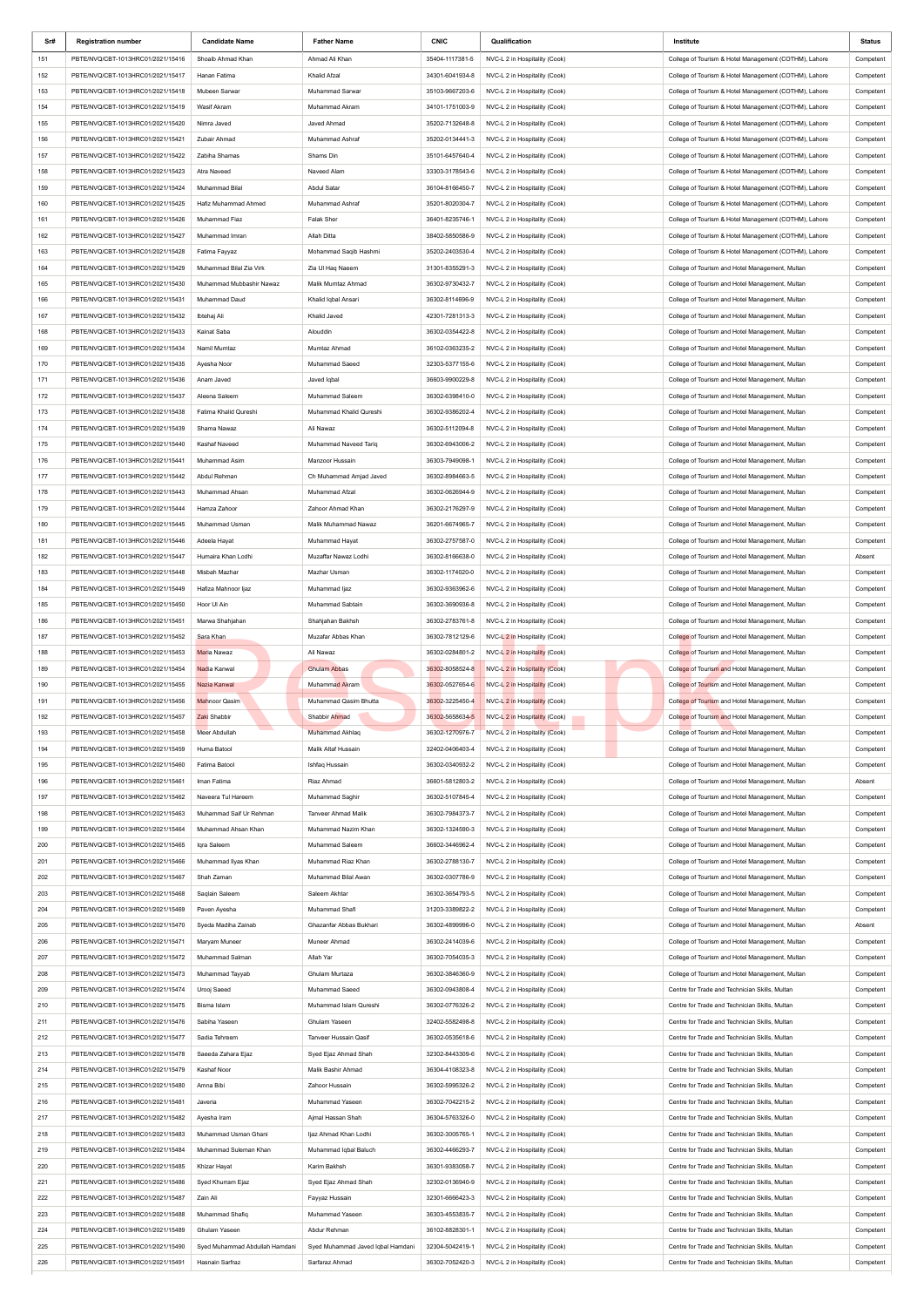| Sr# | <b>Registration number</b>        | <b>Candidate Name</b>          | <b>Father Name</b>                | <b>CNIC</b>     | Qualification                 | Institute                                             | <b>Status</b> |
|-----|-----------------------------------|--------------------------------|-----------------------------------|-----------------|-------------------------------|-------------------------------------------------------|---------------|
| 151 | PBTE/NVQ/CBT-1013HRC01/2021/15416 | Shoaib Ahmad Khan              | Ahmad Ali Khan                    | 35404-1117381-5 | NVC-L 2 in Hospitality (Cook) | College of Tourism & Hotel Management (COTHM), Lahore | Competent     |
| 152 | PBTE/NVQ/CBT-1013HRC01/2021/15417 | Hanan Fatima                   | Khalid Afzal                      | 34301-6041934-8 | NVC-L 2 in Hospitality (Cook) | College of Tourism & Hotel Management (COTHM), Lahore | Competent     |
| 153 | PBTE/NVQ/CBT-1013HRC01/2021/15418 | Mubeen Sarwar                  | Muhammad Sarwar                   | 35103-9667203-6 | NVC-L 2 in Hospitality (Cook) | College of Tourism & Hotel Management (COTHM), Lahore | Competent     |
| 154 | PBTE/NVQ/CBT-1013HRC01/2021/15419 | Wasif Akram                    | Muhammad Akram                    | 34101-1751003-9 | NVC-L 2 in Hospitality (Cook) | College of Tourism & Hotel Management (COTHM), Lahore | Competent     |
| 155 | PBTE/NVQ/CBT-1013HRC01/2021/15420 | Nimra Javed                    | Javed Ahmad                       | 35202-7132648-8 | NVC-L 2 in Hospitality (Cook) | College of Tourism & Hotel Management (COTHM), Lahore | Competent     |
| 156 | PBTE/NVQ/CBT-1013HRC01/2021/15421 | Zubair Ahmad                   | Muhammad Ashraf                   | 35202-0134441-3 | NVC-L 2 in Hospitality (Cook) | College of Tourism & Hotel Management (COTHM), Lahore | Competent     |
| 157 | PBTE/NVQ/CBT-1013HRC01/2021/15422 | Zabiha Shamas                  | Shams Din                         | 35101-6457640-4 | NVC-L 2 in Hospitality (Cook) | College of Tourism & Hotel Management (COTHM), Lahore | Competent     |
| 158 | PBTE/NVQ/CBT-1013HRC01/2021/15423 | Atra Naveed                    | Naveed Alam                       | 33303-3178543-6 | NVC-L 2 in Hospitality (Cook) | College of Tourism & Hotel Management (COTHM), Lahore | Competent     |
| 159 | PBTE/NVQ/CBT-1013HRC01/2021/15424 | Muhammad Bilal                 | Abdul Satar                       | 36104-8166450-7 | NVC-L 2 in Hospitality (Cook) | College of Tourism & Hotel Management (COTHM), Lahore | Competent     |
| 160 | PBTE/NVQ/CBT-1013HRC01/2021/15425 | Hafiz Muhammad Ahmed           | Muhammad Ashraf                   | 35201-8020304-7 | NVC-L 2 in Hospitality (Cook) | College of Tourism & Hotel Management (COTHM), Lahore | Competent     |
| 161 | PBTE/NVQ/CBT-1013HRC01/2021/15426 | Muhammad Fiaz                  | <b>Falak Sher</b>                 | 36401-8235746-1 | NVC-L 2 in Hospitality (Cook) | College of Tourism & Hotel Management (COTHM), Lahore | Competent     |
| 162 | PBTE/NVQ/CBT-1013HRC01/2021/15427 | Muhammad Imran                 | Allah Ditta                       | 38402-5850586-9 | NVC-L 2 in Hospitality (Cook) | College of Tourism & Hotel Management (COTHM), Lahore | Competent     |
|     |                                   |                                |                                   |                 |                               |                                                       |               |
| 163 | PBTE/NVQ/CBT-1013HRC01/2021/15428 | Fatima Fayyaz                  | Mohammad Saqib Hashmi             | 35202-2403530-4 | NVC-L 2 in Hospitality (Cook) | College of Tourism & Hotel Management (COTHM), Lahore | Competent     |
| 164 | PBTE/NVQ/CBT-1013HRC01/2021/15429 | Muhammad Bilal Zia Virk        | Zia Ul Haq Naeem                  | 31301-8355291-3 | NVC-L 2 in Hospitality (Cook) | College of Tourism and Hotel Management, Multan       | Competent     |
| 165 | PBTE/NVQ/CBT-1013HRC01/2021/15430 | Muhammad Mubbashir Nawaz       | Malik Mumtaz Ahmad                | 36302-9730432-7 | NVC-L 2 in Hospitality (Cook) | College of Tourism and Hotel Management, Multan       | Competent     |
| 166 | PBTE/NVQ/CBT-1013HRC01/2021/15431 | Muhammad Daud                  | Khalid Iqbal Ansari               | 36302-8114696-9 | NVC-L 2 in Hospitality (Cook) | College of Tourism and Hotel Management, Multan       | Competent     |
| 167 | PBTE/NVQ/CBT-1013HRC01/2021/15432 | Ibtehaj Ali                    | Khalid Javed                      | 42301-7281313-3 | NVC-L 2 in Hospitality (Cook) | College of Tourism and Hotel Management, Multan       | Competent     |
| 168 | PBTE/NVQ/CBT-1013HRC01/2021/15433 | Kainat Saba                    | Alouddin                          | 36302-0354422-8 | NVC-L 2 in Hospitality (Cook) | College of Tourism and Hotel Management, Multan       | Competent     |
| 169 | PBTE/NVQ/CBT-1013HRC01/2021/15434 | Namil Mumtaz                   | Mumtaz Ahmad                      | 36102-0363235-2 | NVC-L 2 in Hospitality (Cook) | College of Tourism and Hotel Management, Multan       | Competent     |
| 170 | PBTE/NVQ/CBT-1013HRC01/2021/15435 | Ayesha Noor                    | Muhammad Saeed                    | 32303-5377155-6 | NVC-L 2 in Hospitality (Cook) | College of Tourism and Hotel Management, Multan       | Competent     |
| 171 | PBTE/NVQ/CBT-1013HRC01/2021/15436 | Anam Javed                     | Javed Iqbal                       | 36603-9900229-8 | NVC-L 2 in Hospitality (Cook) | College of Tourism and Hotel Management, Multan       | Competent     |
| 172 | PBTE/NVQ/CBT-1013HRC01/2021/15437 | Aleena Saleem                  | Muhammad Saleem                   | 36302-6398410-0 | NVC-L 2 in Hospitality (Cook) | College of Tourism and Hotel Management, Multan       | Competent     |
| 173 | PBTE/NVQ/CBT-1013HRC01/2021/15438 | Fatima Khalid Qureshi          | Muhammad Khalid Qureshi           | 36302-9386202-4 | NVC-L 2 in Hospitality (Cook) | College of Tourism and Hotel Management, Multan       | Competent     |
| 174 | PBTE/NVQ/CBT-1013HRC01/2021/15439 | Shama Nawaz                    | Ali Nawaz                         | 36302-5112094-8 | NVC-L 2 in Hospitality (Cook) | College of Tourism and Hotel Management, Multan       | Competent     |
| 175 | PBTE/NVQ/CBT-1013HRC01/2021/15440 | Kashaf Naveed                  | Muhammad Naveed Tariq             | 36302-6943006-2 | NVC-L 2 in Hospitality (Cook) | College of Tourism and Hotel Management, Multan       | Competent     |
| 176 | PBTE/NVQ/CBT-1013HRC01/2021/15441 | Muhammad Asim                  | Manzoor Hussain                   | 36303-7949098-1 | NVC-L 2 in Hospitality (Cook) | College of Tourism and Hotel Management, Multan       | Competent     |
| 177 | PBTE/NVQ/CBT-1013HRC01/2021/15442 | Abdul Rehman                   | Ch Muhammad Amjad Javed           | 36302-8984663-5 | NVC-L 2 in Hospitality (Cook) | College of Tourism and Hotel Management, Multan       | Competent     |
|     |                                   |                                |                                   |                 |                               |                                                       |               |
| 178 | PBTE/NVQ/CBT-1013HRC01/2021/15443 | Muhammad Ahsan                 | Muhammad Afzal                    | 36302-0626944-9 | NVC-L 2 in Hospitality (Cook) | College of Tourism and Hotel Management, Multan       | Competent     |
| 179 | PBTE/NVQ/CBT-1013HRC01/2021/15444 | Hamza Zahoor                   | Zahoor Ahmad Khan                 | 36302-2176297-9 | NVC-L 2 in Hospitality (Cook) | College of Tourism and Hotel Management, Multan       | Competent     |
| 180 | PBTE/NVQ/CBT-1013HRC01/2021/15445 | Muhammad Usman                 | Malik Muhammad Nawaz              | 36201-6674965-7 | NVC-L 2 in Hospitality (Cook) | College of Tourism and Hotel Management, Multan       | Competent     |
| 181 | PBTE/NVQ/CBT-1013HRC01/2021/15446 | Adeela Hayat                   | Muhammad Hayat                    | 36302-2757587-0 | NVC-L 2 in Hospitality (Cook) | College of Tourism and Hotel Management, Multan       | Competent     |
| 182 | PBTE/NVQ/CBT-1013HRC01/2021/15447 | Humaira Khan Lodhi             | Muzaffar Nawaz Lodhi              | 36302-8166638-0 | NVC-L 2 in Hospitality (Cook) | College of Tourism and Hotel Management, Multan       | Absent        |
| 183 | PBTE/NVQ/CBT-1013HRC01/2021/15448 | Misbah Mazhar                  | Mazhar Usman                      | 36302-1174020-0 | NVC-L 2 in Hospitality (Cook) | College of Tourism and Hotel Management, Multan       | Competent     |
| 184 | PBTE/NVQ/CBT-1013HRC01/2021/15449 | Hafiza Mahnoor Ijaz            | Muhammad ljaz                     | 36302-9363962-6 | NVC-L 2 in Hospitality (Cook) | College of Tourism and Hotel Management, Multan       | Competent     |
| 185 | PBTE/NVQ/CBT-1013HRC01/2021/15450 | Hoor UI Ain                    | Muhammad Sabtain                  | 36302-3690936-8 | NVC-L 2 in Hospitality (Cook) | College of Tourism and Hotel Management, Multan       | Competent     |
| 186 | PBTE/NVQ/CBT-1013HRC01/2021/15451 | Marwa Shahjahan                | Shahjahan Bakhsh                  | 36302-2783761-8 | NVC-L 2 in Hospitality (Cook) | College of Tourism and Hotel Management, Multan       | Competent     |
| 187 | PBTE/NVQ/CBT-1013HRC01/2021/15452 | Sara Khan                      | Muzafar Abbas Khan                | 36302-7812129-6 | NVC-L 2 in Hospitality (Cook) | College of Tourism and Hotel Management, Multan       | Competent     |
| 188 | PBTE/NVQ/CBT-1013HRC01/2021/15453 | Maria Nawaz                    | Ali Nawaz                         | 36302-0284801-2 | NVC-L 2 in Hospitality (Cook) | College of Tourism and Hotel Management, Multan       | Competent     |
|     |                                   |                                |                                   |                 |                               |                                                       |               |
|     |                                   |                                |                                   |                 |                               |                                                       |               |
| 189 | PBTE/NVQ/CBT-1013HRC01/2021/15454 | Nadia Kanwal                   | <b>Ghulam Abbas</b>               | 36302-8058524-8 | NVC-L 2 in Hospitality (Cook) | College of Tourism and Hotel Management, Multan       | Competent     |
| 190 | PBTE/NVQ/CBT-1013HRC01/2021/15455 | Nazia Kanwal                   | Muhammad Akram                    | 36302-0527654-6 | NVC-L 2 in Hospitality (Cook) | College of Tourism and Hotel Management, Multan       | Competent     |
| 191 | PBTE/NVQ/CBT-1013HRC01/2021/15456 | <b>Mahnoor Qasim</b>           | Muhammad Qasim Bhutta             | 36302-3225450-4 | NVC-L 2 in Hospitality (Cook) | College of Tourism and Hotel Management, Multan       | Competent     |
| 192 | PBTE/NVQ/CBT-1013HRC01/2021/15457 | Zaki Shabbir                   | Shabbir Ahmad                     | 36302-5658634-5 | NVC-L 2 in Hospitality (Cook) | College of Tourism and Hotel Management, Multan       | Competent     |
| 193 | PBTE/NVQ/CBT-1013HRC01/2021/15458 | Meer Abdullah                  | Muhammad Akhlaq                   | 36302-1270976-7 | NVC-L 2 in Hospitality (Cook) | College of Tourism and Hotel Management, Multan       | Competent     |
| 194 | PBTE/NVQ/CBT-1013HRC01/2021/15459 | Huma Batool                    | Malik Altaf Hussain               | 32402-0406403-4 | NVC-L 2 in Hospitality (Cook) | College of Tourism and Hotel Management, Multan       | Competent     |
| 195 | PBTE/NVQ/CBT-1013HRC01/2021/15460 | Fatima Batool                  | Ishfaq Hussain                    | 36302-0340932-2 | NVC-L 2 in Hospitality (Cook) | College of Tourism and Hotel Management, Multan       | Competent     |
| 196 | PBTE/NVQ/CBT-1013HRC01/2021/15461 | Iman Fatima                    | Riaz Ahmad                        | 36601-5812803-2 | NVC-L 2 in Hospitality (Cook) | College of Tourism and Hotel Management, Multan       | Absent        |
| 197 | PBTE/NVQ/CBT-1013HRC01/2021/15462 | Naveera Tul Hareem             | Muhammad Saghir                   | 36302-5107845-4 | NVC-L 2 in Hospitality (Cook) | College of Tourism and Hotel Management, Multan       | Competent     |
| 198 | PBTE/NVQ/CBT-1013HRC01/2021/15463 | Muhammad Saif Ur Rehman        | <b>Tanveer Ahmad Malik</b>        | 36302-7984373-7 | NVC-L 2 in Hospitality (Cook) | College of Tourism and Hotel Management, Multan       | Competent     |
| 199 | PBTE/NVQ/CBT-1013HRC01/2021/15464 | Muhammad Ahsan Khan            | Muhammad Nazim Khan               | 36302-1324590-3 | NVC-L 2 in Hospitality (Cook) | College of Tourism and Hotel Management, Multan       | Competent     |
| 200 | PBTE/NVQ/CBT-1013HRC01/2021/15465 | Iqra Saleem                    | Muhammad Saleem                   | 36602-3446962-4 | NVC-L 2 in Hospitality (Cook) | College of Tourism and Hotel Management, Multan       | Competent     |
| 201 | PBTE/NVQ/CBT-1013HRC01/2021/15466 | Muhammad Ilyas Khan            | Muhammad Riaz Khan                | 36302-2788130-7 | NVC-L 2 in Hospitality (Cook) | College of Tourism and Hotel Management, Multan       | Competent     |
| 202 | PBTE/NVQ/CBT-1013HRC01/2021/15467 | Shah Zaman                     | Muhammad Bilal Awan               | 36302-0307786-9 |                               | College of Tourism and Hotel Management, Multan       |               |
|     |                                   |                                |                                   |                 | NVC-L 2 in Hospitality (Cook) |                                                       | Competent     |
| 203 | PBTE/NVQ/CBT-1013HRC01/2021/15468 | Saqlain Saleem                 | Saleem Akhtar                     | 36302-3654793-5 | NVC-L 2 in Hospitality (Cook) | College of Tourism and Hotel Management, Multan       | Competent     |
| 204 | PBTE/NVQ/CBT-1013HRC01/2021/15469 | Paven Ayesha                   | Muhammad Shafi                    | 31203-3389822-2 | NVC-L 2 in Hospitality (Cook) | College of Tourism and Hotel Management, Multan       | Competent     |
| 205 | PBTE/NVQ/CBT-1013HRC01/2021/15470 | Syeda Madiha Zainab            | Ghazanfar Abbas Bukhari           | 36302-4899996-0 | NVC-L 2 in Hospitality (Cook) | College of Tourism and Hotel Management, Multan       | Absent        |
| 206 | PBTE/NVQ/CBT-1013HRC01/2021/15471 | Maryam Muneer                  | Muneer Ahmad                      | 36302-2414039-6 | NVC-L 2 in Hospitality (Cook) | College of Tourism and Hotel Management, Multan       | Competent     |
| 207 | PBTE/NVQ/CBT-1013HRC01/2021/15472 | Muhammad Salman                | Allah Yar                         | 36302-7054035-3 | NVC-L 2 in Hospitality (Cook) | College of Tourism and Hotel Management, Multan       | Competent     |
| 208 | PBTE/NVQ/CBT-1013HRC01/2021/15473 | Muhammad Tayyab                | Ghulam Murtaza                    | 36302-3846360-9 | NVC-L 2 in Hospitality (Cook) | College of Tourism and Hotel Management, Multan       | Competent     |
| 209 | PBTE/NVQ/CBT-1013HRC01/2021/15474 | Urooj Saeed                    | Muhammad Saeed                    | 36302-0943808-4 | NVC-L 2 in Hospitality (Cook) | Centre for Trade and Technician Skills, Multan        | Competent     |
| 210 | PBTE/NVQ/CBT-1013HRC01/2021/15475 | Bisma Islam                    | Muhammad Islam Qureshi            | 36302-0776326-2 | NVC-L 2 in Hospitality (Cook) | Centre for Trade and Technician Skills, Multan        | Competent     |
| 211 | PBTE/NVQ/CBT-1013HRC01/2021/15476 | Sabiha Yaseen                  | Ghulam Yaseen                     | 32402-5582498-8 | NVC-L 2 in Hospitality (Cook) | Centre for Trade and Technician Skills, Multan        | Competent     |
| 212 | PBTE/NVQ/CBT-1013HRC01/2021/15477 | Sadia Tehreem                  | Tanveer Hussain Qasif             | 36302-0535618-6 | NVC-L 2 in Hospitality (Cook) | Centre for Trade and Technician Skills, Multan        | Competent     |
| 213 | PBTE/NVQ/CBT-1013HRC01/2021/15478 | Saeeda Zahara Ejaz             | Syed Ejaz Ahmad Shah              | 32302-8443309-6 | NVC-L 2 in Hospitality (Cook) | Centre for Trade and Technician Skills, Multan        | Competent     |
| 214 | PBTE/NVQ/CBT-1013HRC01/2021/15479 | Kashaf Noor                    | Malik Bashir Ahmad                | 36304-4108323-8 | NVC-L 2 in Hospitality (Cook) | Centre for Trade and Technician Skills, Multan        | Competent     |
| 215 | PBTE/NVQ/CBT-1013HRC01/2021/15480 | Amna Bibi                      | Zahoor Hussain                    | 36302-5995326-2 | NVC-L 2 in Hospitality (Cook) | Centre for Trade and Technician Skills, Multan        | Competent     |
| 216 | PBTE/NVQ/CBT-1013HRC01/2021/15481 | Javeria                        | Muhammad Yaseen                   | 36302-7042215-2 |                               | Centre for Trade and Technician Skills, Multan        |               |
|     |                                   |                                |                                   |                 | NVC-L 2 in Hospitality (Cook) |                                                       | Competent     |
| 217 | PBTE/NVQ/CBT-1013HRC01/2021/15482 | Ayesha Iram                    | Ajmal Hassan Shah                 | 36304-5763326-0 | NVC-L 2 in Hospitality (Cook) | Centre for Trade and Technician Skills, Multan        | Competent     |
| 218 | PBTE/NVQ/CBT-1013HRC01/2021/15483 | Muhammad Usman Ghani           | Ijaz Ahmad Khan Lodhi             | 36302-3005765-1 | NVC-L 2 in Hospitality (Cook) | Centre for Trade and Technician Skills, Multan        | Competent     |
| 219 | PBTE/NVQ/CBT-1013HRC01/2021/15484 | Muhammad Suleman Khan          | Muhammad Iqbal Baluch             | 36302-4466293-7 | NVC-L 2 in Hospitality (Cook) | Centre for Trade and Technician Skills, Multan        | Competent     |
| 220 | PBTE/NVQ/CBT-1013HRC01/2021/15485 | Khizar Hayat                   | Karim Bakhsh                      | 36301-9383058-7 | NVC-L 2 in Hospitality (Cook) | Centre for Trade and Technician Skills, Multan        | Competent     |
| 221 | PBTE/NVQ/CBT-1013HRC01/2021/15486 | Syed Khurram Ejaz              | Syed Ejaz Ahmad Shah              | 32302-0136940-9 | NVC-L 2 in Hospitality (Cook) | Centre for Trade and Technician Skills, Multan        | Competent     |
| 222 | PBTE/NVQ/CBT-1013HRC01/2021/15487 | Zain Ali                       | Fayyaz Hussain                    | 32301-6666423-3 | NVC-L 2 in Hospitality (Cook) | Centre for Trade and Technician Skills, Multan        | Competent     |
| 223 | PBTE/NVQ/CBT-1013HRC01/2021/15488 | Muhammad Shafiq                | Muhammad Yaseen                   | 36303-4553835-7 | NVC-L 2 in Hospitality (Cook) | Centre for Trade and Technician Skills, Multan        | Competent     |
| 224 | PBTE/NVQ/CBT-1013HRC01/2021/15489 | Ghulam Yaseen                  | Abdur Rehman                      | 36102-8828301-1 | NVC-L 2 in Hospitality (Cook) | Centre for Trade and Technician Skills, Multan        | Competent     |
| 225 | PBTE/NVQ/CBT-1013HRC01/2021/15490 | Syed Muhammad Abdullah Hamdani | Syed Muhammad Javed Iqbal Hamdani | 32304-5042419-1 | NVC-L 2 in Hospitality (Cook) | Centre for Trade and Technician Skills, Multan        | Competent     |
| 226 | PBTE/NVQ/CBT-1013HRC01/2021/15491 | Hasnain Sarfraz                | Sarfaraz Ahmad                    | 36302-7052420-3 | NVC-L 2 in Hospitality (Cook) | Centre for Trade and Technician Skills, Multan        | Competent     |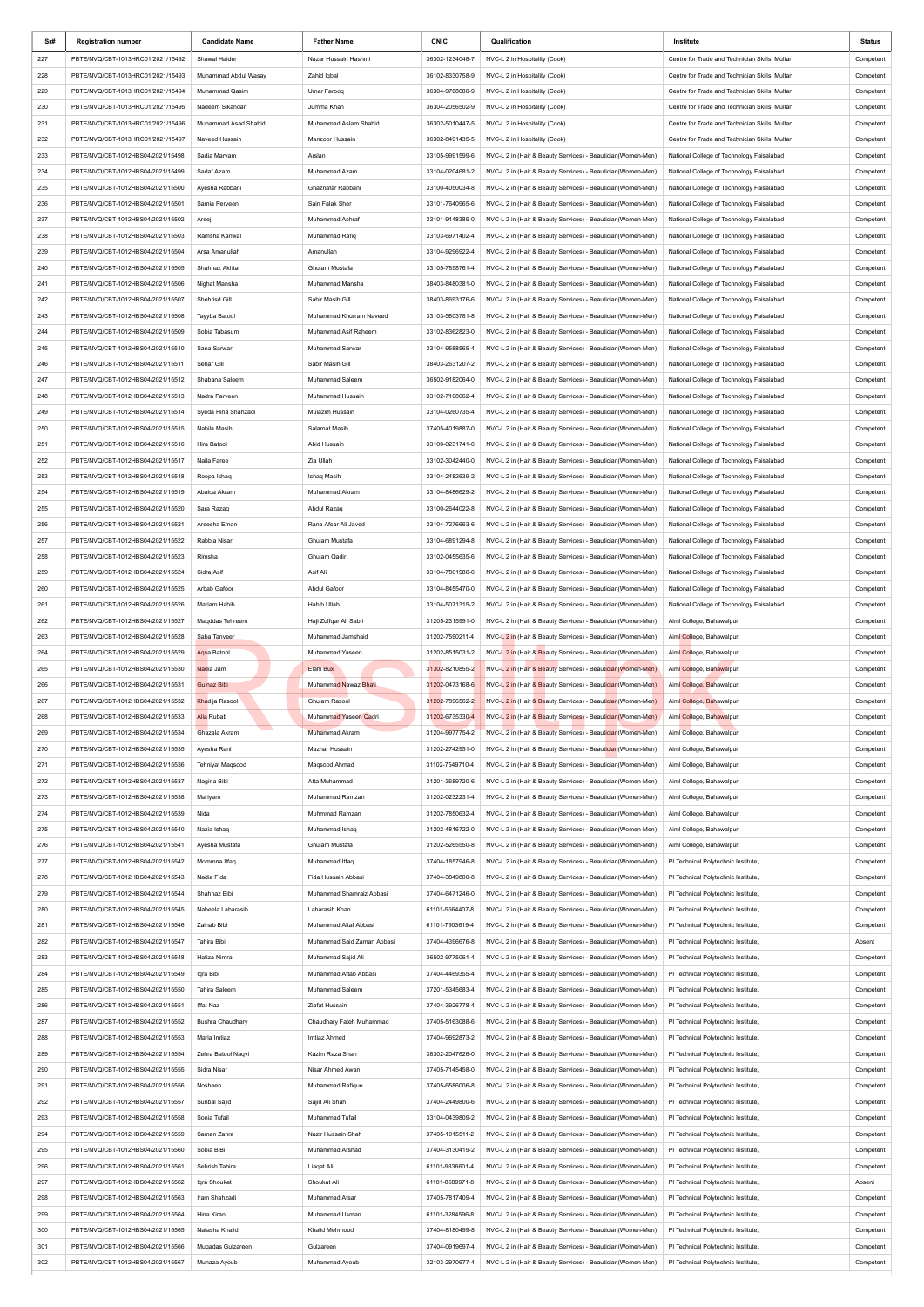| Sr#        | <b>Registration number</b>        | <b>Candidate Name</b>        | <b>Father Name</b>         | <b>CNIC</b>     | Qualification                                                | Institute                                      | Status                 |
|------------|-----------------------------------|------------------------------|----------------------------|-----------------|--------------------------------------------------------------|------------------------------------------------|------------------------|
| 227        | PBTE/NVQ/CBT-1013HRC01/2021/15492 | Shawal Haider                | Nazar Hussain Hashmi       | 36302-1234048-7 | NVC-L 2 in Hospitality (Cook)                                | Centre for Trade and Technician Skills, Multan | Competent              |
| 228        | PBTE/NVQ/CBT-1013HRC01/2021/15493 | Muhammad Abdul Wasay         | Zahid Iqbal                | 36102-8330758-9 | NVC-L 2 in Hospitality (Cook)                                | Centre for Trade and Technician Skills, Multan | Competent              |
| 229        | PBTE/NVQ/CBT-1013HRC01/2021/15494 | Muhammad Qasim               | Umar Farooq                | 36304-9768680-9 | NVC-L 2 in Hospitality (Cook)                                | Centre for Trade and Technician Skills, Multan | Competent              |
| 230        | PBTE/NVQ/CBT-1013HRC01/2021/15495 | Nadeem Sikandar              | Jumma Khan                 | 36304-2056502-9 | NVC-L 2 in Hospitality (Cook)                                | Centre for Trade and Technician Skills, Multan | Competent              |
| 231        | PBTE/NVQ/CBT-1013HRC01/2021/15496 | Muhammad Asad Shahid         | Muhammad Aslam Shahid      | 36302-5010447-5 | NVC-L 2 in Hospitality (Cook)                                | Centre for Trade and Technician Skills, Multan | Competent              |
| 232        | PBTE/NVQ/CBT-1013HRC01/2021/15497 | Naveed Hussain               | Manzoor Hussain            | 36302-8491435-5 | NVC-L 2 in Hospitality (Cook)                                | Centre for Trade and Technician Skills, Multan | Competent              |
| 233        | PBTE/NVQ/CBT-1012HBS04/2021/15498 | Sadia Maryam                 | Arslan                     | 33105-9991599-6 | NVC-L 2 in (Hair & Beauty Services) - Beautician(Women-Men)  | National College of Technology Faisalabad      | Competent              |
| 234        | PBTE/NVQ/CBT-1012HBS04/2021/15499 | Sadaf Azam                   | Muhammad Azam              | 33104-0204681-2 | NVC-L 2 in (Hair & Beauty Services) - Beautician(Women-Men)  | National College of Technology Faisalabad      | Competent              |
| 235        | PBTE/NVQ/CBT-1012HBS04/2021/15500 | Ayesha Rabbani               | Ghaznafar Rabbani          | 33100-4050034-8 | NVC-L 2 in (Hair & Beauty Services) - Beautician(Women-Men)  | National College of Technology Faisalabad      | Competent              |
| 236        | PBTE/NVQ/CBT-1012HBS04/2021/15501 | Samia Perveen                | Sain Falak Sher            | 33101-7640965-6 | NVC-L 2 in (Hair & Beauty Services) - Beautician(Women-Men)  | National College of Technology Faisalabad      | Competent              |
| 237        | PBTE/NVQ/CBT-1012HBS04/2021/15502 | Areej                        | Muhammad Ashraf            | 33101-9148385-0 | NVC-L 2 in (Hair & Beauty Services) - Beautician(Women-Men)  | National College of Technology Faisalabad      | Competent              |
| 238        | PBTE/NVQ/CBT-1012HBS04/2021/15503 | Ramsha Kanwal                | Muhammad Rafig             | 33103-6971402-4 | NVC-L 2 in (Hair & Beauty Services) - Beautician(Women-Men)  | National College of Technology Faisalabad      | Competent              |
| 239        | PBTE/NVQ/CBT-1012HBS04/2021/15504 | Arsa Amanullah               | Amanullah                  | 33104-9296922-4 | NVC-L 2 in (Hair & Beauty Services) - Beautician(Women-Men)  | National College of Technology Faisalabad      | Competent              |
| 240        | PBTE/NVQ/CBT-1012HBS04/2021/15505 | Shahnaz Akhtar               | Ghulam Mustafa             | 33105-7858761-4 | NVC-L 2 in (Hair & Beauty Services) - Beautician(Women-Men)  | National College of Technology Faisalabad      | Competent              |
| 241        | PBTE/NVQ/CBT-1012HBS04/2021/15506 | Nighat Mansha                | Muhammad Mansha            | 38403-8480381-0 | NVC-L 2 in (Hair & Beauty Services) - Beautician(Women-Men)  | National College of Technology Faisalabad      | Competent              |
| 242        | PBTE/NVQ/CBT-1012HBS04/2021/15507 | Shehrisd Gill                | Sabir Masih Gill           | 38403-8693176-6 | NVC-L 2 in (Hair & Beauty Services) - Beautician(Women-Men)  | National College of Technology Faisalabad      | Competent              |
| 243        | PBTE/NVQ/CBT-1012HBS04/2021/15508 | Tayyba Batool                | Muhammad Khurram Naveed    | 33103-5803781-8 | NVC-L 2 in (Hair & Beauty Services) - Beautician(Women-Men)  | National College of Technology Faisalabad      | Competent              |
| 244        | PBTE/NVQ/CBT-1012HBS04/2021/15509 | Sobia Tabasum                | Muhammad Asif Raheem       | 33102-8362823-0 | NVC-L 2 in (Hair & Beauty Services) - Beautician(Women-Men)  | National College of Technology Faisalabad      | Competent              |
| 245        | PBTE/NVQ/CBT-1012HBS04/2021/15510 | Sana Sarwar                  | Muhammad Sarwar            | 33104-9588565-4 | NVC-L 2 in (Hair & Beauty Services) - Beautician(Women-Men)  | National College of Technology Faisalabad      | Competent              |
| 246        | PBTE/NVQ/CBT-1012HBS04/2021/15511 | Sehar Gill                   | Sabir Masih Gill           | 38403-2631207-2 | NVC-L 2 in (Hair & Beauty Services) - Beautician(Women-Men)  | National College of Technology Faisalabad      | Competent              |
| 247        | PBTE/NVQ/CBT-1012HBS04/2021/15512 | Shabana Saleem               | Muhammad Saleem            | 36502-9182064-0 | NVC-L 2 in (Hair & Beauty Services) - Beautician(Women-Men)  | National College of Technology Faisalabad      | Competent              |
| 248        | PBTE/NVQ/CBT-1012HBS04/2021/15513 | Nadra Parveen                | Muhammad Hussain           | 33102-7108062-4 | NVC-L 2 in (Hair & Beauty Services) - Beautician(Women-Men)  | National College of Technology Faisalabad      | Competent              |
| 249        | PBTE/NVQ/CBT-1012HBS04/2021/15514 | Syeda Hina Shahzadi          | Mulazim Hussain            | 33104-0260735-4 | NVC-L 2 in (Hair & Beauty Services) - Beautician(Women-Men)  | National College of Technology Faisalabad      | Competent              |
| 250        | PBTE/NVQ/CBT-1012HBS04/2021/15515 | Nabila Masih                 | Salamat Masih              | 37405-4019887-0 | NVC-L 2 in (Hair & Beauty Services) - Beautician(Women-Men)  | National College of Technology Faisalabad      | Competent              |
| 251        | PBTE/NVQ/CBT-1012HBS04/2021/15516 | Hira Batool                  | Abid Hussain               | 33100-0231741-6 | NVC-L 2 in (Hair & Beauty Services) - Beautician(Women-Men)  | National College of Technology Faisalabad      | Competent              |
| 252        | PBTE/NVQ/CBT-1012HBS04/2021/15517 | Naila Faree                  | Zia Ullah                  | 33102-3042440-0 | NVC-L 2 in (Hair & Beauty Services) - Beautician(Women-Men)  | National College of Technology Faisalabad      | Competent              |
| 253        | PBTE/NVQ/CBT-1012HBS04/2021/15518 | Roopa Ishaq                  | Ishaq Masih                | 33104-2482639-2 | NVC-L 2 in (Hair & Beauty Services) - Beautician(Women-Men)  | National College of Technology Faisalabad      |                        |
| 254        | PBTE/NVQ/CBT-1012HBS04/2021/15519 | Abaida Akram                 | Muhammad Akram             | 33104-8486629-2 | NVC-L 2 in (Hair & Beauty Services) - Beautician(Women-Men)  | National College of Technology Faisalabad      | Competent              |
| 255        | PBTE/NVQ/CBT-1012HBS04/2021/15520 | Sara Razag                   | Abdul Razaq                | 33100-2644022-8 | NVC-L 2 in (Hair & Beauty Services) - Beautician(Women-Men)  | National College of Technology Faisalabad      | Competent<br>Competent |
|            | PBTE/NVQ/CBT-1012HBS04/2021/15521 |                              | Rana Afsar Ali Javed       | 33104-7276663-6 | NVC-L 2 in (Hair & Beauty Services) - Beautician(Women-Men)  | National College of Technology Faisalabad      |                        |
| 256<br>257 | PBTE/NVQ/CBT-1012HBS04/2021/15522 | Areesha Eman<br>Rabbia Nisar | Ghulam Mustafa             | 33104-6891294-8 | NVC-L 2 in (Hair & Beauty Services) - Beautician(Women-Men)  | National College of Technology Faisalabad      | Competent<br>Competent |
| 258        | PBTE/NVQ/CBT-1012HBS04/2021/15523 | Rimsha                       | Ghulam Qadir               | 33102-0455635-6 |                                                              | National College of Technology Faisalabad      |                        |
|            |                                   |                              |                            |                 | NVC-L 2 in (Hair & Beauty Services) - Beautician(Women-Men)  |                                                | Competent              |
| 259        | PBTE/NVQ/CBT-1012HBS04/2021/15524 | Sidra Asif                   | Asif Ali                   | 33104-7801986-6 | NVC-L 2 in (Hair & Beauty Services) - Beautician(Women-Men)  | National College of Technology Faisalabad      | Competent              |
| 260        | PBTE/NVQ/CBT-1012HBS04/2021/15525 | Arbab Gafoor                 | Abdul Gafoor               | 33104-8455470-0 | NVC-L 2 in (Hair & Beauty Services) - Beautician(Women-Men)  | National College of Technology Faisalabad      | Competent              |
| 261        | PBTE/NVQ/CBT-1012HBS04/2021/15526 | Mariam Habib                 | Habib Ullah                | 33104-5071315-2 | NVC-L 2 in (Hair & Beauty Services) - Beautician(Women-Men)  | National College of Technology Faisalabad      | Competent              |
| 262        | PBTE/NVQ/CBT-1012HBS04/2021/15527 | Magddas Tehreem              | Haji Zulfqar Ali Sabri     | 31205-2315991-0 | NVC-L 2 in (Hair & Beauty Services) - Beautician(Women-Men)  | Aiml College, Bahawalpur                       | Competent              |
| 263        | PBTE/NVQ/CBT-1012HBS04/2021/15528 | Saba Tanveer                 | Muhammad Jamshaid          | 31202-7590211-4 | NVC-L 2 in (Hair & Beauty Services) - Beautician (Women-Men) | Aiml College, Bahawalpur                       | Competent              |
| 264        | PBTE/NVQ/CBT-1012HBS04/2021/15529 | Agsa Batool                  | Muhammad Yaseen            | 31202-8515031-2 | NVC-L 2 in (Hair & Beauty Services) - Beautician (Women-Men) | Aiml College, Bahawalpur                       | Competent              |
| 265        | PBTE/NVQ/CBT-1012HBS04/2021/15530 | Nadia Jam                    | Elahi Bux                  | 31302-8210855-2 | NVC-L 2 in (Hair & Beauty Services) - Beautician (Women-Men) | Aiml College, Bahawalpur                       | Competent              |
| 266        | PBTE/NVQ/CBT-1012HBS04/2021/15531 | <b>Gulnaz Bibi</b>           | Muhammad Nawaz Bhati       | 31202-0473168-6 | NVC-L 2 in (Hair & Beauty Services) - Beautician (Women-Men) | Aiml College, Bahawalpur                       | Competent              |
| 267        | PBTE/NVQ/CBT-1012HBS04/2021/15532 | Khadija Rasool               | <b>Ghulam Rasool</b>       | 31202-7896562-2 | NVC-L 2 in (Hair & Beauty Services) - Beautician (Women-Men) | Aiml College, Bahawalpur                       | Competent              |
| 268        | PBTE/NVQ/CBT-1012HBS04/2021/15533 | Alia Rubab                   | Muhammad Yaseen Qadri      | 31202-6735330-4 | NVC-L 2 in (Hair & Beauty Services) - Beautician (Women-Men) | Aiml College, Bahawalpur                       | Competent              |
| 269        | PBTE/NVQ/CBT-1012HBS04/2021/15534 | Ghazala Akram                | Muhammad Akram             | 31204-9977754-2 | NVC-L 2 in (Hair & Beauty Services) - Beautician (Women-Men) | Aiml College, Bahawalpur                       | Competent              |
| 270        | PBTE/NVQ/CBT-1012HBS04/2021/15535 | Ayesha Rani                  | Mazhar Hussain             | 31202-2742951-0 | NVC-L 2 in (Hair & Beauty Services) - Beautician (Women-Men) | Aiml College, Bahawalpur                       | Competent              |
| 271        | PBTE/NVQ/CBT-1012HBS04/2021/15536 | <b>Tehniyat Magsood</b>      | Magsood Ahmad              | 31102-7549710-4 | NVC-L 2 in (Hair & Beauty Services) - Beautician(Women-Men)  | Aiml College, Bahawalpur                       | Competent              |
| 272        | PBTE/NVQ/CBT-1012HBS04/2021/15537 | Nagina Bibi                  | Atta Muhammad              | 31201-3689720-6 | NVC-L 2 in (Hair & Beauty Services) - Beautician(Women-Men)  | Aiml College, Bahawalpur                       | Competent              |
| 273        | PBTE/NVQ/CBT-1012HBS04/2021/15538 | Mariyam                      | Muhammad Ramzan            | 31202-0232231-4 | NVC-L 2 in (Hair & Beauty Services) - Beautician(Women-Men)  | Aiml College, Bahawalpur                       | Competent              |
| 274        | PBTE/NVQ/CBT-1012HBS04/2021/15539 | Nida                         | Muhmmad Ramzan             | 31202-7850632-4 | NVC-L 2 in (Hair & Beauty Services) - Beautician(Women-Men)  | Aiml College, Bahawalpur                       | Competent              |
| 275        | PBTE/NVQ/CBT-1012HBS04/2021/15540 | Nazia Ishaq                  | Muhammad Ishaq             | 31202-4816722-0 | NVC-L 2 in (Hair & Beauty Services) - Beautician(Women-Men)  | Aiml College, Bahawalpur                       | Competent              |
| 276        | PBTE/NVQ/CBT-1012HBS04/2021/15541 | Ayesha Mustafa               | Ghulam Mustafa             | 31202-5265550-8 | NVC-L 2 in (Hair & Beauty Services) - Beautician(Women-Men)  | Aiml College, Bahawalpur                       | Competent              |
| 277        | PBTE/NVQ/CBT-1012HBS04/2021/15542 | Mommna Itfaq                 | Muhammad Itfaq             | 37404-1857946-8 | NVC-L 2 in (Hair & Beauty Services) - Beautician(Women-Men)  | PI Technical Polytechnic Institute,            | Competent              |
| 278        | PBTE/NVQ/CBT-1012HBS04/2021/15543 | Nadia Fida                   | Fida Hussain Abbasi        | 37404-3849800-8 | NVC-L 2 in (Hair & Beauty Services) - Beautician(Women-Men)  | PI Technical Polytechnic Institute,            | Competent              |
| 279        | PBTE/NVQ/CBT-1012HBS04/2021/15544 | Shahnaz Bibi                 | Muhammad Shamraiz Abbasi   | 37404-6471246-0 | NVC-L 2 in (Hair & Beauty Services) - Beautician(Women-Men)  | PI Technical Polytechnic Institute,            | Competent              |
| 280        | PBTE/NVQ/CBT-1012HBS04/2021/15545 | Nabeela Laharasib            | Laharasib Khan             | 61101-5564407-8 | NVC-L 2 in (Hair & Beauty Services) - Beautician(Women-Men)  | PI Technical Polytechnic Institute,            | Competent              |
| 281        | PBTE/NVQ/CBT-1012HBS04/2021/15546 | Zainab Bibi                  | Muhammad Altaf Abbasi      | 61101-7903619-4 | NVC-L 2 in (Hair & Beauty Services) - Beautician(Women-Men)  | PI Technical Polytechnic Institute,            | Competent              |
| 282        | PBTE/NVQ/CBT-1012HBS04/2021/15547 | Tahira Bibi                  | Muhammad Said Zaman Abbasi | 37404-4396676-8 | NVC-L 2 in (Hair & Beauty Services) - Beautician(Women-Men)  | PI Technical Polytechnic Institute,            | Absent                 |
| 283        | PBTE/NVQ/CBT-1012HBS04/2021/15548 | Hafiza Nimra                 | Muhammad Sajid Ali         | 36502-9775061-4 | NVC-L 2 in (Hair & Beauty Services) - Beautician(Women-Men)  | PI Technical Polytechnic Institute,            | Competent              |
| 284        | PBTE/NVQ/CBT-1012HBS04/2021/15549 | Iqra Bibi                    | Muhammad Aftab Abbasi      | 37404-4469355-4 | NVC-L 2 in (Hair & Beauty Services) - Beautician(Women-Men)  | PI Technical Polytechnic Institute,            | Competent              |
| 285        | PBTE/NVQ/CBT-1012HBS04/2021/15550 | Tahira Saleem                | Muhammad Saleem            | 37201-5345683-4 | NVC-L 2 in (Hair & Beauty Services) - Beautician(Women-Men)  | PI Technical Polytechnic Institute,            | Competent              |
| 286        | PBTE/NVQ/CBT-1012HBS04/2021/15551 | Iffat Naz                    | Ziafat Hussain             | 37404-3926778-4 | NVC-L 2 in (Hair & Beauty Services) - Beautician(Women-Men)  | PI Technical Polytechnic Institute,            | Competent              |
| 287        | PBTE/NVQ/CBT-1012HBS04/2021/15552 | <b>Bushra Chaudhary</b>      | Chaudhary Fateh Muhammad   | 37405-5163088-6 | NVC-L 2 in (Hair & Beauty Services) - Beautician(Women-Men)  | PI Technical Polytechnic Institute,            | Competent              |
| 288        | PBTE/NVQ/CBT-1012HBS04/2021/15553 | Maria Imtiaz                 | Imtiaz Ahmed               | 37404-9692873-2 | NVC-L 2 in (Hair & Beauty Services) - Beautician(Women-Men)  | PI Technical Polytechnic Institute,            | Competent              |
| 289        | PBTE/NVQ/CBT-1012HBS04/2021/15554 | Zehra Batool Nagvi           | Kazim Raza Shah            | 38302-2047626-0 | NVC-L 2 in (Hair & Beauty Services) - Beautician(Women-Men)  | PI Technical Polytechnic Institute,            | Competent              |
| 290        | PBTE/NVQ/CBT-1012HBS04/2021/15555 | Sidra Nisar                  | Nisar Ahmed Awan           | 37405-7145458-0 | NVC-L 2 in (Hair & Beauty Services) - Beautician(Women-Men)  | PI Technical Polytechnic Institute,            | Competent              |
| 291        | PBTE/NVQ/CBT-1012HBS04/2021/15556 | Nosheen                      | Muhammad Rafique           | 37405-6586006-8 | NVC-L 2 in (Hair & Beauty Services) - Beautician(Women-Men)  | PI Technical Polytechnic Institute,            | Competent              |
| 292        | PBTE/NVQ/CBT-1012HBS04/2021/15557 | Sunbal Sajid                 | Sajid Ali Shah             | 37404-2449800-6 | NVC-L 2 in (Hair & Beauty Services) - Beautician(Women-Men)  | PI Technical Polytechnic Institute,            | Competent              |
| 293        | PBTE/NVQ/CBT-1012HBS04/2021/15558 | Sonia Tufail                 | Muhammad Tufail            | 33104-0439809-2 | NVC-L 2 in (Hair & Beauty Services) - Beautician(Women-Men)  | PI Technical Polytechnic Institute,            | Competent              |
| 294        | PBTE/NVQ/CBT-1012HBS04/2021/15559 | Saman Zahra                  | Nazir Hussain Shah         | 37405-1015511-2 | NVC-L 2 in (Hair & Beauty Services) - Beautician(Women-Men)  | PI Technical Polytechnic Institute,            | Competent              |
| 295        | PBTE/NVQ/CBT-1012HBS04/2021/15560 | Sobia BiBi                   | Muhammad Arshad            | 37404-3130419-2 | NVC-L 2 in (Hair & Beauty Services) - Beautician(Women-Men)  | PI Technical Polytechnic Institute,            | Competent              |
| 296        | PBTE/NVQ/CBT-1012HBS04/2021/15561 | Sehrish Tahira               | Liagat Ali                 | 61101-9336601-4 | NVC-L 2 in (Hair & Beauty Services) - Beautician(Women-Men)  | PI Technical Polytechnic Institute,            | Competent              |
| 297        | PBTE/NVQ/CBT-1012HBS04/2021/15562 | Iqra Shoukat                 | Shoukat Ali                | 61101-8689971-8 | NVC-L 2 in (Hair & Beauty Services) - Beautician(Women-Men)  | PI Technical Polytechnic Institute,            | Absent                 |
| 298        | PBTE/NVQ/CBT-1012HBS04/2021/15563 | Iram Shahzadi                | Muhammad Afsar             | 37405-7817409-4 | NVC-L 2 in (Hair & Beauty Services) - Beautician(Women-Men)  | PI Technical Polytechnic Institute,            | Competent              |
| 299        | PBTE/NVQ/CBT-1012HBS04/2021/15564 | Hina Kiran                   | Muhammad Usman             | 61101-3284596-8 | NVC-L 2 in (Hair & Beauty Services) - Beautician(Women-Men)  | PI Technical Polytechnic Institute,            | Competent              |
| 300        | PBTE/NVQ/CBT-1012HBS04/2021/15565 | Natasha Khalid               | Khalid Mehmood             | 37404-8180499-8 | NVC-L 2 in (Hair & Beauty Services) - Beautician(Women-Men)  | PI Technical Polytechnic Institute,            | Competent              |
| 301        | PBTE/NVQ/CBT-1012HBS04/2021/15566 | Mugadas Gulzareen            | Gulzareen                  | 37404-0919697-4 | NVC-L 2 in (Hair & Beauty Services) - Beautician(Women-Men)  | PI Technical Polytechnic Institute,            | Competent              |
| 302        | PBTE/NVQ/CBT-1012HBS04/2021/15567 | Munaza Ayoub                 | Muhammad Ayoub             | 32103-2970677-4 | NVC-L 2 in (Hair & Beauty Services) - Beautician(Women-Men)  | PI Technical Polytechnic Institute,            | Competent              |
|            |                                   |                              |                            |                 |                                                              |                                                |                        |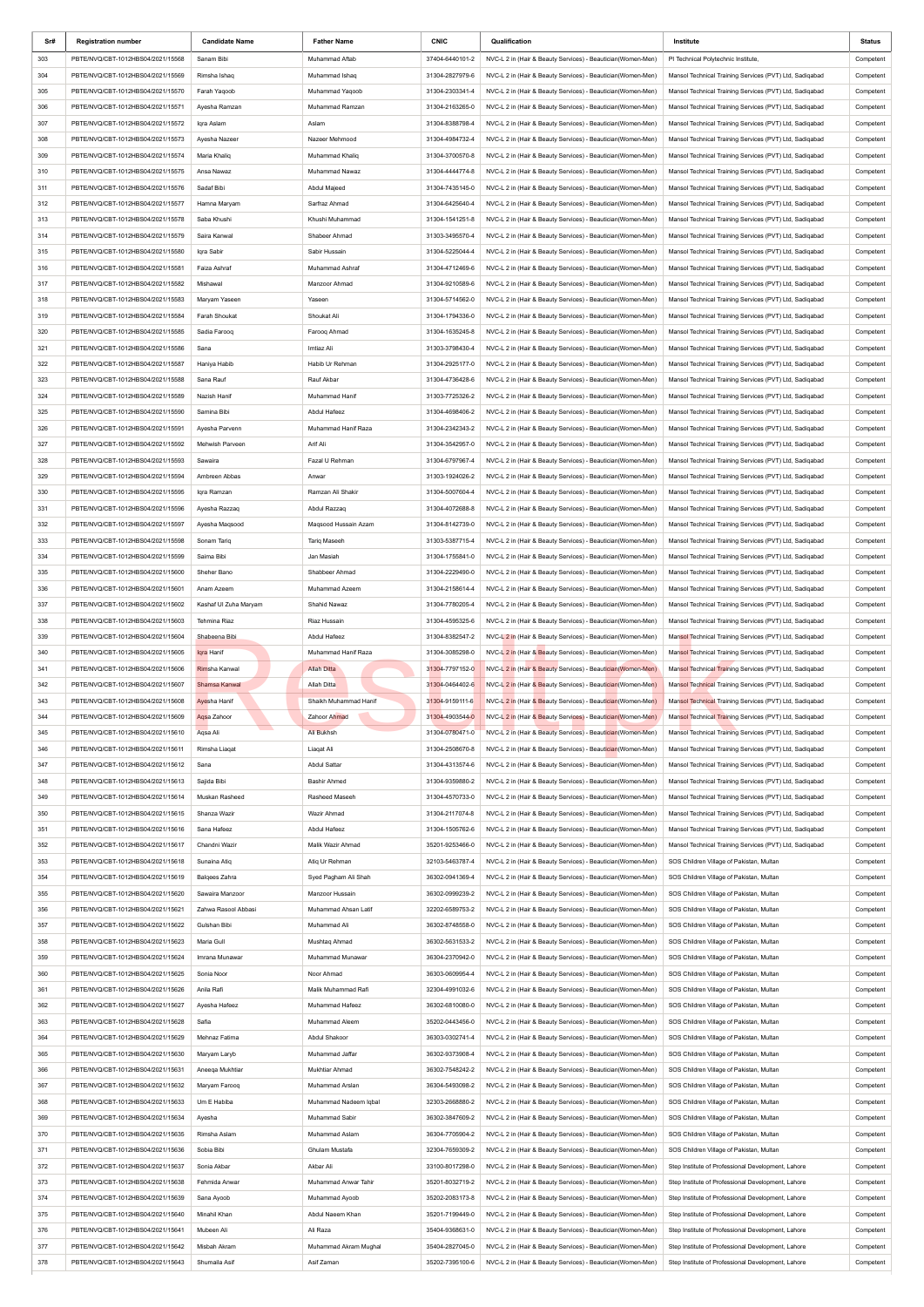| Sr#        | <b>Registration number</b>                                             | <b>Candidate Name</b>     | <b>Father Name</b>                | <b>CNIC</b>                        | Qualification                                                                                                              | Institute                                                                                                          | Status                 |
|------------|------------------------------------------------------------------------|---------------------------|-----------------------------------|------------------------------------|----------------------------------------------------------------------------------------------------------------------------|--------------------------------------------------------------------------------------------------------------------|------------------------|
| 303        | PBTE/NVQ/CBT-1012HBS04/2021/15568                                      | Sanam Bibi                | Muhammad Aftab                    | 37404-6440101-2                    | NVC-L 2 in (Hair & Beauty Services) - Beautician(Women-Men)                                                                | PI Technical Polytechnic Institute,                                                                                | Competent              |
| 304        | PBTE/NVQ/CBT-1012HBS04/2021/15569                                      | Rimsha Ishaq              | Muhammad Ishaq                    | 31304-2827979-6                    | NVC-L 2 in (Hair & Beauty Services) - Beautician(Women-Men)                                                                | Mansol Technical Training Services (PVT) Ltd, Sadiqabad                                                            | Competent              |
| 305        | PBTE/NVQ/CBT-1012HBS04/2021/15570                                      | Farah Yaqoob              | Muhammad Yaqoob                   | 31304-2303341-4                    | NVC-L 2 in (Hair & Beauty Services) - Beautician(Women-Men)                                                                | Mansol Technical Training Services (PVT) Ltd, Sadiqabad                                                            | Competent              |
| 306        | PBTE/NVQ/CBT-1012HBS04/2021/15571                                      | Ayesha Ramzan             | Muhammad Ramzan                   | 31304-2163265-0                    | NVC-L 2 in (Hair & Beauty Services) - Beautician(Women-Men)                                                                | Mansol Technical Training Services (PVT) Ltd, Sadiqabad                                                            | Competent              |
| 307        | PBTE/NVQ/CBT-1012HBS04/2021/15572                                      | Iqra Aslam                | Aslam                             | 31304-8388798-4                    | NVC-L 2 in (Hair & Beauty Services) - Beautician (Women-Men)                                                               | Mansol Technical Training Services (PVT) Ltd, Sadiqabad                                                            | Competent              |
| 308        | PBTE/NVQ/CBT-1012HBS04/2021/15573                                      | Ayesha Nazeer             | Nazeer Mehmood                    | 31304-4984732-4                    | NVC-L 2 in (Hair & Beauty Services) - Beautician(Women-Men)                                                                | Mansol Technical Training Services (PVT) Ltd, Sadiqabad                                                            | Competent              |
| 309        | PBTE/NVQ/CBT-1012HBS04/2021/15574                                      | Maria Khaliq              | Muhammad Khaliq                   | 31304-3700570-8                    | NVC-L 2 in (Hair & Beauty Services) - Beautician(Women-Men)                                                                | Mansol Technical Training Services (PVT) Ltd, Sadiqabad                                                            | Competent              |
| 310        | PBTE/NVQ/CBT-1012HBS04/2021/15575                                      | Ansa Nawaz                | Muhammad Nawaz                    | 31304-4444774-8                    | NVC-L 2 in (Hair & Beauty Services) - Beautician(Women-Men)                                                                | Mansol Technical Training Services (PVT) Ltd, Sadigabad                                                            | Competent              |
| 311        | PBTE/NVQ/CBT-1012HBS04/2021/15576                                      | Sadaf Bibi                | Abdul Majeed                      | 31304-7435145-0                    | NVC-L 2 in (Hair & Beauty Services) - Beautician (Women-Men)                                                               | Mansol Technical Training Services (PVT) Ltd, Sadiqabad                                                            | Competent              |
| 312        | PBTE/NVQ/CBT-1012HBS04/2021/15577                                      | Hamna Maryam              | Sarfraz Ahmad                     | 31304-6425640-4                    | NVC-L 2 in (Hair & Beauty Services) - Beautician(Women-Men)                                                                | Mansol Technical Training Services (PVT) Ltd, Sadiqabad                                                            | Competent              |
| 313        | PBTE/NVQ/CBT-1012HBS04/2021/15578                                      | Saba Khushi               | Khushi Muhammad                   | 31304-1541251-8                    | NVC-L 2 in (Hair & Beauty Services) - Beautician(Women-Men)                                                                | Mansol Technical Training Services (PVT) Ltd, Sadiqabad                                                            | Competent              |
| 314        | PBTE/NVQ/CBT-1012HBS04/2021/15579                                      | Saira Kanwal              | Shabeer Ahmad                     | 31303-3495570-4                    | NVC-L 2 in (Hair & Beauty Services) - Beautician(Women-Men)                                                                | Mansol Technical Training Services (PVT) Ltd, Sadiqabad                                                            | Competent              |
| 315        | PBTE/NVQ/CBT-1012HBS04/2021/15580                                      | Iqra Sabir                | Sabir Hussain                     | 31304-5225044-4                    | NVC-L 2 in (Hair & Beauty Services) - Beautician(Women-Men)                                                                | Mansol Technical Training Services (PVT) Ltd, Sadiqabad                                                            | Competent              |
| 316        | PBTE/NVQ/CBT-1012HBS04/2021/15581                                      | Faiza Ashraf              | Muhammad Ashraf                   | 31304-4712469-6                    | NVC-L 2 in (Hair & Beauty Services) - Beautician (Women-Men)                                                               | Mansol Technical Training Services (PVT) Ltd, Sadiqabad                                                            | Competent              |
| 317        | PBTE/NVQ/CBT-1012HBS04/2021/15582                                      | Mishawal                  | Manzoor Ahmad                     | 31304-9210589-6                    | NVC-L 2 in (Hair & Beauty Services) - Beautician(Women-Men)                                                                | Mansol Technical Training Services (PVT) Ltd, Sadiqabad                                                            | Competent              |
| 318        | PBTE/NVQ/CBT-1012HBS04/2021/15583                                      | Maryam Yaseen             | Yaseen                            | 31304-5714562-0                    | NVC-L 2 in (Hair & Beauty Services) - Beautician(Women-Men)                                                                | Mansol Technical Training Services (PVT) Ltd, Sadiqabad                                                            | Competent              |
| 319        | PBTE/NVQ/CBT-1012HBS04/2021/15584                                      | Farah Shoukat             | Shoukat Ali                       | 31304-1794336-0                    | NVC-L 2 in (Hair & Beauty Services) - Beautician(Women-Men)                                                                | Mansol Technical Training Services (PVT) Ltd, Sadiqabad                                                            | Competent              |
| 320        | PBTE/NVQ/CBT-1012HBS04/2021/15585                                      | Sadia Farooq              | Farooq Ahmad                      | 31304-1635245-8                    | NVC-L 2 in (Hair & Beauty Services) - Beautician(Women-Men)                                                                | Mansol Technical Training Services (PVT) Ltd, Sadiqabad                                                            | Competent              |
| 321        | PBTE/NVQ/CBT-1012HBS04/2021/15586                                      | Sana                      | Imtiaz Ali                        | 31303-3798430-4                    | NVC-L 2 in (Hair & Beauty Services) - Beautician(Women-Men)                                                                | Mansol Technical Training Services (PVT) Ltd, Sadiqabad                                                            | Competent              |
| 322        | PBTE/NVQ/CBT-1012HBS04/2021/15587                                      | Haniya Habib              | Habib Ur Rehman                   | 31304-2925177-0                    | NVC-L 2 in (Hair & Beauty Services) - Beautician(Women-Men)                                                                | Mansol Technical Training Services (PVT) Ltd, Sadiqabad                                                            | Competent              |
| 323        | PBTE/NVQ/CBT-1012HBS04/2021/15588                                      | Sana Rauf                 | Rauf Akbar                        | 31304-4736428-6                    | NVC-L 2 in (Hair & Beauty Services) - Beautician(Women-Men)                                                                | Mansol Technical Training Services (PVT) Ltd, Sadiqabad                                                            | Competent              |
| 324        | PBTE/NVQ/CBT-1012HBS04/2021/15589                                      | Nazish Hanif              | Muhammad Hanif                    | 31303-7725326-2                    | NVC-L 2 in (Hair & Beauty Services) - Beautician (Women-Men)                                                               | Mansol Technical Training Services (PVT) Ltd, Sadiqabad                                                            | Competent              |
| 325        | PBTE/NVQ/CBT-1012HBS04/2021/15590                                      | Samina Bibi               | Abdul Hafeez                      | 31304-4698406-2                    | NVC-L 2 in (Hair & Beauty Services) - Beautician (Women-Men)                                                               | Mansol Technical Training Services (PVT) Ltd, Sadiqabad                                                            | Competent              |
| 326        | PBTE/NVQ/CBT-1012HBS04/2021/15591                                      | Ayesha Parvenn            | Muhammad Hanif Raza               | 31304-2342343-2                    | NVC-L 2 in (Hair & Beauty Services) - Beautician(Women-Men)                                                                | Mansol Technical Training Services (PVT) Ltd, Sadiqabad                                                            | Competent              |
| 327        | PBTE/NVQ/CBT-1012HBS04/2021/15592                                      | Mehwish Parveen           | Arif Ali                          | 31304-3542957-0                    | NVC-L 2 in (Hair & Beauty Services) - Beautician(Women-Men)                                                                | Mansol Technical Training Services (PVT) Ltd, Sadiqabad                                                            | Competent              |
| 328        | PBTE/NVQ/CBT-1012HBS04/2021/15593                                      | Sawaira                   | Fazal U Rehman                    | 31304-6797967-4                    | NVC-L 2 in (Hair & Beauty Services) - Beautician(Women-Men)                                                                | Mansol Technical Training Services (PVT) Ltd, Sadiqabad                                                            | Competent              |
| 329        | PBTE/NVQ/CBT-1012HBS04/2021/15594                                      | Ambreen Abbas             | Anwar                             | 31303-1924026-2                    | NVC-L 2 in (Hair & Beauty Services) - Beautician(Women-Men)                                                                | Mansol Technical Training Services (PVT) Ltd, Sadiqabad                                                            | Competent              |
| 330        | PBTE/NVQ/CBT-1012HBS04/2021/15595                                      | Iqra Ramzan               | Ramzan Ali Shakir                 | 31304-5007604-4                    | NVC-L 2 in (Hair & Beauty Services) - Beautician(Women-Men)                                                                | Mansol Technical Training Services (PVT) Ltd, Sadigabad                                                            | Competent              |
| 331        | PBTE/NVQ/CBT-1012HBS04/2021/15596                                      | Ayesha Razzag             | Abdul Razzaq                      | 31304-4072688-8                    | NVC-L 2 in (Hair & Beauty Services) - Beautician(Women-Men)                                                                | Mansol Technical Training Services (PVT) Ltd, Sadiqabad                                                            | Competent              |
| 332        | PBTE/NVQ/CBT-1012HBS04/2021/15597                                      | Ayesha Maqsood            | Maqsood Hussain Azam              | 31304-8142739-0<br>31303-5387715-4 | NVC-L 2 in (Hair & Beauty Services) - Beautician (Women-Men)                                                               | Mansol Technical Training Services (PVT) Ltd, Sadiqabad                                                            | Competent              |
| 333<br>334 | PBTE/NVQ/CBT-1012HBS04/2021/15598<br>PBTE/NVQ/CBT-1012HBS04/2021/15599 | Sonam Tarig<br>Saima Bibi | <b>Tariq Maseeh</b><br>Jan Masiah | 31304-1755841-0                    | NVC-L 2 in (Hair & Beauty Services) - Beautician(Women-Men)                                                                | Mansol Technical Training Services (PVT) Ltd, Sadiqabad<br>Mansol Technical Training Services (PVT) Ltd, Sadigabad | Competent              |
| 335        | PBTE/NVQ/CBT-1012HBS04/2021/15600                                      | Sheher Bano               | Shabbeer Ahmad                    | 31304-2229490-0                    | NVC-L 2 in (Hair & Beauty Services) - Beautician(Women-Men)<br>NVC-L 2 in (Hair & Beauty Services) - Beautician(Women-Men) | Mansol Technical Training Services (PVT) Ltd, Sadiqabad                                                            | Competent<br>Competent |
| 336        | PBTE/NVQ/CBT-1012HBS04/2021/15601                                      | Anam Azeem                | Muhammad Azeem                    | 31304-2158614-4                    | NVC-L 2 in (Hair & Beauty Services) - Beautician(Women-Men)                                                                | Mansol Technical Training Services (PVT) Ltd, Sadiqabad                                                            | Competent              |
| 337        | PBTE/NVQ/CBT-1012HBS04/2021/15602                                      | Kashaf UI Zuha Maryam     | Shahid Nawaz                      | 31304-7780205-4                    | NVC-L 2 in (Hair & Beauty Services) - Beautician(Women-Men)                                                                | Mansol Technical Training Services (PVT) Ltd, Sadiqabad                                                            | Competent              |
| 338        | PBTE/NVQ/CBT-1012HBS04/2021/15603                                      | Tehmina Riaz              | Riaz Hussain                      | 31304-4595325-6                    | NVC-L 2 in (Hair & Beauty Services) - Beautician(Women-Men)                                                                | Mansol Technical Training Services (PVT) Ltd, Sadigabad                                                            | Competent              |
| 339        | PBTE/NVQ/CBT-1012HBS04/2021/15604                                      | Shabeena Bibi             | Abdul Hafeez                      | 31304-8382547-2                    | NVC-L 2 in (Hair & Beauty Services) - Beautician (Women-Men)                                                               | Mansol Technical Training Services (PVT) Ltd, Sadiqabad                                                            | Competent              |
| 340        | PBTE/NVQ/CBT-1012HBS04/2021/15605                                      | Iqra Hanif                | Muhammad Hanif Raza               | 31304-3085298-0                    | NVC-L 2 in (Hair & Beauty Services) - Beautician (Women-Men)                                                               | Mansol Technical Training Services (PVT) Ltd, Sadiqabad                                                            | Competent              |
| 341        | PBTE/NVQ/CBT-1012HBS04/2021/15606                                      | Rimsha Kanwal             | Allah Ditta                       | 31304-7797152-0                    | NVC-L 2 in (Hair & Beauty Services) - Beautician (Women-Men)                                                               | Mansol Technical Training Services (PVT) Ltd, Sadiqabad                                                            | Competent              |
| 342        | PBTE/NVQ/CBT-1012HBS04/2021/15607                                      | Shamsa Kanwal             | Allah Ditta                       | 31304-0464402-6                    | NVC-L 2 in (Hair & Beauty Services) - Beautician (Women-Men)                                                               | Mansol Technical Training Services (PVT) Ltd, Sadiqabad                                                            | Competent              |
| 343        | PBTE/NVQ/CBT-1012HBS04/2021/15608                                      | Ayesha Hanif              | Shaikh Muhammad Hanif             | 31304-9159111-6                    | NVC-L 2 in (Hair & Beauty Services) - Beautician (Women-Men)                                                               | Mansol Technical Training Services (PVT) Ltd, Sadiqabad                                                            | Competent              |
| 344        | PBTE/NVQ/CBT-1012HBS04/2021/15609                                      | Aqsa Zahoor               | Zahoor Ahmad                      | 31304-4903544-0                    | NVC-L 2 in (Hair & Beauty Services) - Beautician (Women-Men)                                                               | Mansol Technical Training Services (PVT) Ltd, Sadiqabad                                                            | Competent              |
| 345        | PBTE/NVQ/CBT-1012HBS04/2021/15610                                      | Aqsa Ali                  | Ali Bukhsh                        | 31304-0780471-0                    | NVC-L 2 in (Hair & Beauty Services) - Beautician (Women-Men)                                                               | Mansol Technical Training Services (PVT) Ltd, Sadiqabad                                                            | Competent              |
| 346        | PBTE/NVQ/CBT-1012HBS04/2021/15611                                      | Rimsha Liaqat             | Liagat Ali                        | 31304-2508670-8                    | NVC-L 2 in (Hair & Beauty Services) - Beautician (Women-Men)                                                               | Mansol Technical Training Services (PVT) Ltd, Sadiqabad                                                            | Competent              |
| 347        | PBTE/NVQ/CBT-1012HBS04/2021/15612                                      | Sana                      | <b>Abdul Sattar</b>               | 31304-4313574-6                    | NVC-L 2 in (Hair & Beauty Services) - Beautician(Women-Men)                                                                | Mansol Technical Training Services (PVT) Ltd, Sadiqabad                                                            | Competent              |
| 348        | PBTE/NVQ/CBT-1012HBS04/2021/15613                                      | Sajida Bibi               | Bashir Ahmed                      | 31304-9359880-2                    | NVC-L 2 in (Hair & Beauty Services) - Beautician(Women-Men)                                                                | Mansol Technical Training Services (PVT) Ltd, Sadiqabad                                                            | Competent              |
| 349        | PBTE/NVQ/CBT-1012HBS04/2021/15614                                      | Muskan Rasheed            | Rasheed Maseeh                    | 31304-4570733-0                    | NVC-L 2 in (Hair & Beauty Services) - Beautician(Women-Men)                                                                | Mansol Technical Training Services (PVT) Ltd, Sadiqabad                                                            | Competent              |
| 350        | PBTE/NVQ/CBT-1012HBS04/2021/15615                                      | Shanza Wazir              | Wazir Ahmad                       | 31304-2117074-8                    | NVC-L 2 in (Hair & Beauty Services) - Beautician(Women-Men)                                                                | Mansol Technical Training Services (PVT) Ltd, Sadiqabad                                                            | Competent              |
| 351        | PBTE/NVQ/CBT-1012HBS04/2021/15616                                      | Sana Hafeez               | Abdul Hafeez                      | 31304-1505762-6                    | NVC-L 2 in (Hair & Beauty Services) - Beautician(Women-Men)                                                                | Mansol Technical Training Services (PVT) Ltd, Sadiqabad                                                            | Competent              |
| 352        | PBTE/NVQ/CBT-1012HBS04/2021/15617                                      | Chandni Wazir             | Malik Wazir Ahmad                 | 35201-9253466-0                    | NVC-L 2 in (Hair & Beauty Services) - Beautician(Women-Men)                                                                | Mansol Technical Training Services (PVT) Ltd, Sadiqabad                                                            | Competent              |
| 353        | PBTE/NVQ/CBT-1012HBS04/2021/15618                                      | Sunaina Atiq              | Atiq Ur Rehman                    | 32103-5463787-4                    | NVC-L 2 in (Hair & Beauty Services) - Beautician(Women-Men)                                                                | SOS Children Village of Pakistan, Multan                                                                           | Competent              |
| 354        | PBTE/NVQ/CBT-1012HBS04/2021/15619                                      | Balgees Zahra             | Syed Pagham Ali Shah              | 36302-0941369-4                    | NVC-L 2 in (Hair & Beauty Services) - Beautician(Women-Men)                                                                | SOS Children Village of Pakistan, Multan                                                                           | Competent              |
| 355        | PBTE/NVQ/CBT-1012HBS04/2021/15620                                      | Sawaira Manzoor           | Manzoor Hussain                   | 36302-0999239-2                    | NVC-L 2 in (Hair & Beauty Services) - Beautician(Women-Men)                                                                | SOS Children Village of Pakistan, Multan                                                                           | Competent              |
| 356        | PBTE/NVQ/CBT-1012HBS04/2021/15621                                      | Zahwa Rasool Abbasi       | Muhammad Ahsan Latif              | 32202-6589753-2                    | NVC-L 2 in (Hair & Beauty Services) - Beautician(Women-Men)                                                                | SOS Children Village of Pakistan, Multan                                                                           | Competent              |
| 357        | PBTE/NVQ/CBT-1012HBS04/2021/15622                                      | Gulshan Bibi              | Muhammad Ali                      | 36302-8748558-0                    | NVC-L 2 in (Hair & Beauty Services) - Beautician(Women-Men)                                                                | SOS Children Village of Pakistan, Multan                                                                           | Competent              |
| 358        | PBTE/NVQ/CBT-1012HBS04/2021/15623                                      | Maria Gull                | Mushtaq Ahmad                     | 36302-5631533-2                    | NVC-L 2 in (Hair & Beauty Services) - Beautician(Women-Men)                                                                | SOS Children Village of Pakistan, Multan                                                                           | Competent              |
| 359        | PBTE/NVQ/CBT-1012HBS04/2021/15624                                      | Imrana Munawar            | Muhammad Munawar                  | 36304-2370942-0                    | NVC-L 2 in (Hair & Beauty Services) - Beautician(Women-Men)                                                                | SOS Children Village of Pakistan, Multan                                                                           | Competent              |
| 360        | PBTE/NVQ/CBT-1012HBS04/2021/15625                                      | Sonia Noor                | Noor Ahmad                        | 36303-0609954-4                    | NVC-L 2 in (Hair & Beauty Services) - Beautician(Women-Men)                                                                | SOS Children Village of Pakistan, Multan                                                                           | Competent              |
| 361        | PBTE/NVQ/CBT-1012HBS04/2021/15626                                      | Anila Rafi                | Malik Muhammad Rafi               | 32304-4991032-6                    | NVC-L 2 in (Hair & Beauty Services) - Beautician(Women-Men)                                                                | SOS Children Village of Pakistan, Multan                                                                           | Competent              |
| 362        | PBTE/NVQ/CBT-1012HBS04/2021/15627                                      | Ayesha Hafeez             | Muhammad Hafeez                   | 36302-6810080-0                    | NVC-L 2 in (Hair & Beauty Services) - Beautician(Women-Men)                                                                | SOS Children Village of Pakistan, Multan                                                                           | Competent              |
| 363        | PBTE/NVQ/CBT-1012HBS04/2021/15628                                      | Safia                     | Muhammad Aleem                    | 35202-0443456-0                    | NVC-L 2 in (Hair & Beauty Services) - Beautician(Women-Men)                                                                | SOS Children Village of Pakistan, Multan                                                                           | Competent              |
| 364        | PBTE/NVQ/CBT-1012HBS04/2021/15629                                      | Mehnaz Fatima             | Abdul Shakoor                     | 36303-0302741-4                    | NVC-L 2 in (Hair & Beauty Services) - Beautician(Women-Men)                                                                | SOS Children Village of Pakistan, Multan                                                                           | Competent              |
| 365        | PBTE/NVQ/CBT-1012HBS04/2021/15630                                      | Maryam Laryb              | Muhammad Jaffar                   | 36302-9373908-4                    | NVC-L 2 in (Hair & Beauty Services) - Beautician(Women-Men)                                                                | SOS Children Village of Pakistan, Multan                                                                           | Competent              |
| 366        | PBTE/NVQ/CBT-1012HBS04/2021/15631                                      | Aneega Mukhtiar           | Mukhtiar Ahmad                    | 36302-7548242-2                    | NVC-L 2 in (Hair & Beauty Services) - Beautician(Women-Men)                                                                | SOS Children Village of Pakistan, Multan                                                                           | Competent              |
| 367        | PBTE/NVQ/CBT-1012HBS04/2021/15632                                      | Maryam Farooq             | Muhammad Arslan                   | 36304-5493098-2                    | NVC-L 2 in (Hair & Beauty Services) - Beautician(Women-Men)                                                                | SOS Children Village of Pakistan, Multan                                                                           | Competent              |
| 368        | PBTE/NVQ/CBT-1012HBS04/2021/15633                                      | Um E Habiba               | Muhammad Nadeem Iqbal             | 32303-2668880-2                    | NVC-L 2 in (Hair & Beauty Services) - Beautician(Women-Men)                                                                | SOS Children Village of Pakistan, Multan                                                                           | Competent              |
| 369        | PBTE/NVQ/CBT-1012HBS04/2021/15634<br>PBTE/NVQ/CBT-1012HBS04/2021/15635 | Ayesha<br>Rimsha Aslam    | Muhammad Sabir                    | 36302-3847609-2                    | NVC-L 2 in (Hair & Beauty Services) - Beautician(Women-Men)                                                                | SOS Children Village of Pakistan, Multan                                                                           | Competent              |
| 370<br>371 | PBTE/NVQ/CBT-1012HBS04/2021/15636                                      |                           | Muhammad Aslam<br>Ghulam Mustafa  | 36304-7705904-2<br>32304-7659309-2 | NVC-L 2 in (Hair & Beauty Services) - Beautician(Women-Men)<br>NVC-L 2 in (Hair & Beauty Services) - Beautician(Women-Men) | SOS Children Village of Pakistan, Multan<br>SOS Children Village of Pakistan, Multan                               | Competent              |
| 372        | PBTE/NVQ/CBT-1012HBS04/2021/15637                                      | Sobia Bibi<br>Sonia Akbar | Akbar Ali                         | 33100-8017298-0                    | NVC-L 2 in (Hair & Beauty Services) - Beautician(Women-Men)                                                                | Step Institute of Professional Development, Lahore                                                                 | Competent<br>Competent |
| 373        | PBTE/NVQ/CBT-1012HBS04/2021/15638                                      | Fehmida Anwar             | Muhammad Anwar Tahir              | 35201-8032719-2                    | NVC-L 2 in (Hair & Beauty Services) - Beautician(Women-Men)                                                                | Step Institute of Professional Development, Lahore                                                                 | Competent              |
| 374        | PBTE/NVQ/CBT-1012HBS04/2021/15639                                      | Sana Ayoob                | Muhammad Ayoob                    | 35202-2083173-8                    | NVC-L 2 in (Hair & Beauty Services) - Beautician(Women-Men)                                                                | Step Institute of Professional Development, Lahore                                                                 | Competent              |
| 375        | PBTE/NVQ/CBT-1012HBS04/2021/15640                                      | Minahil Khan              | Abdul Naeem Khan                  | 35201-7199449-0                    | NVC-L 2 in (Hair & Beauty Services) - Beautician(Women-Men)                                                                | Step Institute of Professional Development, Lahore                                                                 | Competent              |
| 376        | PBTE/NVQ/CBT-1012HBS04/2021/15641                                      | Mubeen Ali                | Ali Raza                          | 35404-9368631-0                    | NVC-L 2 in (Hair & Beauty Services) - Beautician(Women-Men)                                                                | Step Institute of Professional Development, Lahore                                                                 | Competent              |
| 377        | PBTE/NVQ/CBT-1012HBS04/2021/15642                                      | Misbah Akram              | Muhammad Akram Mughal             | 35404-2827045-0                    | NVC-L 2 in (Hair & Beauty Services) - Beautician(Women-Men)                                                                | Step Institute of Professional Development, Lahore                                                                 | Competent              |
| 378        | PBTE/NVQ/CBT-1012HBS04/2021/15643                                      | Shumaila Asif             | Asif Zaman                        | 35202-7395100-6                    | NVC-L 2 in (Hair & Beauty Services) - Beautician(Women-Men)                                                                | Step Institute of Professional Development, Lahore                                                                 | Competent              |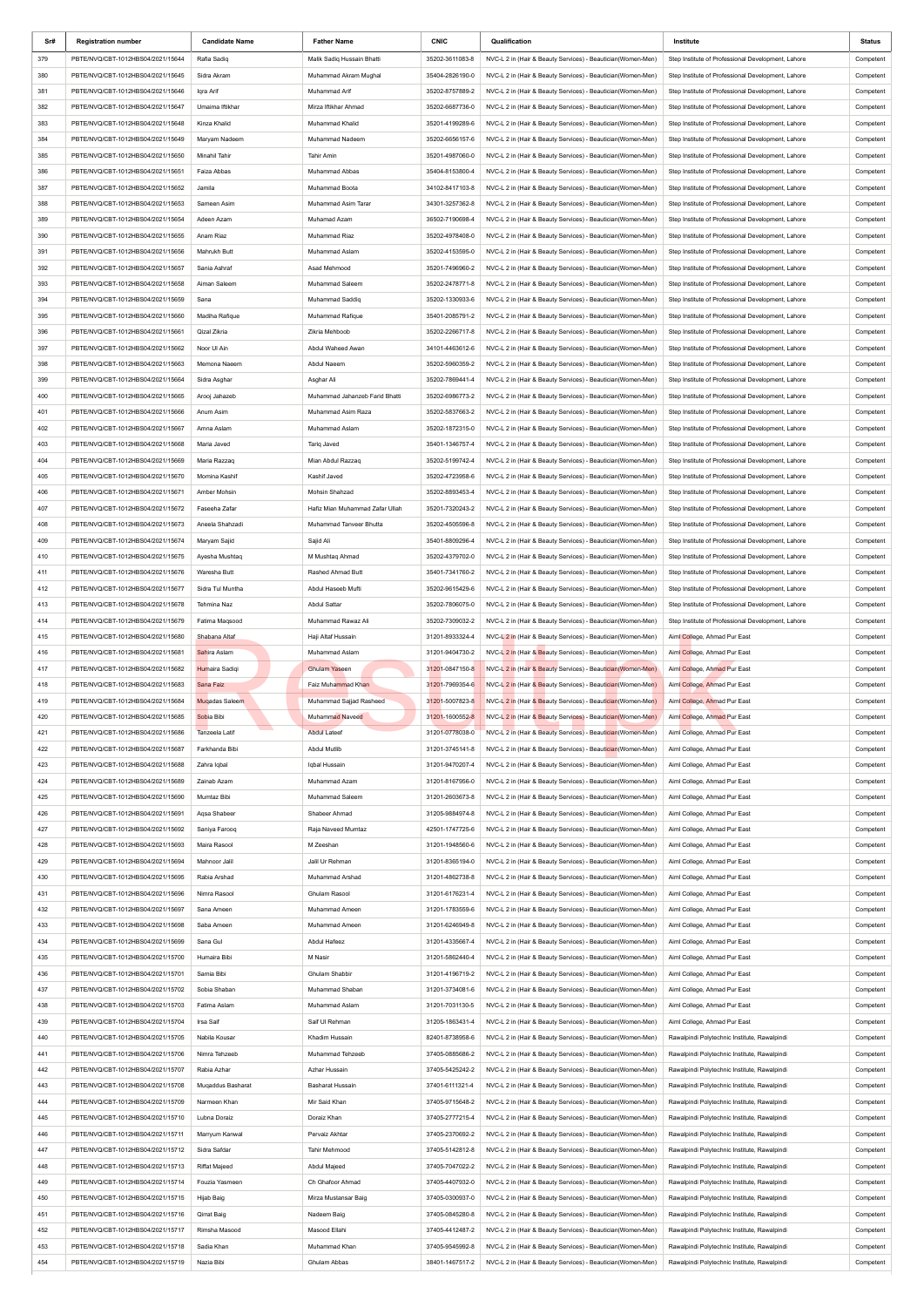| Sr# | <b>Registration number</b>        | <b>Candidate Name</b> | <b>Father Name</b>              | <b>CNIC</b>     | Qualification                                                | Institute                                          | Status    |
|-----|-----------------------------------|-----------------------|---------------------------------|-----------------|--------------------------------------------------------------|----------------------------------------------------|-----------|
| 379 | PBTE/NVQ/CBT-1012HBS04/2021/15644 | Rafia Sadiq           | Malik Sadiq Hussain Bhatti      | 35202-3611083-8 | NVC-L 2 in (Hair & Beauty Services) - Beautician(Women-Men)  | Step Institute of Professional Development, Lahore | Competent |
| 380 | PBTE/NVQ/CBT-1012HBS04/2021/15645 | Sidra Akram           | Muhammad Akram Mughal           | 35404-2826190-0 | NVC-L 2 in (Hair & Beauty Services) - Beautician(Women-Men)  | Step Institute of Professional Development, Lahore | Competent |
|     |                                   |                       |                                 |                 |                                                              |                                                    |           |
| 381 | PBTE/NVQ/CBT-1012HBS04/2021/15646 | Iqra Arif             | Muhammad Arif                   | 35202-8757889-2 | NVC-L 2 in (Hair & Beauty Services) - Beautician(Women-Men)  | Step Institute of Professional Development, Lahore | Competent |
| 382 | PBTE/NVQ/CBT-1012HBS04/2021/15647 | Umaima Iftikhar       | Mirza Iftikhar Ahmad            | 35202-6687736-0 | NVC-L 2 in (Hair & Beauty Services) - Beautician(Women-Men)  | Step Institute of Professional Development, Lahore | Competent |
| 383 | PBTE/NVQ/CBT-1012HBS04/2021/15648 | Kinza Khalid          | Muhammad Khalid                 | 35201-4199289-6 | NVC-L 2 in (Hair & Beauty Services) - Beautician (Women-Men) | Step Institute of Professional Development, Lahore | Competent |
| 384 | PBTE/NVQ/CBT-1012HBS04/2021/15649 | Maryam Nadeem         | Muhammad Nadeem                 | 35202-6656157-6 | NVC-L 2 in (Hair & Beauty Services) - Beautician(Women-Men)  | Step Institute of Professional Development, Lahore | Competent |
| 385 | PBTE/NVQ/CBT-1012HBS04/2021/15650 | Minahil Tahir         | <b>Tahir Amin</b>               | 35201-4987060-0 | NVC-L 2 in (Hair & Beauty Services) - Beautician(Women-Men)  | Step Institute of Professional Development, Lahore | Competent |
| 386 | PBTE/NVQ/CBT-1012HBS04/2021/15651 | Faiza Abbas           | Muhammad Abbas                  | 35404-8153800-4 | NVC-L 2 in (Hair & Beauty Services) - Beautician(Women-Men)  | Step Institute of Professional Development, Lahore | Competent |
| 387 | PBTE/NVQ/CBT-1012HBS04/2021/15652 | Jamila                | Muhammad Boota                  | 34102-8417103-8 | NVC-L 2 in (Hair & Beauty Services) - Beautician(Women-Men)  | Step Institute of Professional Development, Lahore | Competent |
| 388 | PBTE/NVQ/CBT-1012HBS04/2021/15653 | Sameen Asim           | Muhammad Asim Tarar             | 34301-3257362-8 | NVC-L 2 in (Hair & Beauty Services) - Beautician(Women-Men)  | Step Institute of Professional Development, Lahore | Competent |
|     |                                   |                       |                                 |                 |                                                              |                                                    |           |
| 389 | PBTE/NVQ/CBT-1012HBS04/2021/15654 | Adeen Azam            | Muhamad Azam                    | 36502-7190698-4 | NVC-L 2 in (Hair & Beauty Services) - Beautician(Women-Men)  | Step Institute of Professional Development, Lahore | Competent |
| 390 | PBTE/NVQ/CBT-1012HBS04/2021/15655 | Anam Riaz             | Muhammad Riaz                   | 35202-4978408-0 | NVC-L 2 in (Hair & Beauty Services) - Beautician(Women-Men)  | Step Institute of Professional Development, Lahore | Competent |
| 391 | PBTE/NVQ/CBT-1012HBS04/2021/15656 | Mahrukh Butt          | Muhammad Aslam                  | 35202-4153595-0 | NVC-L 2 in (Hair & Beauty Services) - Beautician(Women-Men)  | Step Institute of Professional Development, Lahore | Competent |
| 392 | PBTE/NVQ/CBT-1012HBS04/2021/15657 | Sania Ashraf          | Asad Mehmood                    | 35201-7496960-2 | NVC-L 2 in (Hair & Beauty Services) - Beautician (Women-Men) | Step Institute of Professional Development, Lahore | Competent |
| 393 | PBTE/NVQ/CBT-1012HBS04/2021/15658 | Aiman Saleem          | Muhammad Saleem                 | 35202-2478771-8 | NVC-L 2 in (Hair & Beauty Services) - Beautician(Women-Men)  | Step Institute of Professional Development, Lahore | Competent |
| 394 | PBTE/NVQ/CBT-1012HBS04/2021/15659 | Sana                  | Muhammad Saddig                 | 35202-1330933-6 | NVC-L 2 in (Hair & Beauty Services) - Beautician(Women-Men)  | Step Institute of Professional Development, Lahore | Competent |
| 395 | PBTE/NVQ/CBT-1012HBS04/2021/15660 | Madiha Rafique        | Muhammad Rafique                | 35401-2085791-2 | NVC-L 2 in (Hair & Beauty Services) - Beautician(Women-Men)  | Step Institute of Professional Development, Lahore | Competent |
| 396 | PBTE/NVQ/CBT-1012HBS04/2021/15661 | Qizal Zikria          | Zikria Mehboob                  | 35202-2266717-8 | NVC-L 2 in (Hair & Beauty Services) - Beautician(Women-Men)  | Step Institute of Professional Development, Lahore | Competent |
|     |                                   |                       |                                 |                 |                                                              |                                                    |           |
| 397 | PBTE/NVQ/CBT-1012HBS04/2021/15662 | Noor UI Ain           | Abdul Waheed Awan               | 34101-4463612-6 | NVC-L 2 in (Hair & Beauty Services) - Beautician(Women-Men)  | Step Institute of Professional Development, Lahore | Competent |
| 398 | PBTE/NVQ/CBT-1012HBS04/2021/15663 | Memona Naeem          | Abdul Naeem                     | 35202-5960359-2 | NVC-L 2 in (Hair & Beauty Services) - Beautician(Women-Men)  | Step Institute of Professional Development, Lahore | Competent |
| 399 | PBTE/NVQ/CBT-1012HBS04/2021/15664 | Sidra Asghar          | Asghar Ali                      | 35202-7869441-4 | NVC-L 2 in (Hair & Beauty Services) - Beautician (Women-Men) | Step Institute of Professional Development, Lahore | Competent |
| 400 | PBTE/NVQ/CBT-1012HBS04/2021/15665 | Arooj Jahazeb         | Muhammad Jahanzeb Farid Bhatti  | 35202-6986773-2 | NVC-L 2 in (Hair & Beauty Services) - Beautician(Women-Men)  | Step Institute of Professional Development, Lahore | Competent |
| 401 | PBTE/NVQ/CBT-1012HBS04/2021/15666 | Anum Asim             | Muhammad Asim Raza              | 35202-5837663-2 | NVC-L 2 in (Hair & Beauty Services) - Beautician (Women-Men) | Step Institute of Professional Development, Lahore | Competent |
| 402 | PBTE/NVQ/CBT-1012HBS04/2021/15667 | Amna Aslam            | Muhammad Aslam                  | 35202-1872315-0 | NVC-L 2 in (Hair & Beauty Services) - Beautician(Women-Men)  | Step Institute of Professional Development, Lahore | Competent |
| 403 | PBTE/NVQ/CBT-1012HBS04/2021/15668 | Maria Javed           |                                 | 35401-1346757-4 | NVC-L 2 in (Hair & Beauty Services) - Beautician(Women-Men)  | Step Institute of Professional Development, Lahore | Competent |
|     |                                   |                       | Tariq Javed                     |                 |                                                              |                                                    |           |
| 404 | PBTE/NVQ/CBT-1012HBS04/2021/15669 | Maria Razzaq          | Mian Abdul Razzag               | 35202-5199742-4 | NVC-L 2 in (Hair & Beauty Services) - Beautician(Women-Men)  | Step Institute of Professional Development, Lahore | Competent |
| 405 | PBTE/NVQ/CBT-1012HBS04/2021/15670 | Momina Kashif         | Kashif Javed                    | 35202-4723958-6 | NVC-L 2 in (Hair & Beauty Services) - Beautician(Women-Men)  | Step Institute of Professional Development, Lahore | Competent |
| 406 | PBTE/NVQ/CBT-1012HBS04/2021/15671 | Amber Mohsin          | Mohsin Shahzad                  | 35202-8893453-4 | NVC-L 2 in (Hair & Beauty Services) - Beautician (Women-Men) | Step Institute of Professional Development, Lahore | Competent |
| 407 | PBTE/NVQ/CBT-1012HBS04/2021/15672 | Faseeha Zafar         | Hafiz Mian Muhammad Zafar Ullah | 35201-7320243-2 | NVC-L 2 in (Hair & Beauty Services) - Beautician(Women-Men)  | Step Institute of Professional Development, Lahore | Competent |
| 408 | PBTE/NVQ/CBT-1012HBS04/2021/15673 | Aneela Shahzadi       | Muhammad Tanveer Bhutta         | 35202-4505596-8 | NVC-L 2 in (Hair & Beauty Services) - Beautician(Women-Men)  | Step Institute of Professional Development, Lahore | Competent |
| 409 | PBTE/NVQ/CBT-1012HBS04/2021/15674 | Maryam Sajid          | Sajid Ali                       | 35401-8809296-4 | NVC-L 2 in (Hair & Beauty Services) - Beautician(Women-Men)  | Step Institute of Professional Development, Lahore | Competent |
|     | PBTE/NVQ/CBT-1012HBS04/2021/15675 |                       | M Mushtag Ahmad                 |                 |                                                              | Step Institute of Professional Development, Lahore |           |
| 410 |                                   | Ayesha Mushtaq        |                                 | 35202-4379702-0 | NVC-L 2 in (Hair & Beauty Services) - Beautician(Women-Men)  |                                                    | Competent |
| 411 | PBTE/NVQ/CBT-1012HBS04/2021/15676 | Waresha Butt          | Rashed Ahmad Butt               | 35401-7341760-2 | NVC-L 2 in (Hair & Beauty Services) - Beautician(Women-Men)  | Step Institute of Professional Development, Lahore | Competent |
| 412 | PBTE/NVQ/CBT-1012HBS04/2021/15677 | Sidra Tul Muntha      | Abdul Haseeb Mufti              | 35202-9615429-6 | NVC-L 2 in (Hair & Beauty Services) - Beautician(Women-Men)  | Step Institute of Professional Development, Lahore | Competent |
| 413 | PBTE/NVQ/CBT-1012HBS04/2021/15678 | Tehmina Naz           | Abdul Sattar                    | 35202-7806075-0 | NVC-L 2 in (Hair & Beauty Services) - Beautician(Women-Men)  | Step Institute of Professional Development, Lahore | Competent |
| 414 | PBTE/NVQ/CBT-1012HBS04/2021/15679 | Fatima Magsood        | Muhammad Rawaz Ali              | 35202-7309032-2 | NVC-L 2 in (Hair & Beauty Services) - Beautician(Women-Men)  | Step Institute of Professional Development, Lahore | Competent |
| 415 | PBTE/NVQ/CBT-1012HBS04/2021/15680 | Shabana Altaf         | Haji Altaf Hussain              | 31201-8933324-4 | NVC-L 2 in (Hair & Beauty Services) - Beautician (Women-Men) | Aiml College, Ahmad Pur East                       | Competent |
| 416 | PBTE/NVQ/CBT-1012HBS04/2021/15681 | Sahira Aslam          | Muhammad Aslam                  | 31201-9404730-2 | NVC-L 2 in (Hair & Beauty Services) - Beautician (Women-Men) | Aiml College, Ahmad Pur East                       | Competent |
|     |                                   |                       |                                 |                 |                                                              |                                                    |           |
| 417 | PBTE/NVQ/CBT-1012HBS04/2021/15682 | Humaira Sadiqi        | Ghulam Yaseen                   | 31201-0847150-8 | NVC-L 2 in (Hair & Beauty Services) - Beautician (Women-Men) | Aiml College, Ahmad Pur East                       | Competent |
| 418 | PBTE/NVQ/CBT-1012HBS04/2021/15683 | Sana Faiz             | Faiz Muhammad Khan              | 31201-7969354-6 | NVC-L 2 in (Hair & Beauty Services) - Beautician (Women-Men) | Aiml College, Ahmad Pur East                       | Competent |
| 419 | PBTE/NVQ/CBT-1012HBS04/2021/15684 | Muqadas Saleem        | Muhammad Sajjad Rasheed         | 31201-5007823-8 | NVC-L 2 in (Hair & Beauty Services) - Beautician (Women-Men) | Aiml College, Ahmad Pur East                       | Competent |
| 420 | PBTE/NVQ/CBT-1012HBS04/2021/15685 | Sobia Bibi            | <b>Muhammad Naveed</b>          | 31201-1600552-8 | NVC-L 2 in (Hair & Beauty Services) - Beautician (Women-Men) | Aiml College, Ahmad Pur East                       | Competent |
| 421 | PBTE/NVQ/CBT-1012HBS04/2021/15686 | Tanzeela Latif        | <b>Abdul Lateef</b>             | 31201-0778038-0 | NVC-L 2 in (Hair & Beauty Services) - Beautician (Women-Men) | Aiml College, Ahmad Pur East                       | Competent |
| 422 | PBTE/NVQ/CBT-1012HBS04/2021/15687 | Farkhanda Bibi        | Abdul Mutlib                    | 31201-3745141-8 | NVC-L 2 in (Hair & Beauty Services) - Beautician (Women-Men) | Aiml College, Ahmad Pur East                       | Competent |
|     |                                   |                       |                                 |                 |                                                              |                                                    |           |
| 423 | PBTE/NVQ/CBT-1012HBS04/2021/15688 | Zahra Iqbal           | Iqbal Hussain                   | 31201-9470207-4 | NVC-L 2 in (Hair & Beauty Services) - Beautician(Women-Men)  | Aiml College, Ahmad Pur East                       | Competent |
| 424 | PBTE/NVQ/CBT-1012HBS04/2021/15689 | Zainab Azam           | Muhammad Azam                   | 31201-8167956-0 | NVC-L 2 in (Hair & Beauty Services) - Beautician(Women-Men)  | Aiml College, Ahmad Pur East                       | Competent |
| 425 | PBTE/NVQ/CBT-1012HBS04/2021/15690 | Mumtaz Bibi           | Muhammad Saleem                 | 31201-2603673-8 | NVC-L 2 in (Hair & Beauty Services) - Beautician(Women-Men)  | Aiml College, Ahmad Pur East                       | Competent |
| 426 | PBTE/NVQ/CBT-1012HBS04/2021/15691 | Aqsa Shabeer          | Shabeer Ahmad                   | 31205-9884974-8 | NVC-L 2 in (Hair & Beauty Services) - Beautician(Women-Men)  | Aiml College, Ahmad Pur East                       | Competent |
| 427 | PBTE/NVQ/CBT-1012HBS04/2021/15692 | Saniya Farooq         | Raja Naveed Mumtaz              | 42501-1747725-6 | NVC-L 2 in (Hair & Beauty Services) - Beautician(Women-Men)  | Aiml College, Ahmad Pur East                       | Competent |
| 428 | PBTE/NVQ/CBT-1012HBS04/2021/15693 | Maira Rasool          | M Zeeshan                       | 31201-1948560-6 | NVC-L 2 in (Hair & Beauty Services) - Beautician(Women-Men)  | Aiml College, Ahmad Pur East                       | Competent |
| 429 | PBTE/NVQ/CBT-1012HBS04/2021/15694 | Mahnoor Jalil         | Jalil Ur Rehman                 | 31201-8365194-0 | NVC-L 2 in (Hair & Beauty Services) - Beautician(Women-Men)  | Aiml College, Ahmad Pur East                       | Competent |
|     |                                   |                       |                                 |                 |                                                              |                                                    |           |
| 430 | PBTE/NVQ/CBT-1012HBS04/2021/15695 | Rabia Arshad          | Muhammad Arshad                 | 31201-4862738-8 | NVC-L 2 in (Hair & Beauty Services) - Beautician(Women-Men)  | Aiml College, Ahmad Pur East                       | Competent |
| 431 | PBTE/NVQ/CBT-1012HBS04/2021/15696 | Nimra Rasool          | Ghulam Rasool                   | 31201-6176231-4 | NVC-L 2 in (Hair & Beauty Services) - Beautician(Women-Men)  | Aiml College, Ahmad Pur East                       | Competent |
| 432 | PBTE/NVQ/CBT-1012HBS04/2021/15697 | Sana Ameen            | Muhammad Ameen                  | 31201-1783559-6 | NVC-L 2 in (Hair & Beauty Services) - Beautician(Women-Men)  | Aiml College, Ahmad Pur East                       | Competent |
| 433 | PBTE/NVQ/CBT-1012HBS04/2021/15698 | Saba Ameen            | Muhammad Ameen                  | 31201-6246949-8 | NVC-L 2 in (Hair & Beauty Services) - Beautician(Women-Men)  | Aiml College, Ahmad Pur East                       | Competent |
| 434 | PBTE/NVQ/CBT-1012HBS04/2021/15699 | Sana Gul              | Abdul Hafeez                    | 31201-4335667-4 | NVC-L 2 in (Hair & Beauty Services) - Beautician(Women-Men)  | Aiml College, Ahmad Pur East                       | Competent |
| 435 | PBTE/NVQ/CBT-1012HBS04/2021/15700 | Humaira Bibi          | M Nasir                         | 31201-5862440-4 | NVC-L 2 in (Hair & Beauty Services) - Beautician(Women-Men)  | Aiml College, Ahmad Pur East                       | Competent |
| 436 | PBTE/NVQ/CBT-1012HBS04/2021/15701 | Samia Bibi            | Ghulam Shabbir                  | 31201-4196719-2 | NVC-L 2 in (Hair & Beauty Services) - Beautician(Women-Men)  | Aiml College, Ahmad Pur East                       | Competent |
| 437 | PBTE/NVQ/CBT-1012HBS04/2021/15702 | Sobia Shaban          | Muhammad Shaban                 | 31201-3734081-6 | NVC-L 2 in (Hair & Beauty Services) - Beautician(Women-Men)  | Aiml College, Ahmad Pur East                       | Competent |
|     |                                   |                       |                                 |                 |                                                              |                                                    |           |
| 438 | PBTE/NVQ/CBT-1012HBS04/2021/15703 | Fatima Aslam          | Muhammad Aslam                  | 31201-7031130-5 | NVC-L 2 in (Hair & Beauty Services) - Beautician(Women-Men)  | Aiml College, Ahmad Pur East                       | Competent |
| 439 | PBTE/NVQ/CBT-1012HBS04/2021/15704 | Irsa Saif             | Saif UI Rehman                  | 31205-1863431-4 | NVC-L 2 in (Hair & Beauty Services) - Beautician(Women-Men)  | Aiml College, Ahmad Pur East                       | Competent |
| 440 | PBTE/NVQ/CBT-1012HBS04/2021/15705 | Nabila Kousar         | Khadim Hussain                  | 82401-8738958-6 | NVC-L 2 in (Hair & Beauty Services) - Beautician(Women-Men)  | Rawalpindi Polytechnic Institute, Rawalpindi       | Competent |
| 441 | PBTE/NVQ/CBT-1012HBS04/2021/15706 | Nimra Tehzeeb         | Muhammad Tehzeeb                | 37405-0885686-2 | NVC-L 2 in (Hair & Beauty Services) - Beautician(Women-Men)  | Rawalpindi Polytechnic Institute, Rawalpindi       | Competent |
| 442 | PBTE/NVQ/CBT-1012HBS04/2021/15707 | Rabia Azhar           | Azhar Hussain                   | 37405-5425242-2 | NVC-L 2 in (Hair & Beauty Services) - Beautician(Women-Men)  | Rawalpindi Polytechnic Institute, Rawalpindi       | Competent |
| 443 | PBTE/NVQ/CBT-1012HBS04/2021/15708 | Muqaddus Basharat     | <b>Basharat Hussain</b>         | 37401-6111321-4 | NVC-L 2 in (Hair & Beauty Services) - Beautician(Women-Men)  | Rawalpindi Polytechnic Institute, Rawalpindi       | Competent |
| 444 | PBTE/NVQ/CBT-1012HBS04/2021/15709 | Narmeen Khan          | Mir Said Khan                   | 37405-9715648-2 | NVC-L 2 in (Hair & Beauty Services) - Beautician(Women-Men)  | Rawalpindi Polytechnic Institute, Rawalpindi       | Competent |
|     |                                   |                       |                                 |                 |                                                              |                                                    |           |
| 445 | PBTE/NVQ/CBT-1012HBS04/2021/15710 | Lubna Doraiz          | Doraiz Khan                     | 37405-2777215-4 | NVC-L 2 in (Hair & Beauty Services) - Beautician(Women-Men)  | Rawalpindi Polytechnic Institute, Rawalpindi       | Competent |
| 446 | PBTE/NVQ/CBT-1012HBS04/2021/15711 | Marryum Kanwal        | Pervaiz Akhtar                  | 37405-2370692-2 | NVC-L 2 in (Hair & Beauty Services) - Beautician(Women-Men)  | Rawalpindi Polytechnic Institute, Rawalpindi       | Competent |
| 447 | PBTE/NVQ/CBT-1012HBS04/2021/15712 | Sidra Safdar          | Tahir Mehmood                   | 37405-5142812-8 | NVC-L 2 in (Hair & Beauty Services) - Beautician(Women-Men)  | Rawalpindi Polytechnic Institute, Rawalpindi       | Competent |
| 448 | PBTE/NVQ/CBT-1012HBS04/2021/15713 | <b>Riffat Majeed</b>  | Abdul Majeed                    | 37405-7047022-2 | NVC-L 2 in (Hair & Beauty Services) - Beautician(Women-Men)  | Rawalpindi Polytechnic Institute, Rawalpindi       | Competent |
| 449 | PBTE/NVQ/CBT-1012HBS04/2021/15714 | Fouzia Yasmeen        | Ch Ghafoor Ahmad                | 37405-4407932-0 | NVC-L 2 in (Hair & Beauty Services) - Beautician(Women-Men)  | Rawalpindi Polytechnic Institute, Rawalpindi       | Competent |
| 450 | PBTE/NVQ/CBT-1012HBS04/2021/15715 | Hijab Baig            | Mirza Mustansar Baig            | 37405-0300937-0 | NVC-L 2 in (Hair & Beauty Services) - Beautician(Women-Men)  | Rawalpindi Polytechnic Institute, Rawalpindi       | Competent |
| 451 | PBTE/NVQ/CBT-1012HBS04/2021/15716 | Qirrat Baig           | Nadeem Baig                     | 37405-0845280-8 | NVC-L 2 in (Hair & Beauty Services) - Beautician(Women-Men)  | Rawalpindi Polytechnic Institute, Rawalpindi       | Competent |
|     |                                   |                       |                                 |                 | NVC-L 2 in (Hair & Beauty Services) - Beautician(Women-Men)  |                                                    |           |
| 452 | PBTE/NVQ/CBT-1012HBS04/2021/15717 | Rimsha Masood         | Masood Ellahi                   | 37405-4412487-2 |                                                              | Rawalpindi Polytechnic Institute, Rawalpindi       | Competent |
| 453 | PBTE/NVQ/CBT-1012HBS04/2021/15718 | Sadia Khan            | Muhammad Khan                   | 37405-9545992-8 | NVC-L 2 in (Hair & Beauty Services) - Beautician(Women-Men)  | Rawalpindi Polytechnic Institute, Rawalpindi       | Competent |
| 454 | PBTE/NVQ/CBT-1012HBS04/2021/15719 | Nazia Bibi            | Ghulam Abbas                    | 38401-1467517-2 | NVC-L 2 in (Hair & Beauty Services) - Beautician(Women-Men)  | Rawalpindi Polytechnic Institute, Rawalpindi       | Competent |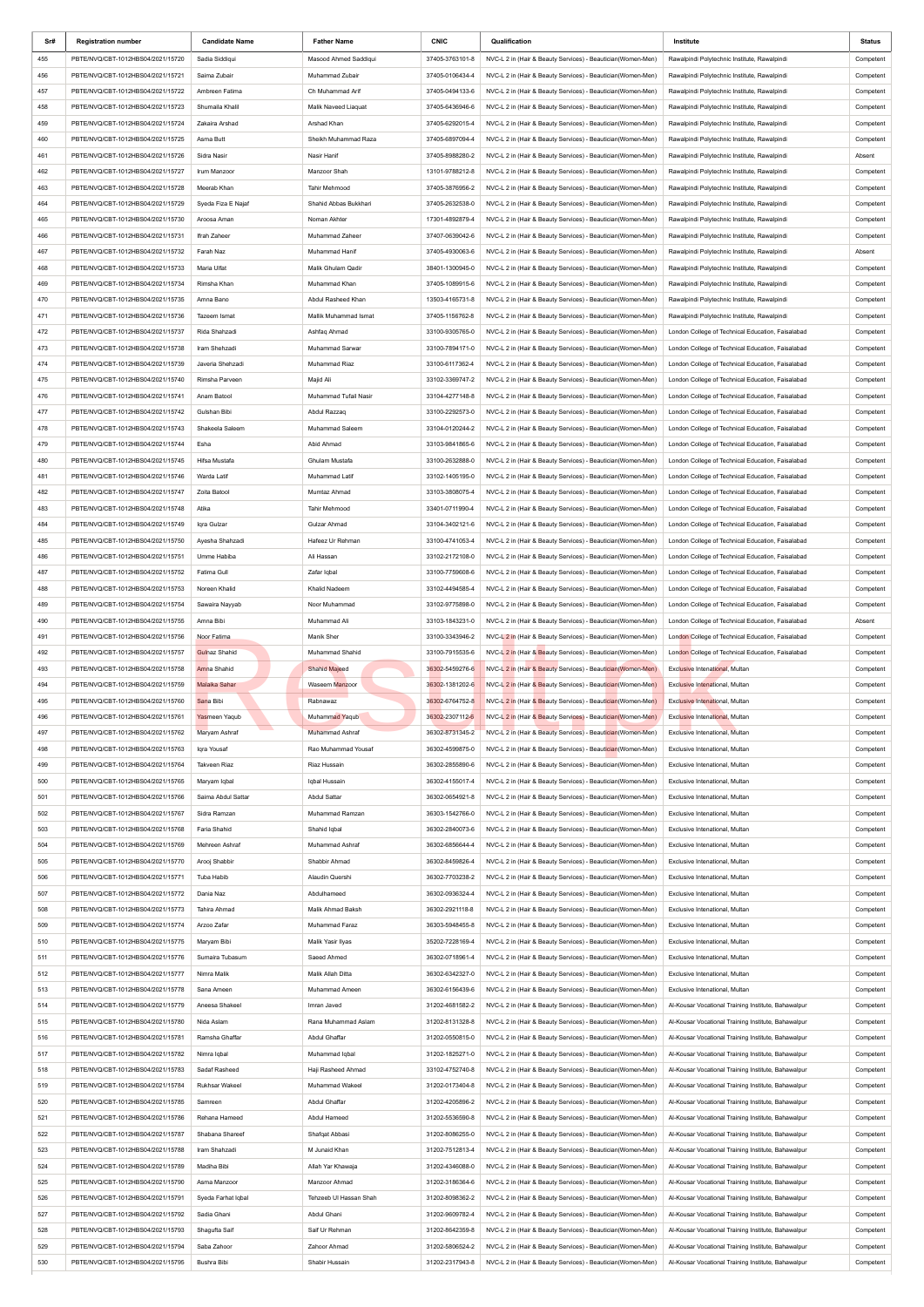| Sr#        | <b>Registration number</b>                                             | <b>Candidate Name</b>             | <b>Father Name</b>                 | <b>CNIC</b>                        | Qualification                                                                                                                | Institute                                                                                                  | Status                 |
|------------|------------------------------------------------------------------------|-----------------------------------|------------------------------------|------------------------------------|------------------------------------------------------------------------------------------------------------------------------|------------------------------------------------------------------------------------------------------------|------------------------|
| 455        | PBTE/NVQ/CBT-1012HBS04/2021/15720                                      | Sadia Siddiqui                    | Masood Ahmed Saddiqui              | 37405-3763101-8                    | NVC-L 2 in (Hair & Beauty Services) - Beautician(Women-Men)                                                                  | Rawalpindi Polytechnic Institute, Rawalpindi                                                               | Competent              |
| 456        | PBTE/NVQ/CBT-1012HBS04/2021/15721                                      | Saima Zubair                      | Muhammad Zubair                    | 37405-0106434-4                    | NVC-L 2 in (Hair & Beauty Services) - Beautician(Women-Men)                                                                  | Rawalpindi Polytechnic Institute, Rawalpindi                                                               | Competent              |
| 457        | PBTE/NVQ/CBT-1012HBS04/2021/15722                                      | Ambreen Fatima                    | Ch Muhammad Arif                   | 37405-0494133-6                    | NVC-L 2 in (Hair & Beauty Services) - Beautician(Women-Men)                                                                  | Rawalpindi Polytechnic Institute, Rawalpindi                                                               | Competent              |
| 458        | PBTE/NVQ/CBT-1012HBS04/2021/15723                                      | Shumaila Khalil                   | Malik Naveed Liaquat               | 37405-6436946-6                    | NVC-L 2 in (Hair & Beauty Services) - Beautician(Women-Men)                                                                  | Rawalpindi Polytechnic Institute, Rawalpindi                                                               | Competent              |
| 459        | PBTE/NVQ/CBT-1012HBS04/2021/15724                                      | Zakaira Arshad                    | Arshad Khan                        | 37405-6292015-4                    | NVC-L 2 in (Hair & Beauty Services) - Beautician(Women-Men)                                                                  | Rawalpindi Polytechnic Institute, Rawalpindi                                                               | Competent              |
| 460        | PBTE/NVQ/CBT-1012HBS04/2021/15725                                      | Asma Butt                         | Sheikh Muhammad Raza               | 37405-6897094-4                    | NVC-L 2 in (Hair & Beauty Services) - Beautician(Women-Men)                                                                  | Rawalpindi Polytechnic Institute, Rawalpindi                                                               | Competent              |
| 461        | PBTE/NVQ/CBT-1012HBS04/2021/15726                                      | Sidra Nasir                       | Nasir Hanif                        | 37405-8988280-2                    | NVC-L 2 in (Hair & Beauty Services) - Beautician(Women-Men)                                                                  | Rawalpindi Polytechnic Institute, Rawalpindi                                                               | Absent                 |
| 462        | PBTE/NVQ/CBT-1012HBS04/2021/15727                                      | Irum Manzoor                      | Manzoor Shah                       | 13101-9788212-8                    | NVC-L 2 in (Hair & Beauty Services) - Beautician(Women-Men)                                                                  | Rawalpindi Polytechnic Institute, Rawalpindi                                                               | Competent              |
| 463        | PBTE/NVQ/CBT-1012HBS04/2021/15728                                      | Meerab Khan                       | Tahir Mehmood                      | 37405-3876956-2                    | NVC-L 2 in (Hair & Beauty Services) - Beautician (Women-Men)                                                                 | Rawalpindi Polytechnic Institute, Rawalpindi                                                               | Competent              |
| 464        | PBTE/NVQ/CBT-1012HBS04/2021/15729                                      | Syeda Fiza E Najaf                | Shahid Abbas Bukkhari              | 37405-2632538-0                    | NVC-L 2 in (Hair & Beauty Services) - Beautician(Women-Men)                                                                  | Rawalpindi Polytechnic Institute, Rawalpindi                                                               | Competent              |
| 465        | PBTE/NVQ/CBT-1012HBS04/2021/15730                                      | Aroosa Aman                       | Noman Akhter                       | 17301-4892879-4                    | NVC-L 2 in (Hair & Beauty Services) - Beautician(Women-Men)                                                                  | Rawalpindi Polytechnic Institute, Rawalpindi                                                               | Competent              |
| 466        | PBTE/NVQ/CBT-1012HBS04/2021/15731                                      | Ifrah Zaheer                      | Muhammad Zaheer                    | 37407-0639042-6                    | NVC-L 2 in (Hair & Beauty Services) - Beautician(Women-Men)                                                                  | Rawalpindi Polytechnic Institute, Rawalpindi                                                               | Competent              |
| 467        | PBTE/NVQ/CBT-1012HBS04/2021/15732                                      | Farah Naz                         | Muhammad Hanif                     | 37405-4930063-6                    | NVC-L 2 in (Hair & Beauty Services) - Beautician(Women-Men)                                                                  | Rawalpindi Polytechnic Institute, Rawalpindi                                                               | Absent                 |
| 468        | PBTE/NVQ/CBT-1012HBS04/2021/15733                                      | Maria Ulfat                       | Malik Ghulam Qadir                 | 38401-1300945-0                    | NVC-L 2 in (Hair & Beauty Services) - Beautician (Women-Men)                                                                 | Rawalpindi Polytechnic Institute, Rawalpindi                                                               | Competent              |
| 469        | PBTE/NVQ/CBT-1012HBS04/2021/15734                                      | Rimsha Khan                       | Muhammad Khan                      | 37405-1089915-6                    | NVC-L 2 in (Hair & Beauty Services) - Beautician(Women-Men)                                                                  | Rawalpindi Polytechnic Institute, Rawalpindi                                                               | Competent              |
| 470        | PBTE/NVQ/CBT-1012HBS04/2021/15735                                      | Amna Bano                         | Abdul Rasheed Khan                 | 13503-4165731-8                    | NVC-L 2 in (Hair & Beauty Services) - Beautician(Women-Men)                                                                  | Rawalpindi Polytechnic Institute, Rawalpindi                                                               | Competent              |
| 471        | PBTE/NVQ/CBT-1012HBS04/2021/15736                                      | Tazeem Ismat                      | Mallik Muhammad Ismat              | 37405-1156762-8                    | NVC-L 2 in (Hair & Beauty Services) - Beautician(Women-Men)                                                                  | Rawalpindi Polytechnic Institute, Rawalpindi                                                               | Competent              |
| 472        | PBTE/NVQ/CBT-1012HBS04/2021/15737                                      | Rida Shahzadi                     | Ashfaq Ahmad                       | 33100-9305765-0                    | NVC-L 2 in (Hair & Beauty Services) - Beautician(Women-Men)                                                                  | London College of Technical Education, Faisalabad                                                          | Competent              |
| 473<br>474 | PBTE/NVQ/CBT-1012HBS04/2021/15738<br>PBTE/NVQ/CBT-1012HBS04/2021/15739 | Iram Shehzadi<br>Javeria Shehzadi | Muhammad Sarwar<br>Muhammad Riaz   | 33100-7894171-0<br>33100-6117362-4 | NVC-L 2 in (Hair & Beauty Services) - Beautician(Women-Men)<br>NVC-L 2 in (Hair & Beauty Services) - Beautician(Women-Men)   | London College of Technical Education, Faisalabad<br>London College of Technical Education, Faisalabad     | Competent              |
| 475        | PBTE/NVQ/CBT-1012HBS04/2021/15740                                      | Rimsha Parveen                    | Majid Ali                          | 33102-3369747-2                    | NVC-L 2 in (Hair & Beauty Services) - Beautician(Women-Men)                                                                  | London College of Technical Education, Faisalabad                                                          | Competent              |
| 476        | PBTE/NVQ/CBT-1012HBS04/2021/15741                                      | Anam Batool                       | Muhammad Tufail Nasir              | 33104-4277148-8                    | NVC-L 2 in (Hair & Beauty Services) - Beautician(Women-Men)                                                                  | London College of Technical Education, Faisalabad                                                          | Competent<br>Competent |
| 477        | PBTE/NVQ/CBT-1012HBS04/2021/15742                                      | Gulshan Bibi                      | Abdul Razzaq                       | 33100-2292573-0                    | NVC-L 2 in (Hair & Beauty Services) - Beautician (Women-Men)                                                                 | London College of Technical Education, Faisalabad                                                          | Competent              |
| 478        | PBTE/NVQ/CBT-1012HBS04/2021/15743                                      | Shakeela Saleem                   | Muhammad Saleem                    | 33104-0120244-2                    | NVC-L 2 in (Hair & Beauty Services) - Beautician(Women-Men)                                                                  | London College of Technical Education, Faisalabad                                                          | Competent              |
| 479        | PBTE/NVQ/CBT-1012HBS04/2021/15744                                      | Esha                              | Abid Ahmad                         | 33103-9841865-6                    | NVC-L 2 in (Hair & Beauty Services) - Beautician(Women-Men)                                                                  | London College of Technical Education, Faisalabad                                                          | Competent              |
| 480        | PBTE/NVQ/CBT-1012HBS04/2021/15745                                      | Hifsa Mustafa                     | Ghulam Mustafa                     | 33100-2632888-0                    | NVC-L 2 in (Hair & Beauty Services) - Beautician(Women-Men)                                                                  | London College of Technical Education, Faisalabad                                                          | Competent              |
| 481        | PBTE/NVQ/CBT-1012HBS04/2021/15746                                      | Warda Latif                       | Muhammad Latif                     | 33102-1405195-0                    | NVC-L 2 in (Hair & Beauty Services) - Beautician(Women-Men)                                                                  | London College of Technical Education, Faisalabad                                                          | Competent              |
| 482        | PBTE/NVQ/CBT-1012HBS04/2021/15747                                      | Zoita Batool                      | Mumtaz Ahmad                       | 33103-3808075-4                    | NVC-L 2 in (Hair & Beauty Services) - Beautician(Women-Men)                                                                  | London College of Technical Education, Faisalabad                                                          | Competent              |
| 483        | PBTE/NVQ/CBT-1012HBS04/2021/15748                                      | Atika                             | Tahir Mehmood                      | 33401-0711990-4                    | NVC-L 2 in (Hair & Beauty Services) - Beautician(Women-Men)                                                                  | London College of Technical Education, Faisalabad                                                          | Competent              |
| 484        | PBTE/NVQ/CBT-1012HBS04/2021/15749                                      | Iqra Gulzar                       | Gulzar Ahmad                       | 33104-3402121-6                    | NVC-L 2 in (Hair & Beauty Services) - Beautician(Women-Men)                                                                  | London College of Technical Education, Faisalabad                                                          | Competent              |
| 485        | PBTE/NVQ/CBT-1012HBS04/2021/15750                                      | Ayesha Shahzadi                   | Hafeez Ur Rehman                   | 33100-4741053-4                    | NVC-L 2 in (Hair & Beauty Services) - Beautician(Women-Men)                                                                  | London College of Technical Education, Faisalabad                                                          | Competent              |
| 486        | PBTE/NVQ/CBT-1012HBS04/2021/15751                                      | Umme Habiba                       | Ali Hassan                         | 33102-2172108-0                    | NVC-L 2 in (Hair & Beauty Services) - Beautician(Women-Men)                                                                  | London College of Technical Education, Faisalabad                                                          | Competent              |
| 487        | PBTE/NVQ/CBT-1012HBS04/2021/15752                                      | Fatima Gull                       | Zafar Iqbal                        | 33100-7759608-6                    | NVC-L 2 in (Hair & Beauty Services) - Beautician(Women-Men)                                                                  | London College of Technical Education, Faisalabad                                                          | Competent              |
| 488        | PBTE/NVQ/CBT-1012HBS04/2021/15753                                      | Noreen Khalid                     | Khalid Nadeem                      | 33102-4494585-4                    | NVC-L 2 in (Hair & Beauty Services) - Beautician(Women-Men)                                                                  | London College of Technical Education, Faisalabad                                                          | Competent              |
| 489        | PBTE/NVQ/CBT-1012HBS04/2021/15754                                      | Sawaira Nayyab                    | Noor Muhammad                      | 33102-9775898-0                    | NVC-L 2 in (Hair & Beauty Services) - Beautician(Women-Men)                                                                  | London College of Technical Education, Faisalabad                                                          | Competent              |
| 490        | PBTE/NVQ/CBT-1012HBS04/2021/15755                                      | Amna Bibi                         | Muhammad Ali                       | 33103-1843231-0                    | NVC-L 2 in (Hair & Beauty Services) - Beautician(Women-Men)                                                                  | London College of Technical Education, Faisalabad                                                          | Absent                 |
| 491        | PBTE/NVQ/CBT-1012HBS04/2021/15756                                      | Noor Fatima                       | Manik Sher                         | 33100-3343946-2                    | NVC-L 2 in (Hair & Beauty Services) - Beautician (Women-Men)                                                                 | London College of Technical Education, Faisalabad                                                          | Competent              |
| 492        | PBTE/NVQ/CBT-1012HBS04/2021/15757                                      | <b>Gulnaz Shahid</b>              | Muhammad Shahid                    | 33100-7915535-6                    | NVC-L 2 in (Hair & Beauty Services) - Beautician (Women-Men)                                                                 | London College of Technical Education, Faisalabad                                                          | Competent              |
| 493        | PBTE/NVQ/CBT-1012HBS04/2021/15758                                      | Amna Shahid                       | <b>Shahid Majeed</b>               | 36302-5459276-6                    | NVC-L 2 in (Hair & Beauty Services) - Beautician (Women-Men)                                                                 | Exclusive Intenational, Multan                                                                             | Competent              |
| 494<br>495 | PBTE/NVQ/CBT-1012HBS04/2021/15759<br>PBTE/NVQ/CBT-1012HBS04/2021/15760 | Malaika Sahar<br>Sana Bibi        | Waseem Manzoor<br>Rabnawaz         | 36302-1381202-6<br>36302-6764752-8 | NVC-L 2 in (Hair & Beauty Services) - Beautician (Women-Men)<br>NVC-L 2 in (Hair & Beauty Services) - Beautician (Women-Men) | Exclusive Intenational, Multan<br>Exclusive Intenational, Multan                                           | Competent<br>Competent |
| 496        | PBTE/NVQ/CBT-1012HBS04/2021/15761                                      | Yasmeen Yaqub                     | Muhammad Yaqub                     | 36302-2307112-6                    | NVC-L 2 in (Hair & Beauty Services) - Beautician (Women-Men)                                                                 | Exclusive Intenational, Multan                                                                             | Competent              |
| 497        | PBTE/NVQ/CBT-1012HBS04/2021/15762                                      | Maryam Ashraf                     | Muhammad Ashraf                    | 36302-8731345-2                    | NVC-L 2 in (Hair & Beauty Services) - Beautician (Women-Men)                                                                 | Exclusive Intenational, Multan                                                                             | Competent              |
| 498        | PBTE/NVQ/CBT-1012HBS04/2021/15763                                      | Iqra Yousaf                       | Rao Muhammad Yousaf                | 36302-4599875-0                    | NVC-L 2 in (Hair & Beauty Services) - Beautician (Women-Men)                                                                 | Exclusive Intenational, Multan                                                                             | Competent              |
| 499        | PBTE/NVQ/CBT-1012HBS04/2021/15764                                      | Takveen Riaz                      | Riaz Hussain                       | 36302-2855890-6                    | NVC-L 2 in (Hair & Beauty Services) - Beautician(Women-Men)                                                                  | Exclusive Intenational, Multan                                                                             | Competent              |
| 500        | PBTE/NVQ/CBT-1012HBS04/2021/15765                                      | Maryam Iqbal                      | Iqbal Hussain                      | 36302-4155017-4                    | NVC-L 2 in (Hair & Beauty Services) - Beautician(Women-Men)                                                                  | Exclusive Intenational, Multan                                                                             | Competent              |
| 501        | PBTE/NVQ/CBT-1012HBS04/2021/15766                                      | Saima Abdul Sattar                | Abdul Sattar                       | 36302-0654921-8                    | NVC-L 2 in (Hair & Beauty Services) - Beautician(Women-Men)                                                                  | Exclusive Intenational, Multan                                                                             | Competent              |
| 502        | PBTE/NVQ/CBT-1012HBS04/2021/15767                                      | Sidra Ramzan                      | Muhammad Ramzan                    | 36303-1542766-0                    | NVC-L 2 in (Hair & Beauty Services) - Beautician(Women-Men)                                                                  | Exclusive Intenational, Multan                                                                             | Competent              |
| 503        | PBTE/NVQ/CBT-1012HBS04/2021/15768                                      | Faria Shahid                      | Shahid Iqbal                       | 36302-2840073-6                    | NVC-L 2 in (Hair & Beauty Services) - Beautician(Women-Men)                                                                  | Exclusive Intenational, Multan                                                                             | Competent              |
| 504        | PBTE/NVQ/CBT-1012HBS04/2021/15769                                      | Mehreen Ashraf                    | Muhammad Ashraf                    | 36302-6856644-4                    | NVC-L 2 in (Hair & Beauty Services) - Beautician(Women-Men)                                                                  | Exclusive Intenational, Multan                                                                             | Competent              |
| 505        | PBTE/NVQ/CBT-1012HBS04/2021/15770                                      | Arooj Shabbir                     | Shabbir Ahmad                      | 36302-8459826-4                    | NVC-L 2 in (Hair & Beauty Services) - Beautician(Women-Men)                                                                  | Exclusive Intenational, Multan                                                                             | Competent              |
| 506        | PBTE/NVQ/CBT-1012HBS04/2021/15771                                      | Tuba Habib                        | Alaudin Quershi                    | 36302-7703238-2                    | NVC-L 2 in (Hair & Beauty Services) - Beautician(Women-Men)                                                                  | Exclusive Intenational, Multan                                                                             | Competent              |
| 507        | PBTE/NVQ/CBT-1012HBS04/2021/15772                                      | Dania Naz                         | Abdulhameed                        | 36302-0936324-4                    | NVC-L 2 in (Hair & Beauty Services) - Beautician(Women-Men)                                                                  | Exclusive Intenational, Multan                                                                             | Competent              |
| 508        | PBTE/NVQ/CBT-1012HBS04/2021/15773                                      | Tahira Ahmad                      | Malik Ahmad Baksh                  | 36302-2921118-8                    | NVC-L 2 in (Hair & Beauty Services) - Beautician(Women-Men)                                                                  | Exclusive Intenational, Multan                                                                             | Competent              |
| 509        | PBTE/NVQ/CBT-1012HBS04/2021/15774                                      | Arzoo Zafar                       | Muhammad Faraz                     | 36303-5948455-8                    | NVC-L 2 in (Hair & Beauty Services) - Beautician(Women-Men)                                                                  | Exclusive Intenational, Multan                                                                             | Competent              |
| 510        | PBTE/NVQ/CBT-1012HBS04/2021/15775                                      | Maryam Bibi                       | Malik Yasir Ilyas                  | 35202-7228169-4                    | NVC-L 2 in (Hair & Beauty Services) - Beautician(Women-Men)                                                                  | Exclusive Intenational, Multan                                                                             | Competent              |
| 511        | PBTE/NVQ/CBT-1012HBS04/2021/15776                                      | Sumaira Tubasum                   | Saeed Ahmed                        | 36302-0718961-4                    | NVC-L 2 in (Hair & Beauty Services) - Beautician(Women-Men)                                                                  | Exclusive Intenational, Multan                                                                             | Competent              |
| 512<br>513 | PBTE/NVQ/CBT-1012HBS04/2021/15777<br>PBTE/NVQ/CBT-1012HBS04/2021/15778 | Nimra Malik<br>Sana Ameen         | Malik Allah Ditta                  | 36302-6342327-0<br>36302-6156439-6 | NVC-L 2 in (Hair & Beauty Services) - Beautician(Women-Men)<br>NVC-L 2 in (Hair & Beauty Services) - Beautician(Women-Men)   | Exclusive Intenational, Multan<br>Exclusive Intenational, Multan                                           | Competent              |
|            |                                                                        |                                   | Muhammad Ameen                     |                                    |                                                                                                                              |                                                                                                            | Competent              |
| 514<br>515 | PBTE/NVQ/CBT-1012HBS04/2021/15779<br>PBTE/NVQ/CBT-1012HBS04/2021/15780 | Aneesa Shakeel<br>Nida Aslam      | Imran Javed<br>Rana Muhammad Aslam | 31202-4681582-2<br>31202-8131328-8 | NVC-L 2 in (Hair & Beauty Services) - Beautician(Women-Men)<br>NVC-L 2 in (Hair & Beauty Services) - Beautician(Women-Men)   | Al-Kousar Vocational Training Institute, Bahawalpur<br>Al-Kousar Vocational Training Institute, Bahawalpur | Competent<br>Competent |
| 516        | PBTE/NVQ/CBT-1012HBS04/2021/15781                                      | Ramsha Ghaffar                    | Abdul Ghaffar                      | 31202-0550815-0                    | NVC-L 2 in (Hair & Beauty Services) - Beautician(Women-Men)                                                                  | Al-Kousar Vocational Training Institute, Bahawalpur                                                        | Competent              |
| 517        | PBTE/NVQ/CBT-1012HBS04/2021/15782                                      | Nimra Iqbal                       | Muhammad Iqbal                     | 31202-1825271-0                    | NVC-L 2 in (Hair & Beauty Services) - Beautician(Women-Men)                                                                  | Al-Kousar Vocational Training Institute, Bahawalpur                                                        | Competent              |
| 518        | PBTE/NVQ/CBT-1012HBS04/2021/15783                                      | Sadaf Rasheed                     | Haji Rasheed Ahmad                 | 33102-4752740-8                    | NVC-L 2 in (Hair & Beauty Services) - Beautician(Women-Men)                                                                  | Al-Kousar Vocational Training Institute, Bahawalpur                                                        | Competent              |
| 519        | PBTE/NVQ/CBT-1012HBS04/2021/15784                                      | Rukhsar Wakeel                    | Muhammad Wakeel                    | 31202-0173404-8                    | NVC-L 2 in (Hair & Beauty Services) - Beautician(Women-Men)                                                                  | Al-Kousar Vocational Training Institute, Bahawalpur                                                        | Competent              |
| 520        | PBTE/NVQ/CBT-1012HBS04/2021/15785                                      | Samreen                           | Abdul Ghaffar                      | 31202-4205896-2                    | NVC-L 2 in (Hair & Beauty Services) - Beautician(Women-Men)                                                                  | Al-Kousar Vocational Training Institute, Bahawalpur                                                        | Competent              |
| 521        | PBTE/NVQ/CBT-1012HBS04/2021/15786                                      | Rehana Hameed                     | Abdul Hameed                       | 31202-5536590-8                    | NVC-L 2 in (Hair & Beauty Services) - Beautician(Women-Men)                                                                  | Al-Kousar Vocational Training Institute, Bahawalpur                                                        | Competent              |
| 522        | PBTE/NVQ/CBT-1012HBS04/2021/15787                                      | Shabana Shareef                   | Shafqat Abbasi                     | 31202-8086255-0                    | NVC-L 2 in (Hair & Beauty Services) - Beautician(Women-Men)                                                                  | Al-Kousar Vocational Training Institute, Bahawalpur                                                        | Competent              |
| 523        | PBTE/NVQ/CBT-1012HBS04/2021/15788                                      | Iram Shahzadi                     | M Junaid Khan                      | 31202-7512813-4                    | NVC-L 2 in (Hair & Beauty Services) - Beautician(Women-Men)                                                                  | Al-Kousar Vocational Training Institute, Bahawalpur                                                        | Competent              |
| 524        | PBTE/NVQ/CBT-1012HBS04/2021/15789                                      | Madiha Bibi                       | Allah Yar Khawaja                  | 31202-4346088-0                    | NVC-L 2 in (Hair & Beauty Services) - Beautician(Women-Men)                                                                  | Al-Kousar Vocational Training Institute, Bahawalpur                                                        | Competent              |
| 525        |                                                                        | Asma Manzoor                      | Manzoor Ahmad                      | 31202-3186364-6                    | NVC-L 2 in (Hair & Beauty Services) - Beautician(Women-Men)                                                                  | Al-Kousar Vocational Training Institute, Bahawalpur                                                        | Competent              |
| 526        | PBTE/NVQ/CBT-1012HBS04/2021/15790                                      |                                   |                                    |                                    |                                                                                                                              |                                                                                                            |                        |
|            | PBTE/NVQ/CBT-1012HBS04/2021/15791                                      | Syeda Farhat Iqbal                | Tehzeeb UI Hassan Shah             | 31202-8098362-2                    | NVC-L 2 in (Hair & Beauty Services) - Beautician(Women-Men)                                                                  | Al-Kousar Vocational Training Institute, Bahawalpur                                                        | Competent              |
| 527        | PBTE/NVQ/CBT-1012HBS04/2021/15792                                      | Sadia Ghani                       | Abdul Ghani                        | 31202-9609782-4                    | NVC-L 2 in (Hair & Beauty Services) - Beautician(Women-Men)                                                                  | Al-Kousar Vocational Training Institute, Bahawalpur                                                        | Competent              |
| 528        | PBTE/NVQ/CBT-1012HBS04/2021/15793                                      | Shagufta Saif                     | Saif Ur Rehman                     | 31202-8642359-8                    | NVC-L 2 in (Hair & Beauty Services) - Beautician(Women-Men)                                                                  | Al-Kousar Vocational Training Institute, Bahawalpur                                                        | Competent              |
| 529<br>530 | PBTE/NVQ/CBT-1012HBS04/2021/15794<br>PBTE/NVQ/CBT-1012HBS04/2021/15795 | Saba Zahoor<br>Bushra Bibi        | Zahoor Ahmad<br>Shabir Hussain     | 31202-5806524-2<br>31202-2317943-8 | NVC-L 2 in (Hair & Beauty Services) - Beautician(Women-Men)<br>NVC-L 2 in (Hair & Beauty Services) - Beautician(Women-Men)   | Al-Kousar Vocational Training Institute, Bahawalpur<br>Al-Kousar Vocational Training Institute, Bahawalpur | Competent<br>Competent |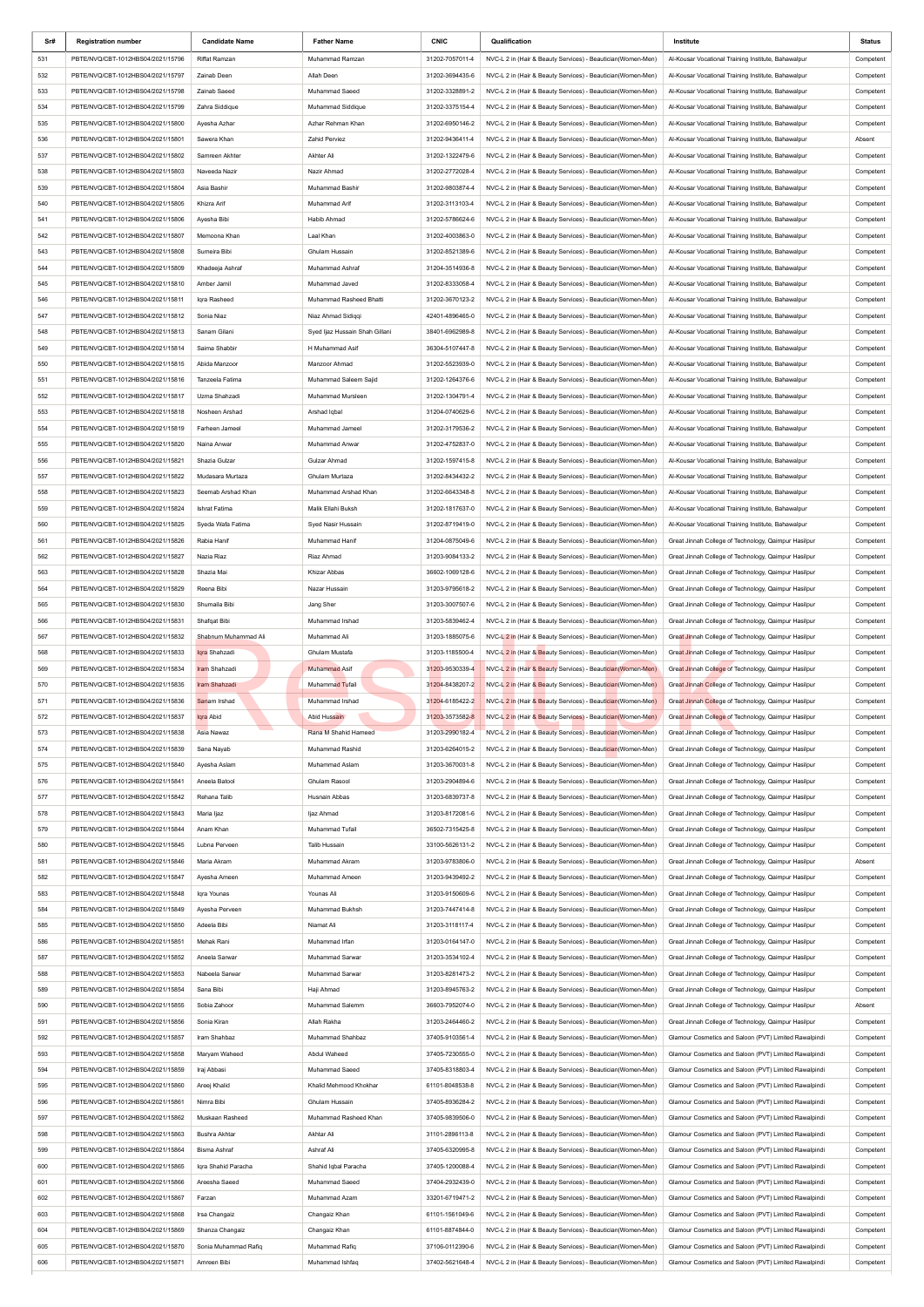| Sr#        | <b>Registration number</b>                                             | <b>Candidate Name</b>                | <b>Father Name</b>                      | <b>CNIC</b>                        | Qualification                                                                                                              | Institute                                                                                                      | Status                 |
|------------|------------------------------------------------------------------------|--------------------------------------|-----------------------------------------|------------------------------------|----------------------------------------------------------------------------------------------------------------------------|----------------------------------------------------------------------------------------------------------------|------------------------|
| 531        | PBTE/NVQ/CBT-1012HBS04/2021/15796                                      | <b>Riffat Ramzan</b>                 | Muhammad Ramzan                         | 31202-7057011-4                    | NVC-L 2 in (Hair & Beauty Services) - Beautician(Women-Men)                                                                | Al-Kousar Vocational Training Institute, Bahawalpur                                                            | Competent              |
| 532        | PBTE/NVQ/CBT-1012HBS04/2021/15797                                      | Zainab Deen                          | Allah Deen                              | 31202-3694435-6                    | NVC-L 2 in (Hair & Beauty Services) - Beautician(Women-Men)                                                                | Al-Kousar Vocational Training Institute, Bahawalpur                                                            | Competent              |
| 533        | PBTE/NVQ/CBT-1012HBS04/2021/15798                                      | Zainab Saeed                         | Muhammad Saeed                          | 31202-3328891-2                    | NVC-L 2 in (Hair & Beauty Services) - Beautician(Women-Men)                                                                | Al-Kousar Vocational Training Institute, Bahawalpur                                                            | Competent              |
| 534        | PBTE/NVQ/CBT-1012HBS04/2021/15799                                      | Zahra Siddique                       | Muhammad Siddique                       | 31202-3375154-4                    | NVC-L 2 in (Hair & Beauty Services) - Beautician(Women-Men)                                                                | Al-Kousar Vocational Training Institute, Bahawalpur                                                            | Competent              |
| 535        | PBTE/NVQ/CBT-1012HBS04/2021/15800                                      | Ayesha Azhar                         | Azhar Rehman Khan                       | 31202-6950146-2                    | NVC-L 2 in (Hair & Beauty Services) - Beautician(Women-Men)                                                                | Al-Kousar Vocational Training Institute, Bahawalpur                                                            | Competent              |
| 536        | PBTE/NVQ/CBT-1012HBS04/2021/15801                                      | Sawera Khan                          | Zahid Perviez                           | 31202-9436411-4                    | NVC-L 2 in (Hair & Beauty Services) - Beautician(Women-Men)                                                                | Al-Kousar Vocational Training Institute, Bahawalpur                                                            | Absent                 |
| 537        | PBTE/NVQ/CBT-1012HBS04/2021/15802                                      | Samreen Akhter                       | Akhter Ali                              | 31202-1322479-6                    | NVC-L 2 in (Hair & Beauty Services) - Beautician(Women-Men)                                                                | Al-Kousar Vocational Training Institute, Bahawalpur                                                            | Competent              |
| 538        | PBTE/NVQ/CBT-1012HBS04/2021/15803                                      | Naveeda Nazir                        | Nazir Ahmad                             | 31202-2772028-4                    | NVC-L 2 in (Hair & Beauty Services) - Beautician(Women-Men)                                                                | Al-Kousar Vocational Training Institute, Bahawalpur                                                            | Competent              |
| 539        | PBTE/NVQ/CBT-1012HBS04/2021/15804                                      | Asia Bashir                          | <b>Muhammad Bashir</b>                  | 31202-9803874-4                    | NVC-L 2 in (Hair & Beauty Services) - Beautician(Women-Men)                                                                | Al-Kousar Vocational Training Institute, Bahawalpur                                                            | Competent              |
| 540        | PBTE/NVQ/CBT-1012HBS04/2021/15805                                      | Khizra Arif                          | Muhammad Arif                           | 31202-3113103-4                    | NVC-L 2 in (Hair & Beauty Services) - Beautician(Women-Men)                                                                | Al-Kousar Vocational Training Institute, Bahawalpur                                                            | Competent              |
| 541        | PBTE/NVQ/CBT-1012HBS04/2021/15806                                      | Ayesha Bibi                          | Habib Ahmad                             | 31202-5786624-6                    | NVC-L 2 in (Hair & Beauty Services) - Beautician(Women-Men)                                                                | Al-Kousar Vocational Training Institute, Bahawalpur                                                            | Competent              |
| 542        | PBTE/NVQ/CBT-1012HBS04/2021/15807                                      | Memoona Khan                         | Laal Khan                               | 31202-4003863-0                    | NVC-L 2 in (Hair & Beauty Services) - Beautician(Women-Men)                                                                | Al-Kousar Vocational Training Institute, Bahawalpur                                                            | Competent              |
| 543        | PBTE/NVQ/CBT-1012HBS04/2021/15808                                      | Sumeira Bibi                         | Ghulam Hussain                          | 31202-8521389-6                    | NVC-L 2 in (Hair & Beauty Services) - Beautician(Women-Men)                                                                | Al-Kousar Vocational Training Institute, Bahawalpur                                                            | Competent              |
| 544        | PBTE/NVQ/CBT-1012HBS04/2021/15809                                      | Khadeeja Ashraf                      | Muhammad Ashraf                         | 31204-3514936-8                    | NVC-L 2 in (Hair & Beauty Services) - Beautician(Women-Men)                                                                | Al-Kousar Vocational Training Institute, Bahawalpur                                                            | Competent              |
| 545        | PBTE/NVQ/CBT-1012HBS04/2021/15810                                      | Amber Jamil                          | Muhammad Javed                          | 31202-8333058-4                    | NVC-L 2 in (Hair & Beauty Services) - Beautician(Women-Men)                                                                | Al-Kousar Vocational Training Institute, Bahawalpur                                                            | Competent              |
| 546        | PBTE/NVQ/CBT-1012HBS04/2021/15811                                      | Iqra Rasheed                         | Muhammad Rasheed Bhatti                 | 31202-3670123-2                    | NVC-L 2 in (Hair & Beauty Services) - Beautician(Women-Men)                                                                | Al-Kousar Vocational Training Institute, Bahawalpur                                                            | Competent              |
| 547        | PBTE/NVQ/CBT-1012HBS04/2021/15812                                      | Sonia Niaz                           | Niaz Ahmad Sidiqqi                      | 42401-4896465-0                    | NVC-L 2 in (Hair & Beauty Services) - Beautician(Women-Men)                                                                | Al-Kousar Vocational Training Institute, Bahawalpur                                                            | Competent              |
| 548        | PBTE/NVQ/CBT-1012HBS04/2021/15813<br>PBTE/NVQ/CBT-1012HBS04/2021/15814 | Sanam Gilani                         | Syed Ijaz Hussain Shah Gillani          | 38401-6962989-8                    | NVC-L 2 in (Hair & Beauty Services) - Beautician(Women-Men)                                                                | Al-Kousar Vocational Training Institute, Bahawalpur                                                            | Competent              |
| 549<br>550 | PBTE/NVQ/CBT-1012HBS04/2021/15815                                      | Saima Shabbir<br>Abida Manzoor       | H Muhammad Asif<br>Manzoor Ahmad        | 36304-5107447-8<br>31202-5523939-0 | NVC-L 2 in (Hair & Beauty Services) - Beautician(Women-Men)<br>NVC-L 2 in (Hair & Beauty Services) - Beautician(Women-Men) | Al-Kousar Vocational Training Institute, Bahawalpur<br>Al-Kousar Vocational Training Institute, Bahawalpur     | Competent<br>Competent |
| 551        | PBTE/NVQ/CBT-1012HBS04/2021/15816                                      | Tanzeela Fatima                      | Muhammad Saleem Sajid                   | 31202-1264376-6                    | NVC-L 2 in (Hair & Beauty Services) - Beautician(Women-Men)                                                                | Al-Kousar Vocational Training Institute, Bahawalpur                                                            | Competent              |
| 552        | PBTE/NVQ/CBT-1012HBS04/2021/15817                                      | Uzma Shahzadi                        | Muhammad Mursleen                       | 31202-1304791-4                    | NVC-L 2 in (Hair & Beauty Services) - Beautician(Women-Men)                                                                | Al-Kousar Vocational Training Institute, Bahawalpur                                                            | Competent              |
| 553        | PBTE/NVQ/CBT-1012HBS04/2021/15818                                      | Nosheen Arshad                       | Arshad Iqbal                            | 31204-0740629-6                    | NVC-L 2 in (Hair & Beauty Services) - Beautician(Women-Men)                                                                | Al-Kousar Vocational Training Institute, Bahawalpur                                                            | Competent              |
| 554        | PBTE/NVQ/CBT-1012HBS04/2021/15819                                      | Farheen Jameel                       | Muhammad Jameel                         | 31202-3179536-2                    | NVC-L 2 in (Hair & Beauty Services) - Beautician(Women-Men)                                                                | Al-Kousar Vocational Training Institute, Bahawalpur                                                            | Competent              |
| 555        | PBTE/NVQ/CBT-1012HBS04/2021/15820                                      | Naina Anwar                          | Muhammad Anwar                          | 31202-4752837-0                    | NVC-L 2 in (Hair & Beauty Services) - Beautician(Women-Men)                                                                | Al-Kousar Vocational Training Institute, Bahawalpur                                                            | Competent              |
| 556        | PBTE/NVQ/CBT-1012HBS04/2021/15821                                      | Shazia Gulzar                        | Gulzar Ahmad                            | 31202-1597415-8                    | NVC-L 2 in (Hair & Beauty Services) - Beautician(Women-Men)                                                                | Al-Kousar Vocational Training Institute, Bahawalpur                                                            | Competent              |
| 557        | PBTE/NVQ/CBT-1012HBS04/2021/15822                                      | Mudasara Murtaza                     | Ghulam Murtaza                          | 31202-8434432-2                    | NVC-L 2 in (Hair & Beauty Services) - Beautician(Women-Men)                                                                | Al-Kousar Vocational Training Institute, Bahawalpur                                                            | Competent              |
| 558        | PBTE/NVQ/CBT-1012HBS04/2021/15823                                      | Seemab Arshad Khan                   | Muhammad Arshad Khan                    | 31202-6643348-8                    | NVC-L 2 in (Hair & Beauty Services) - Beautician(Women-Men)                                                                | Al-Kousar Vocational Training Institute, Bahawalpur                                                            | Competent              |
| 559        | PBTE/NVQ/CBT-1012HBS04/2021/15824                                      | Ishrat Fatima                        | Malik Ellahi Buksh                      | 31202-1817637-0                    | NVC-L 2 in (Hair & Beauty Services) - Beautician(Women-Men)                                                                | Al-Kousar Vocational Training Institute, Bahawalpur                                                            | Competent              |
| 560        | PBTE/NVQ/CBT-1012HBS04/2021/15825                                      | Syeda Wafa Fatima                    | Syed Nasir Hussain                      | 31202-8719419-0                    | NVC-L 2 in (Hair & Beauty Services) - Beautician(Women-Men)                                                                | Al-Kousar Vocational Training Institute, Bahawalpur                                                            | Competent              |
| 561        | PBTE/NVQ/CBT-1012HBS04/2021/15826                                      | Rabia Hanif                          | Muhammad Hanif                          | 31204-0875049-6                    | NVC-L 2 in (Hair & Beauty Services) - Beautician(Women-Men)                                                                | Great Jinnah College of Technology, Qaimpur Hasilpur                                                           | Competent              |
| 562        | PBTE/NVQ/CBT-1012HBS04/2021/15827                                      | Nazia Riaz                           | Riaz Ahmad                              | 31203-9084133-2                    | NVC-L 2 in (Hair & Beauty Services) - Beautician(Women-Men)                                                                | Great Jinnah College of Technology, Qaimpur Hasilpur                                                           | Competent              |
| 563        | PBTE/NVQ/CBT-1012HBS04/2021/15828                                      | Shazia Mai                           | Khizar Abbas                            | 36602-1069128-6                    | NVC-L 2 in (Hair & Beauty Services) - Beautician(Women-Men)                                                                | Great Jinnah College of Technology, Qaimpur Hasilpur                                                           | Competent              |
| 564        | PBTE/NVQ/CBT-1012HBS04/2021/15829                                      | Reena Bibi                           | Nazar Hussain                           | 31203-9795618-2                    | NVC-L 2 in (Hair & Beauty Services) - Beautician(Women-Men)                                                                | Great Jinnah College of Technology, Qaimpur Hasilpur                                                           | Competent              |
| 565        | PBTE/NVQ/CBT-1012HBS04/2021/15830                                      | Shumaila Bibi                        | Jang Sher                               | 31203-3007507-6                    | NVC-L 2 in (Hair & Beauty Services) - Beautician(Women-Men)                                                                | Great Jinnah College of Technology, Qaimpur Hasilpur                                                           | Competent              |
| 566        | PBTE/NVQ/CBT-1012HBS04/2021/15831                                      | Shafqat Bibi                         | Muhammad Irshad                         | 31203-5839462-4                    | NVC-L 2 in (Hair & Beauty Services) - Beautician(Women-Men)                                                                | Great Jinnah College of Technology, Qaimpur Hasilpur                                                           | Competent              |
| 567        | PBTE/NVQ/CBT-1012HBS04/2021/15832                                      | Shabnum Muhammad Ali                 | Muhammad Ali                            | 31203-1885075-6                    | NVC-L 2 in (Hair & Beauty Services) - Beautician(Women-Men)                                                                | Great Jinnah College of Technology, Qaimpur Hasilpur                                                           | Competent              |
| 568        | PBTE/NVQ/CBT-1012HBS04/2021/15833                                      | Iqra Shahzadi                        | Ghulam Mustafa                          | 31203-1185500-4                    | NVC-L 2 in (Hair & Beauty Services) - Beautician (Women-Men)                                                               | Great Jinnah College of Technology, Qaimpur Hasilpur                                                           | Competent              |
| 569        | PBTE/NVQ/CBT-1012HBS04/2021/15834                                      | Iram Shahzadi                        | <b>Muhammad Asif</b>                    | 31203-9530339-4                    | NVC-L 2 in (Hair & Beauty Services) - Beautician (Women-Men)                                                               | Great Jinnah College of Technology, Qaimpur Hasilpur                                                           | Competent              |
| 570        | PBTE/NVQ/CBT-1012HBS04/2021/15835                                      | Iram Shahzadi                        | Muhammad Tufail                         | 31204-8438207-2                    | NVC-L 2 in (Hair & Beauty Services) - Beautician (Women-Men)                                                               | Great Jinnah College of Technology, Qaimpur Hasilpur                                                           | Competent              |
| 571        | PBTE/NVQ/CBT-1012HBS04/2021/15836                                      | Sanam Irshad                         | Muhammad Irshad                         | 31204-6185422-2                    | NVC-L 2 in (Hair & Beauty Services) - Beautician (Women-Men)                                                               | Great Jinnah College of Technology, Qaimpur Hasilpur                                                           | Competent              |
| 572        | PBTE/NVQ/CBT-1012HBS04/2021/15837                                      | Iqra Abid                            | Abid Hussain                            | 31203-3573582-8                    | NVC-L 2 in (Hair & Beauty Services) - Beautician (Women-Men)                                                               | Great Jinnah College of Technology, Qaimpur Hasilpur                                                           | Competent              |
| 573        | PBTE/NVQ/CBT-1012HBS04/2021/15838                                      | Asia Nawaz                           | Rana M Shahid Hameed                    | 31203-2990182-4                    | NVC-L 2 in (Hair & Beauty Services) - Beautician (Women-Men)                                                               | Great Jinnah College of Technology, Qaimpur Hasilpur                                                           | Competent              |
| 574        | PBTE/NVQ/CBT-1012HBS04/2021/15839                                      | Sana Nayab                           | Muhammad Rashid                         | 31203-6264015-2                    | NVC-L 2 in (Hair & Beauty Services) - Beautician (Women-Men)                                                               | Great Jinnah College of Technology, Qaimpur Hasilpur                                                           | Competent              |
| 575        | PBTE/NVQ/CBT-1012HBS04/2021/15840                                      | Ayesha Aslam                         | Muhammad Aslam                          | 31203-3670031-8                    | NVC-L 2 in (Hair & Beauty Services) - Beautician(Women-Men)                                                                | Great Jinnah College of Technology, Qaimpur Hasilpur                                                           | Competent              |
| 576<br>577 | PBTE/NVQ/CBT-1012HBS04/2021/15841<br>PBTE/NVQ/CBT-1012HBS04/2021/15842 | Aneela Batool                        | Ghulam Rasool                           | 31203-2904894-6                    | NVC-L 2 in (Hair & Beauty Services) - Beautician(Women-Men)                                                                | Great Jinnah College of Technology, Qaimpur Hasilpur                                                           | Competent              |
| 578        | PBTE/NVQ/CBT-1012HBS04/2021/15843                                      | Rehana Talib<br>Maria Ijaz           | Husnain Abbas<br>ljaz Ahmad             | 31203-6839737-8<br>31203-8172081-6 | NVC-L 2 in (Hair & Beauty Services) - Beautician(Women-Men)<br>NVC-L 2 in (Hair & Beauty Services) - Beautician(Women-Men) | Great Jinnah College of Technology, Qaimpur Hasilpur<br>Great Jinnah College of Technology, Qaimpur Hasilpur   | Competent<br>Competent |
| 579        | PBTE/NVQ/CBT-1012HBS04/2021/15844                                      | Anam Khan                            | Muhammad Tufail                         | 36502-7315425-8                    | NVC-L 2 in (Hair & Beauty Services) - Beautician(Women-Men)                                                                | Great Jinnah College of Technology, Qaimpur Hasilpur                                                           | Competent              |
| 580        | PBTE/NVQ/CBT-1012HBS04/2021/15845                                      | Lubna Perveen                        | Talib Hussain                           | 33100-5626131-2                    | NVC-L 2 in (Hair & Beauty Services) - Beautician(Women-Men)                                                                | Great Jinnah College of Technology, Qaimpur Hasilpur                                                           | Competent              |
| 581        | PBTE/NVQ/CBT-1012HBS04/2021/15846                                      | Maria Akram                          | Muhammad Akram                          | 31203-9783806-0                    | NVC-L 2 in (Hair & Beauty Services) - Beautician(Women-Men)                                                                | Great Jinnah College of Technology, Qaimpur Hasilpur                                                           | Absent                 |
| 582        | PBTE/NVQ/CBT-1012HBS04/2021/15847                                      | Ayesha Ameen                         | Muhammad Ameen                          | 31203-9439492-2                    | NVC-L 2 in (Hair & Beauty Services) - Beautician(Women-Men)                                                                | Great Jinnah College of Technology, Qaimpur Hasilpur                                                           | Competent              |
| 583        | PBTE/NVQ/CBT-1012HBS04/2021/15848                                      | Iqra Younas                          | Younas Ali                              | 31203-9150609-6                    | NVC-L 2 in (Hair & Beauty Services) - Beautician(Women-Men)                                                                | Great Jinnah College of Technology, Qaimpur Hasilpur                                                           | Competent              |
| 584        | PBTE/NVQ/CBT-1012HBS04/2021/15849                                      | Ayesha Perveen                       | Muhammad Bukhsh                         | 31203-7447414-8                    | NVC-L 2 in (Hair & Beauty Services) - Beautician(Women-Men)                                                                | Great Jinnah College of Technology, Qaimpur Hasilpur                                                           | Competent              |
| 585        | PBTE/NVQ/CBT-1012HBS04/2021/15850                                      | Adeela Bibi                          | Niamat Ali                              | 31203-3118117-4                    | NVC-L 2 in (Hair & Beauty Services) - Beautician(Women-Men)                                                                | Great Jinnah College of Technology, Qaimpur Hasilpur                                                           | Competent              |
| 586        | PBTE/NVQ/CBT-1012HBS04/2021/15851                                      | Mehak Rani                           | Muhammad Irfan                          | 31203-0164147-0                    | NVC-L 2 in (Hair & Beauty Services) - Beautician(Women-Men)                                                                | Great Jinnah College of Technology, Qaimpur Hasilpur                                                           | Competent              |
| 587        | PBTE/NVQ/CBT-1012HBS04/2021/15852                                      | Aneela Sarwar                        | Muhammad Sarwar                         | 31203-3534102-4                    | NVC-L 2 in (Hair & Beauty Services) - Beautician(Women-Men)                                                                | Great Jinnah College of Technology, Qaimpur Hasilpur                                                           | Competent              |
| 588        | PBTE/NVQ/CBT-1012HBS04/2021/15853                                      | Nabeela Sarwar                       | Muhammad Sarwar                         | 31203-8281473-2                    | NVC-L 2 in (Hair & Beauty Services) - Beautician(Women-Men)                                                                | Great Jinnah College of Technology, Qaimpur Hasilpur                                                           | Competent              |
| 589        | PBTE/NVQ/CBT-1012HBS04/2021/15854                                      | Sana Bibi                            | Haji Ahmad                              | 31203-8945763-2                    | NVC-L 2 in (Hair & Beauty Services) - Beautician(Women-Men)                                                                | Great Jinnah College of Technology, Qaimpur Hasilpur                                                           | Competent              |
| 590        | PBTE/NVQ/CBT-1012HBS04/2021/15855                                      | Sobia Zahoor                         | Muhammad Salemm                         | 36603-7952074-0                    | NVC-L 2 in (Hair & Beauty Services) - Beautician(Women-Men)                                                                | Great Jinnah College of Technology, Qaimpur Hasilpur                                                           | Absent                 |
| 591        | PBTE/NVQ/CBT-1012HBS04/2021/15856                                      | Sonia Kiran                          | Allah Rakha                             | 31203-2464460-2                    | NVC-L 2 in (Hair & Beauty Services) - Beautician(Women-Men)                                                                | Great Jinnah College of Technology, Qaimpur Hasilpur                                                           | Competent              |
| 592        | PBTE/NVQ/CBT-1012HBS04/2021/15857                                      | Iram Shahbaz                         | Muhammad Shahbaz                        | 37405-9103561-4                    | NVC-L 2 in (Hair & Beauty Services) - Beautician(Women-Men)                                                                | Glamour Cosmetics and Saloon (PVT) Limited Rawalpindi                                                          | Competent              |
| 593        | PBTE/NVQ/CBT-1012HBS04/2021/15858                                      | Maryam Waheed                        | Abdul Waheed                            | 37405-7230555-0                    | NVC-L 2 in (Hair & Beauty Services) - Beautician(Women-Men)                                                                | Glamour Cosmetics and Saloon (PVT) Limited Rawalpindi                                                          | Competent              |
| 594        | PBTE/NVQ/CBT-1012HBS04/2021/15859                                      | Iraj Abbasi                          | Muhammad Saeed                          | 37405-8318803-4                    | NVC-L 2 in (Hair & Beauty Services) - Beautician(Women-Men)                                                                | Glamour Cosmetics and Saloon (PVT) Limited Rawalpindi                                                          | Competent              |
| 595        | PBTE/NVQ/CBT-1012HBS04/2021/15860                                      | Areej Khalid                         | Khalid Mehmood Khokhar                  | 61101-8048538-8                    | NVC-L 2 in (Hair & Beauty Services) - Beautician(Women-Men)                                                                | Glamour Cosmetics and Saloon (PVT) Limited Rawalpindi                                                          | Competent              |
| 596        | PBTE/NVQ/CBT-1012HBS04/2021/15861                                      | Nimra Bibi<br>Muskaan Rasheed        | Ghulam Hussain<br>Muhammad Rasheed Khan | 37405-8936284-2                    | NVC-L 2 in (Hair & Beauty Services) - Beautician(Women-Men)                                                                | Glamour Cosmetics and Saloon (PVT) Limited Rawalpindi<br>Glamour Cosmetics and Saloon (PVT) Limited Rawalpindi | Competent              |
| 597<br>598 | PBTE/NVQ/CBT-1012HBS04/2021/15862                                      |                                      | Akhtar Ali                              | 37405-9839506-0<br>31101-2896113-8 | NVC-L 2 in (Hair & Beauty Services) - Beautician(Women-Men)<br>NVC-L 2 in (Hair & Beauty Services) - Beautician(Women-Men) |                                                                                                                | Competent              |
| 599        | PBTE/NVQ/CBT-1012HBS04/2021/15863<br>PBTE/NVQ/CBT-1012HBS04/2021/15864 | Bushra Akhtar<br><b>Bisma Ashraf</b> | Ashraf Ali                              | 37405-6320995-8                    | NVC-L 2 in (Hair & Beauty Services) - Beautician(Women-Men)                                                                | Glamour Cosmetics and Saloon (PVT) Limited Rawalpindi<br>Glamour Cosmetics and Saloon (PVT) Limited Rawalpindi | Competent<br>Competent |
| 600        | PBTE/NVQ/CBT-1012HBS04/2021/15865                                      | Igra Shahid Paracha                  | Shahid Iqbal Paracha                    | 37405-1200088-4                    | NVC-L 2 in (Hair & Beauty Services) - Beautician(Women-Men)                                                                | Glamour Cosmetics and Saloon (PVT) Limited Rawalpindi                                                          | Competent              |
| 601        | PBTE/NVQ/CBT-1012HBS04/2021/15866                                      | Areesha Saeed                        | Muhammad Saeed                          | 37404-2932439-0                    | NVC-L 2 in (Hair & Beauty Services) - Beautician(Women-Men)                                                                | Glamour Cosmetics and Saloon (PVT) Limited Rawalpindi                                                          | Competent              |
| 602        | PBTE/NVQ/CBT-1012HBS04/2021/15867                                      | Farzan                               | Muhammad Azam                           | 33201-6719471-2                    | NVC-L 2 in (Hair & Beauty Services) - Beautician(Women-Men)                                                                | Glamour Cosmetics and Saloon (PVT) Limited Rawalpindi                                                          | Competent              |
| 603        | PBTE/NVQ/CBT-1012HBS04/2021/15868                                      | Irsa Changaiz                        | Changaiz Khan                           | 61101-1561049-6                    | NVC-L 2 in (Hair & Beauty Services) - Beautician(Women-Men)                                                                | Glamour Cosmetics and Saloon (PVT) Limited Rawalpindi                                                          | Competent              |
| 604        | PBTE/NVQ/CBT-1012HBS04/2021/15869                                      | Shanza Changaiz                      | Changaiz Khan                           | 61101-8874844-0                    | NVC-L 2 in (Hair & Beauty Services) - Beautician(Women-Men)                                                                | Glamour Cosmetics and Saloon (PVT) Limited Rawalpindi                                                          | Competent              |
| 605        | PBTE/NVQ/CBT-1012HBS04/2021/15870                                      | Sonia Muhammad Rafiq                 | Muhammad Rafiq                          | 37106-0112390-6                    | NVC-L 2 in (Hair & Beauty Services) - Beautician(Women-Men)                                                                | Glamour Cosmetics and Saloon (PVT) Limited Rawalpindi                                                          | Competent              |
| 606        | PBTE/NVQ/CBT-1012HBS04/2021/15871                                      | Amreen Bibi                          | Muhammad Ishfaq                         | 37402-5621648-4                    | NVC-L 2 in (Hair & Beauty Services) - Beautician(Women-Men)                                                                | Glamour Cosmetics and Saloon (PVT) Limited Rawalpindi                                                          | Competent              |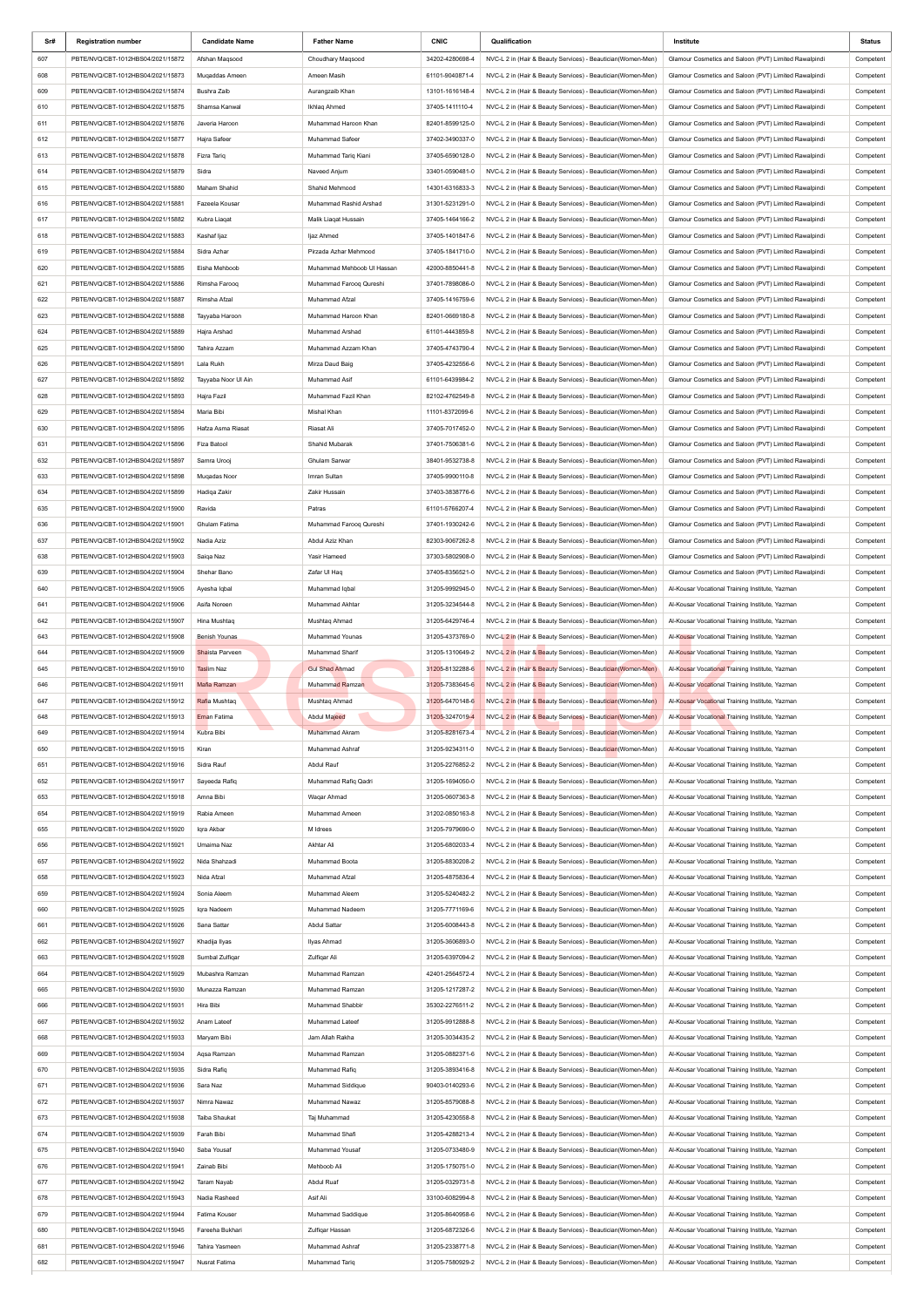| Sr#        | <b>Registration number</b>                                             | <b>Candidate Name</b>        | <b>Father Name</b>             | <b>CNIC</b>                        | Qualification                                                                                                              | Institute                                                                                                      | Status                 |
|------------|------------------------------------------------------------------------|------------------------------|--------------------------------|------------------------------------|----------------------------------------------------------------------------------------------------------------------------|----------------------------------------------------------------------------------------------------------------|------------------------|
| 607        | PBTE/NVQ/CBT-1012HBS04/2021/15872                                      | Afshan Maqsood               | Choudhary Magsood              | 34202-4280698-4                    | NVC-L 2 in (Hair & Beauty Services) - Beautician(Women-Men)                                                                | Glamour Cosmetics and Saloon (PVT) Limited Rawalpindi                                                          | Competent              |
| 608        | PBTE/NVQ/CBT-1012HBS04/2021/15873                                      | Muqaddas Ameen               | Ameen Masih                    | 61101-9040871-4                    | NVC-L 2 in (Hair & Beauty Services) - Beautician(Women-Men)                                                                | Glamour Cosmetics and Saloon (PVT) Limited Rawalpindi                                                          | Competent              |
| 609        | PBTE/NVQ/CBT-1012HBS04/2021/15874                                      | Bushra Zaib                  | Aurangzaib Khan                | 13101-1616148-4                    | NVC-L 2 in (Hair & Beauty Services) - Beautician(Women-Men)                                                                | Glamour Cosmetics and Saloon (PVT) Limited Rawalpindi                                                          | Competent              |
| 610        | PBTE/NVQ/CBT-1012HBS04/2021/15875                                      | Shamsa Kanwal                | Ikhlag Ahmed                   | 37405-1411110-4                    | NVC-L 2 in (Hair & Beauty Services) - Beautician(Women-Men)                                                                | Glamour Cosmetics and Saloon (PVT) Limited Rawalpindi                                                          | Competent              |
| 611        | PBTE/NVQ/CBT-1012HBS04/2021/15876                                      | Javeria Haroon               | Muhammad Haroon Khan           | 82401-8599125-0                    | NVC-L 2 in (Hair & Beauty Services) - Beautician(Women-Men)                                                                | Glamour Cosmetics and Saloon (PVT) Limited Rawalpindi                                                          | Competent              |
| 612        | PBTE/NVQ/CBT-1012HBS04/2021/15877                                      | Hajra Safeer                 | Muhammad Safeer                | 37402-3490337-0                    | NVC-L 2 in (Hair & Beauty Services) - Beautician(Women-Men)                                                                | Glamour Cosmetics and Saloon (PVT) Limited Rawalpindi                                                          | Competent              |
| 613        | PBTE/NVQ/CBT-1012HBS04/2021/15878                                      | Fizra Tarig                  | Muhammad Tariq Kiani           | 37405-6590128-0                    | NVC-L 2 in (Hair & Beauty Services) - Beautician(Women-Men)                                                                | Glamour Cosmetics and Saloon (PVT) Limited Rawalpindi                                                          | Competent              |
| 614        | PBTE/NVQ/CBT-1012HBS04/2021/15879                                      | Sidra                        | Naveed Anjum                   | 33401-0590481-0                    | NVC-L 2 in (Hair & Beauty Services) - Beautician(Women-Men)                                                                | Glamour Cosmetics and Saloon (PVT) Limited Rawalpindi                                                          | Competent              |
| 615        | PBTE/NVQ/CBT-1012HBS04/2021/15880                                      | Maham Shahid                 | Shahid Mehmood                 | 14301-6316833-3                    | NVC-L 2 in (Hair & Beauty Services) - Beautician(Women-Men)                                                                | Glamour Cosmetics and Saloon (PVT) Limited Rawalpindi                                                          | Competent              |
| 616        | PBTE/NVQ/CBT-1012HBS04/2021/15881                                      | Fazeela Kousar               | Muhammad Rashid Arshad         | 31301-5231291-0                    | NVC-L 2 in (Hair & Beauty Services) - Beautician(Women-Men)                                                                | Glamour Cosmetics and Saloon (PVT) Limited Rawalpindi                                                          | Competent              |
| 617        | PBTE/NVQ/CBT-1012HBS04/2021/15882                                      | Kubra Liagat                 | Malik Liagat Hussain           | 37405-1464166-2                    | NVC-L 2 in (Hair & Beauty Services) - Beautician(Women-Men)                                                                | Glamour Cosmetics and Saloon (PVT) Limited Rawalpindi                                                          | Competent              |
| 618        | PBTE/NVQ/CBT-1012HBS04/2021/15883                                      | Kashaf Ijaz                  | ljaz Ahmed                     | 37405-1401847-6                    | NVC-L 2 in (Hair & Beauty Services) - Beautician(Women-Men)                                                                | Glamour Cosmetics and Saloon (PVT) Limited Rawalpindi                                                          | Competent              |
| 619        | PBTE/NVQ/CBT-1012HBS04/2021/15884                                      | Sidra Azhar                  | Pirzada Azhar Mehmood          | 37405-1841710-0                    | NVC-L 2 in (Hair & Beauty Services) - Beautician(Women-Men)                                                                | Glamour Cosmetics and Saloon (PVT) Limited Rawalpindi                                                          | Competent              |
| 620        | PBTE/NVQ/CBT-1012HBS04/2021/15885                                      | Eisha Mehboob                | Muhammad Mehboob UI Hassan     | 42000-8850441-8                    | NVC-L 2 in (Hair & Beauty Services) - Beautician(Women-Men)                                                                | Glamour Cosmetics and Saloon (PVT) Limited Rawalpindi                                                          | Competent              |
| 621        | PBTE/NVQ/CBT-1012HBS04/2021/15886                                      | Rimsha Faroog                | Muhammad Faroog Qureshi        | 37401-7898086-0                    | NVC-L 2 in (Hair & Beauty Services) - Beautician(Women-Men)                                                                | Glamour Cosmetics and Saloon (PVT) Limited Rawalpindi                                                          | Competent              |
| 622        | PBTE/NVQ/CBT-1012HBS04/2021/15887                                      | Rimsha Afzal                 | Muhammad Afzal                 | 37405-1416759-6                    | NVC-L 2 in (Hair & Beauty Services) - Beautician(Women-Men)                                                                | Glamour Cosmetics and Saloon (PVT) Limited Rawalpindi                                                          | Competent              |
| 623        | PBTE/NVQ/CBT-1012HBS04/2021/15888                                      | Tayyaba Haroon               | Muhammad Haroon Khan           | 82401-0669180-8                    | NVC-L 2 in (Hair & Beauty Services) - Beautician(Women-Men)                                                                | Glamour Cosmetics and Saloon (PVT) Limited Rawalpindi                                                          | Competent              |
| 624        | PBTE/NVQ/CBT-1012HBS04/2021/15889                                      | Hajra Arshad                 | Muhammad Arshad                | 61101-4443859-8                    | NVC-L 2 in (Hair & Beauty Services) - Beautician(Women-Men)                                                                | Glamour Cosmetics and Saloon (PVT) Limited Rawalpindi                                                          | Competent              |
| 625        | PBTE/NVQ/CBT-1012HBS04/2021/15890                                      | Tahira Azzam                 | Muhammad Azzam Khan            | 37405-4743790-4                    | NVC-L 2 in (Hair & Beauty Services) - Beautician(Women-Men)                                                                | Glamour Cosmetics and Saloon (PVT) Limited Rawalpindi                                                          | Competent              |
| 626        | PBTE/NVQ/CBT-1012HBS04/2021/15891                                      | Lala Rukh                    | Mirza Daud Baig                | 37405-4232556-6                    | NVC-L 2 in (Hair & Beauty Services) - Beautician(Women-Men)                                                                | Glamour Cosmetics and Saloon (PVT) Limited Rawalpindi                                                          | Competent              |
| 627        | PBTE/NVQ/CBT-1012HBS04/2021/15892                                      | Tayyaba Noor Ul Ain          | Muhammad Asif                  | 61101-6439984-2                    | NVC-L 2 in (Hair & Beauty Services) - Beautician(Women-Men)                                                                | Glamour Cosmetics and Saloon (PVT) Limited Rawalpindi                                                          | Competent              |
| 628        | PBTE/NVQ/CBT-1012HBS04/2021/15893                                      | Hajra Fazil                  | Muhammad Fazil Khan            | 82102-4762549-8                    | NVC-L 2 in (Hair & Beauty Services) - Beautician(Women-Men)                                                                | Glamour Cosmetics and Saloon (PVT) Limited Rawalpindi                                                          | Competent              |
| 629        | PBTE/NVQ/CBT-1012HBS04/2021/15894                                      | Maria Bibi                   | Mishal Khan                    | 11101-8372099-6                    | NVC-L 2 in (Hair & Beauty Services) - Beautician(Women-Men)                                                                | Glamour Cosmetics and Saloon (PVT) Limited Rawalpindi                                                          | Competent              |
| 630        | PBTE/NVQ/CBT-1012HBS04/2021/15895                                      | Hafza Asma Riasat            | Riasat Ali                     | 37405-7017452-0                    | NVC-L 2 in (Hair & Beauty Services) - Beautician(Women-Men)                                                                | Glamour Cosmetics and Saloon (PVT) Limited Rawalpindi                                                          | Competent              |
| 631        | PBTE/NVQ/CBT-1012HBS04/2021/15896                                      | Fiza Batool                  | Shahid Mubarak                 | 37401-7506381-6                    | NVC-L 2 in (Hair & Beauty Services) - Beautician(Women-Men)                                                                | Glamour Cosmetics and Saloon (PVT) Limited Rawalpindi                                                          | Competent              |
| 632        | PBTE/NVQ/CBT-1012HBS04/2021/15897                                      | Samra Urooj                  | Ghulam Sarwar                  | 38401-9532738-8                    | NVC-L 2 in (Hair & Beauty Services) - Beautician(Women-Men)                                                                | Glamour Cosmetics and Saloon (PVT) Limited Rawalpindi                                                          | Competent              |
| 633<br>634 | PBTE/NVQ/CBT-1012HBS04/2021/15898                                      | Muqadas Noor                 | Imran Sultan<br>Zakir Hussain  | 37405-9900110-8<br>37403-3838776-6 | NVC-L 2 in (Hair & Beauty Services) - Beautician(Women-Men)                                                                | Glamour Cosmetics and Saloon (PVT) Limited Rawalpindi                                                          | Competent              |
| 635        | PBTE/NVQ/CBT-1012HBS04/2021/15899<br>PBTE/NVQ/CBT-1012HBS04/2021/15900 | Hadiga Zakir<br>Ravida       | Patras                         | 61101-5766207-4                    | NVC-L 2 in (Hair & Beauty Services) - Beautician(Women-Men)<br>NVC-L 2 in (Hair & Beauty Services) - Beautician(Women-Men) | Glamour Cosmetics and Saloon (PVT) Limited Rawalpindi<br>Glamour Cosmetics and Saloon (PVT) Limited Rawalpindi | Competent<br>Competent |
| 636        | PBTE/NVQ/CBT-1012HBS04/2021/15901                                      | Ghulam Fatima                | Muhammad Farooq Qureshi        | 37401-1930242-6                    | NVC-L 2 in (Hair & Beauty Services) - Beautician(Women-Men)                                                                | Glamour Cosmetics and Saloon (PVT) Limited Rawalpindi                                                          |                        |
| 637        | PBTE/NVQ/CBT-1012HBS04/2021/15902                                      | Nadia Aziz                   | Abdul Aziz Khan                | 82303-9067262-8                    | NVC-L 2 in (Hair & Beauty Services) - Beautician(Women-Men)                                                                | Glamour Cosmetics and Saloon (PVT) Limited Rawalpindi                                                          | Competent<br>Competent |
| 638        | PBTE/NVQ/CBT-1012HBS04/2021/15903                                      | Saiga Naz                    | Yasir Hameed                   | 37303-5802908-0                    | NVC-L 2 in (Hair & Beauty Services) - Beautician(Women-Men)                                                                | Glamour Cosmetics and Saloon (PVT) Limited Rawalpindi                                                          | Competent              |
| 639        | PBTE/NVQ/CBT-1012HBS04/2021/15904                                      | Shehar Bano                  | Zafar UI Hag                   | 37405-8356521-0                    | NVC-L 2 in (Hair & Beauty Services) - Beautician(Women-Men)                                                                | Glamour Cosmetics and Saloon (PVT) Limited Rawalpindi                                                          | Competent              |
| 640        | PBTE/NVQ/CBT-1012HBS04/2021/15905                                      | Ayesha Iqbal                 | Muhammad Iqbal                 | 31205-9992945-0                    | NVC-L 2 in (Hair & Beauty Services) - Beautician(Women-Men)                                                                | Al-Kousar Vocational Training Institute, Yazman                                                                | Competent              |
| 641        | PBTE/NVQ/CBT-1012HBS04/2021/15906                                      | Asifa Noreen                 | Muhammad Akhtar                | 31205-3234544-8                    | NVC-L 2 in (Hair & Beauty Services) - Beautician(Women-Men)                                                                | Al-Kousar Vocational Training Institute, Yazman                                                                | Competent              |
| 642        | PBTE/NVQ/CBT-1012HBS04/2021/15907                                      | Hina Mushtaq                 | Mushtaq Ahmad                  | 31205-6429746-4                    | NVC-L 2 in (Hair & Beauty Services) - Beautician(Women-Men)                                                                | Al-Kousar Vocational Training Institute, Yazman                                                                | Competent              |
| 643        | PBTE/NVQ/CBT-1012HBS04/2021/15908                                      | <b>Benish Younas</b>         | Muhammad Younas                | 31205-4373769-0                    | NVC-L 2 in (Hair & Beauty Services) - Beautician (Women-Men)                                                               | Al-Kousar Vocational Training Institute, Yazman                                                                | Competent              |
| 644        | PBTE/NVQ/CBT-1012HBS04/2021/15909                                      | Shaista Parveen              | Muhammad Sharif                | 31205-1310649-2                    | NVC-L 2 in (Hair & Beauty Services) - Beautician (Women-Men)                                                               | Al-Kousar Vocational Training Institute, Yazman                                                                | Competent              |
| 645        | PBTE/NVQ/CBT-1012HBS04/2021/15910                                      | Taslim Naz                   | <b>Gul Shad Ahmad</b>          | 31205-8132288-6                    | NVC-L 2 in (Hair & Beauty Services) - Beautician (Women-Men)                                                               | Al-Kousar Vocational Training Institute, Yazman                                                                | Competent              |
| 646        | PBTE/NVQ/CBT-1012HBS04/2021/15911                                      | Mafia Ramzan                 | Muhammad Ramzan                | 31205-7383645-6                    | NVC-L 2 in (Hair & Beauty Services) - Beautician (Women-Men)                                                               | Al-Kousar Vocational Training Institute, Yazman                                                                | Competent              |
| 647        | PBTE/NVQ/CBT-1012HBS04/2021/15912                                      | Rafia Mushtag                | Mushtaq Ahmad                  | 31205-6470148-6                    | NVC-L 2 in (Hair & Beauty Services) - Beautician (Women-Men)                                                               | Al-Kousar Vocational Training Institute, Yazman                                                                | Competent              |
| 648        | PBTE/NVQ/CBT-1012HBS04/2021/15913                                      | Eman Fatima                  | <b>Abdul Majeed</b>            | 31205-3247019-4                    | NVC-L 2 in (Hair & Beauty Services) - Beautician (Women-Men)                                                               | Al-Kousar Vocational Training Institute, Yazman                                                                | Competent              |
| 649        | PBTE/NVQ/CBT-1012HBS04/2021/15914                                      | Kubra Bibi                   | Muhammad Akram                 | 31205-8281673-4                    | NVC-L 2 in (Hair & Beauty Services) - Beautician (Women-Men)                                                               | Al-Kousar Vocational Training Institute, Yazman                                                                | Competent              |
| 650        | PBTE/NVQ/CBT-1012HBS04/2021/15915                                      | Kiran                        | Muhammad Ashraf                | 31205-9234311-0                    | NVC-L 2 in (Hair & Beauty Services) - Beautician (Women-Men)                                                               | Al-Kousar Vocational Training Institute, Yazman                                                                | Competent              |
| 651        | PBTE/NVQ/CBT-1012HBS04/2021/15916                                      | Sidra Rauf                   | Abdul Rauf                     | 31205-2276852-2                    | NVC-L 2 in (Hair & Beauty Services) - Beautician(Women-Men)                                                                | Al-Kousar Vocational Training Institute, Yazman                                                                | Competent              |
| 652        | PBTE/NVQ/CBT-1012HBS04/2021/15917                                      | Sayeeda Rafiq                | Muhammad Rafiq Qadri           | 31205-1694050-0                    | NVC-L 2 in (Hair & Beauty Services) - Beautician(Women-Men)                                                                | Al-Kousar Vocational Training Institute, Yazman                                                                | Competent              |
| 653        | PBTE/NVQ/CBT-1012HBS04/2021/15918                                      | Amna Bibi                    | Waqar Ahmad                    | 31205-0607363-8                    | NVC-L 2 in (Hair & Beauty Services) - Beautician(Women-Men)                                                                | Al-Kousar Vocational Training Institute, Yazman                                                                | Competent              |
| 654        | PBTE/NVQ/CBT-1012HBS04/2021/15919                                      | Rabia Ameen                  | Muhammad Ameen                 | 31202-0850163-8                    | NVC-L 2 in (Hair & Beauty Services) - Beautician(Women-Men)                                                                | Al-Kousar Vocational Training Institute, Yazman                                                                | Competent              |
| 655        | PBTE/NVQ/CBT-1012HBS04/2021/15920                                      | Igra Akbar                   | M Idrees                       | 31205-7979690-0                    | NVC-L 2 in (Hair & Beauty Services) - Beautician(Women-Men)                                                                | Al-Kousar Vocational Training Institute, Yazman                                                                | Competent              |
| 656        | PBTE/NVQ/CBT-1012HBS04/2021/15921                                      | Umaima Naz                   | Akhtar Ali                     | 31205-6802033-4                    | NVC-L 2 in (Hair & Beauty Services) - Beautician(Women-Men)                                                                | Al-Kousar Vocational Training Institute, Yazman                                                                | Competent              |
| 657        | PBTE/NVQ/CBT-1012HBS04/2021/15922                                      | Nida Shahzadi                | Muhammad Boota                 | 31205-8830208-2                    | NVC-L 2 in (Hair & Beauty Services) - Beautician(Women-Men)                                                                | Al-Kousar Vocational Training Institute, Yazman                                                                | Competent              |
| 658        | PBTE/NVQ/CBT-1012HBS04/2021/15923                                      | Nida Afzal                   | Muhammad Afzal                 | 31205-4875836-4                    | NVC-L 2 in (Hair & Beauty Services) - Beautician(Women-Men)                                                                | Al-Kousar Vocational Training Institute, Yazman                                                                | Competent              |
| 659        | PBTE/NVQ/CBT-1012HBS04/2021/15924                                      | Sonia Aleem                  | Muhammad Aleem                 | 31205-5240482-2                    | NVC-L 2 in (Hair & Beauty Services) - Beautician(Women-Men)                                                                | Al-Kousar Vocational Training Institute, Yazman                                                                | Competent              |
| 660        | PBTE/NVQ/CBT-1012HBS04/2021/15925                                      | Iqra Nadeem                  | Muhammad Nadeem                | 31205-7771169-6                    | NVC-L 2 in (Hair & Beauty Services) - Beautician(Women-Men)                                                                | Al-Kousar Vocational Training Institute, Yazman                                                                | Competent              |
| 661        | PBTE/NVQ/CBT-1012HBS04/2021/15926                                      | Sana Sattar                  | Abdul Sattar                   | 31205-6008443-8                    | NVC-L 2 in (Hair & Beauty Services) - Beautician(Women-Men)                                                                | Al-Kousar Vocational Training Institute, Yazman                                                                | Competent              |
| 662        | PBTE/NVQ/CBT-1012HBS04/2021/15927                                      | Khadija Ilyas                | Ilyas Ahmad                    | 31205-3606893-0                    | NVC-L 2 in (Hair & Beauty Services) - Beautician(Women-Men)                                                                | Al-Kousar Vocational Training Institute, Yazman                                                                | Competent              |
| 663        | PBTE/NVQ/CBT-1012HBS04/2021/15928                                      | Sumbal Zulfigar              | Zulfiqar Ali                   | 31205-6397094-2                    | NVC-L 2 in (Hair & Beauty Services) - Beautician(Women-Men)                                                                | Al-Kousar Vocational Training Institute, Yazman                                                                | Competent              |
| 664        | PBTE/NVQ/CBT-1012HBS04/2021/15929                                      | Mubashra Ramzan              | Muhammad Ramzan                | 42401-2564572-4                    | NVC-L 2 in (Hair & Beauty Services) - Beautician(Women-Men)                                                                | Al-Kousar Vocational Training Institute, Yazman                                                                | Competent              |
| 665        | PBTE/NVQ/CBT-1012HBS04/2021/15930                                      | Munazza Ramzan               | Muhammad Ramzan                | 31205-1217287-2                    | NVC-L 2 in (Hair & Beauty Services) - Beautician(Women-Men)                                                                | Al-Kousar Vocational Training Institute, Yazman                                                                | Competent              |
| 666        | PBTE/NVQ/CBT-1012HBS04/2021/15931                                      | Hira Bibi                    | Muhammad Shabbir               | 35302-2276511-2                    | NVC-L 2 in (Hair & Beauty Services) - Beautician(Women-Men)                                                                | Al-Kousar Vocational Training Institute, Yazman                                                                | Competent              |
| 667        | PBTE/NVQ/CBT-1012HBS04/2021/15932                                      | Anam Lateef                  | Muhammad Lateef                | 31205-9912888-8                    | NVC-L 2 in (Hair & Beauty Services) - Beautician(Women-Men)                                                                | Al-Kousar Vocational Training Institute, Yazman                                                                | Competent              |
| 668        | PBTE/NVQ/CBT-1012HBS04/2021/15933                                      | Maryam Bibi                  | Jam Allah Rakha                | 31205-3034435-2                    | NVC-L 2 in (Hair & Beauty Services) - Beautician(Women-Men)                                                                | Al-Kousar Vocational Training Institute, Yazman                                                                | Competent              |
| 669        | PBTE/NVQ/CBT-1012HBS04/2021/15934                                      | Aqsa Ramzan                  | Muhammad Ramzan                | 31205-0882371-6                    | NVC-L 2 in (Hair & Beauty Services) - Beautician(Women-Men)                                                                | Al-Kousar Vocational Training Institute, Yazman                                                                | Competent              |
| 670        | PBTE/NVQ/CBT-1012HBS04/2021/15935                                      | Sidra Rafiq                  | Muhammad Rafiq                 | 31205-3893416-8                    | NVC-L 2 in (Hair & Beauty Services) - Beautician(Women-Men)                                                                | Al-Kousar Vocational Training Institute, Yazman                                                                | Competent              |
| 671<br>672 | PBTE/NVQ/CBT-1012HBS04/2021/15936                                      | Sara Naz                     | Muhammad Siddique              | 90403-0140293-6<br>31205-8579088-8 | NVC-L 2 in (Hair & Beauty Services) - Beautician(Women-Men)                                                                | Al-Kousar Vocational Training Institute, Yazman<br>Al-Kousar Vocational Training Institute, Yazman             | Competent              |
| 673        | PBTE/NVQ/CBT-1012HBS04/2021/15937<br>PBTE/NVQ/CBT-1012HBS04/2021/15938 | Nimra Nawaz<br>Taiba Shaukat | Muhammad Nawaz<br>Taj Muhammad | 31205-4230558-8                    | NVC-L 2 in (Hair & Beauty Services) - Beautician(Women-Men)<br>NVC-L 2 in (Hair & Beauty Services) - Beautician(Women-Men) | Al-Kousar Vocational Training Institute, Yazman                                                                | Competent<br>Competent |
| 674        | PBTE/NVQ/CBT-1012HBS04/2021/15939                                      | Farah Bibi                   | Muhammad Shafi                 | 31205-4288213-4                    | NVC-L 2 in (Hair & Beauty Services) - Beautician(Women-Men)                                                                | Al-Kousar Vocational Training Institute, Yazman                                                                | Competent              |
| 675        | PBTE/NVQ/CBT-1012HBS04/2021/15940                                      | Saba Yousaf                  | Muhammad Yousaf                | 31205-0733480-9                    | NVC-L 2 in (Hair & Beauty Services) - Beautician(Women-Men)                                                                | Al-Kousar Vocational Training Institute, Yazman                                                                | Competent              |
| 676        | PBTE/NVQ/CBT-1012HBS04/2021/15941                                      | Zainab Bibi                  | Mehboob Ali                    | 31205-1750751-0                    | NVC-L 2 in (Hair & Beauty Services) - Beautician(Women-Men)                                                                | Al-Kousar Vocational Training Institute, Yazman                                                                | Competent              |
| 677        | PBTE/NVQ/CBT-1012HBS04/2021/15942                                      | Taram Nayab                  | Abdul Ruaf                     | 31205-0329731-8                    | NVC-L 2 in (Hair & Beauty Services) - Beautician(Women-Men)                                                                | Al-Kousar Vocational Training Institute, Yazman                                                                | Competent              |
| 678        | PBTE/NVQ/CBT-1012HBS04/2021/15943                                      | Nadia Rasheed                | Asif Ali                       | 33100-6082994-8                    | NVC-L 2 in (Hair & Beauty Services) - Beautician(Women-Men)                                                                | Al-Kousar Vocational Training Institute, Yazman                                                                | Competent              |
| 679        | PBTE/NVQ/CBT-1012HBS04/2021/15944                                      | Fatima Kouser                | Muhammad Saddique              | 31205-8640958-6                    | NVC-L 2 in (Hair & Beauty Services) - Beautician(Women-Men)                                                                | Al-Kousar Vocational Training Institute, Yazman                                                                | Competent              |
| 680        |                                                                        |                              |                                |                                    |                                                                                                                            |                                                                                                                |                        |
|            | PBTE/NVQ/CBT-1012HBS04/2021/15945                                      | Fareeha Bukhari              | Zulfiqar Hassan                | 31205-6872326-6                    | NVC-L 2 in (Hair & Beauty Services) - Beautician(Women-Men)                                                                | Al-Kousar Vocational Training Institute, Yazman                                                                | Competent              |
| 681        | PBTE/NVQ/CBT-1012HBS04/2021/15946                                      | Tahira Yasmeen               | Muhammad Ashraf                | 31205-2338771-8                    | NVC-L 2 in (Hair & Beauty Services) - Beautician(Women-Men)                                                                | Al-Kousar Vocational Training Institute, Yazman                                                                | Competent              |
| 682        | PBTE/NVQ/CBT-1012HBS04/2021/15947                                      | Nusrat Fatima                | Muhammad Tariq                 | 31205-7580929-2                    | NVC-L 2 in (Hair & Beauty Services) - Beautician(Women-Men)                                                                | Al-Kousar Vocational Training Institute, Yazman                                                                | Competent              |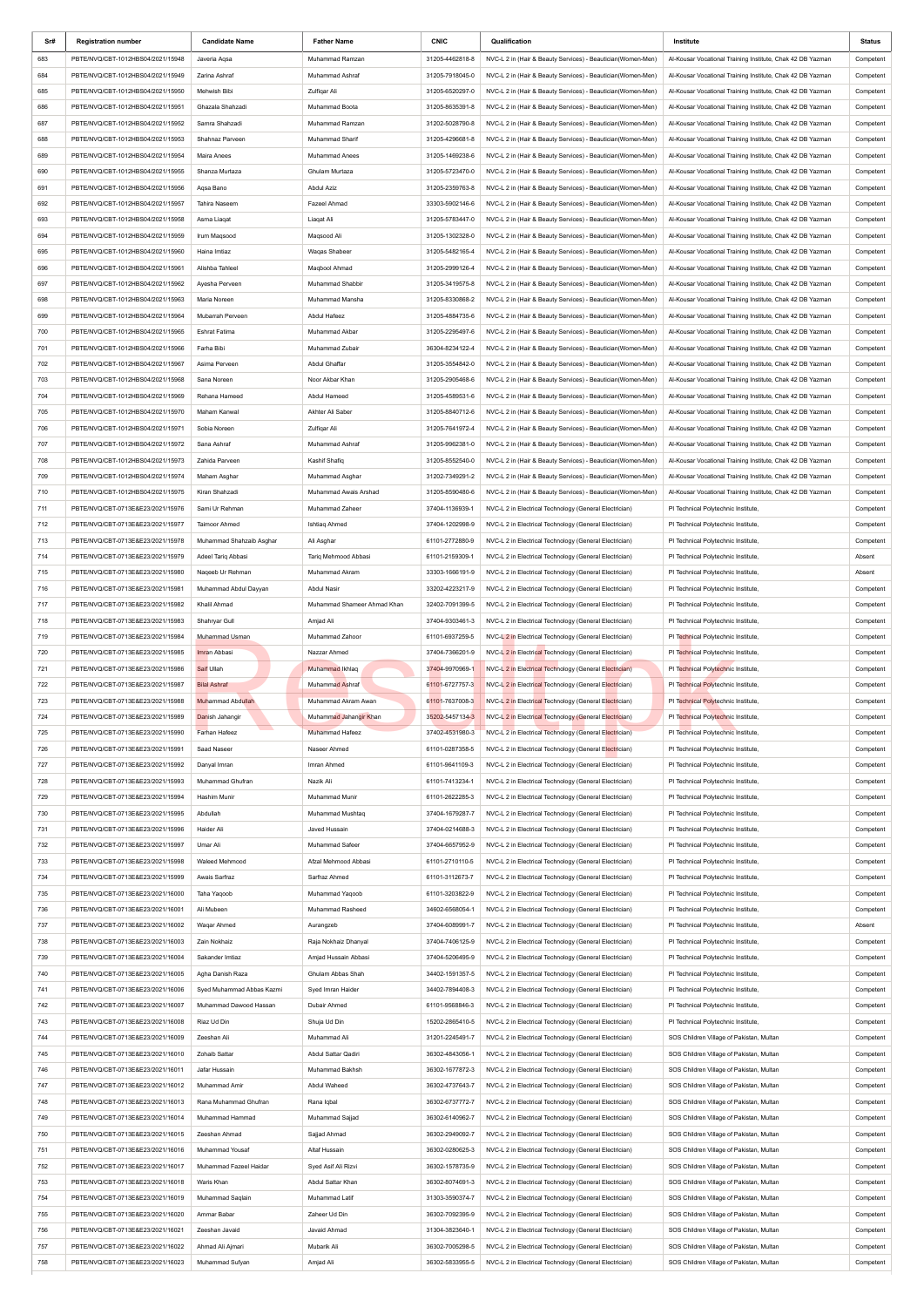| Sr# | <b>Registration number</b>        | <b>Candidate Name</b>     | <b>Father Name</b>          | <b>CNIC</b>     | Qualification                                               | Institute                                                  | Status    |
|-----|-----------------------------------|---------------------------|-----------------------------|-----------------|-------------------------------------------------------------|------------------------------------------------------------|-----------|
| 683 | PBTE/NVQ/CBT-1012HBS04/2021/15948 | Javeria Aqsa              | Muhammad Ramzan             | 31205-4462818-8 | NVC-L 2 in (Hair & Beauty Services) - Beautician(Women-Men) | Al-Kousar Vocational Training Institute, Chak 42 DB Yazman | Competent |
| 684 | PBTE/NVQ/CBT-1012HBS04/2021/15949 | Zarina Ashraf             | Muhammad Ashraf             | 31205-7918045-0 | NVC-L 2 in (Hair & Beauty Services) - Beautician(Women-Men) | Al-Kousar Vocational Training Institute, Chak 42 DB Yazman | Competent |
| 685 | PBTE/NVQ/CBT-1012HBS04/2021/15950 | Mehwish Bibi              | Zulfigar Ali                | 31205-6520297-0 | NVC-L 2 in (Hair & Beauty Services) - Beautician(Women-Men) | Al-Kousar Vocational Training Institute, Chak 42 DB Yazman | Competent |
| 686 | PBTE/NVQ/CBT-1012HBS04/2021/15951 | Ghazala Shahzadi          | Muhammad Boota              | 31205-8635391-8 | NVC-L 2 in (Hair & Beauty Services) - Beautician(Women-Men) | Al-Kousar Vocational Training Institute, Chak 42 DB Yazman | Competent |
| 687 | PBTE/NVQ/CBT-1012HBS04/2021/15952 | Samra Shahzadi            | Muhammad Ramzan             | 31202-5028790-8 |                                                             |                                                            |           |
|     |                                   |                           |                             |                 | NVC-L 2 in (Hair & Beauty Services) - Beautician(Women-Men) | Al-Kousar Vocational Training Institute, Chak 42 DB Yazman | Competent |
| 688 | PBTE/NVQ/CBT-1012HBS04/2021/15953 | Shahnaz Parveen           | Muhammad Sharif             | 31205-4296681-8 | NVC-L 2 in (Hair & Beauty Services) - Beautician(Women-Men) | Al-Kousar Vocational Training Institute, Chak 42 DB Yazman | Competent |
| 689 | PBTE/NVQ/CBT-1012HBS04/2021/15954 | <b>Maira Anees</b>        | Muhammad Anees              | 31205-1469238-6 | NVC-L 2 in (Hair & Beauty Services) - Beautician(Women-Men) | Al-Kousar Vocational Training Institute, Chak 42 DB Yazman | Competent |
| 690 | PBTE/NVQ/CBT-1012HBS04/2021/15955 | Shanza Murtaza            | Ghulam Murtaza              | 31205-5723470-0 | NVC-L 2 in (Hair & Beauty Services) - Beautician(Women-Men) | Al-Kousar Vocational Training Institute, Chak 42 DB Yazman | Competent |
| 691 | PBTE/NVQ/CBT-1012HBS04/2021/15956 | Aqsa Bano                 | Abdul Aziz                  | 31205-2359763-8 | NVC-L 2 in (Hair & Beauty Services) - Beautician(Women-Men) | Al-Kousar Vocational Training Institute, Chak 42 DB Yazman | Competent |
| 692 | PBTE/NVQ/CBT-1012HBS04/2021/15957 | Tahira Naseem             | Fazeel Ahmad                | 33303-5902146-6 | NVC-L 2 in (Hair & Beauty Services) - Beautician(Women-Men) | Al-Kousar Vocational Training Institute, Chak 42 DB Yazman | Competent |
| 693 | PBTE/NVQ/CBT-1012HBS04/2021/15958 | Asma Liagat               | Liagat Ali                  | 31205-5783447-0 | NVC-L 2 in (Hair & Beauty Services) - Beautician(Women-Men) | Al-Kousar Vocational Training Institute, Chak 42 DB Yazman | Competent |
| 694 | PBTE/NVQ/CBT-1012HBS04/2021/15959 | Irum Maqsood              | Maqsood Ali                 | 31205-1302328-0 | NVC-L 2 in (Hair & Beauty Services) - Beautician(Women-Men) | Al-Kousar Vocational Training Institute, Chak 42 DB Yazman | Competent |
| 695 | PBTE/NVQ/CBT-1012HBS04/2021/15960 | Haina Imtiaz              | Waqas Shabeer               | 31205-5482165-4 | NVC-L 2 in (Hair & Beauty Services) - Beautician(Women-Men) | Al-Kousar Vocational Training Institute, Chak 42 DB Yazman | Competent |
| 696 | PBTE/NVQ/CBT-1012HBS04/2021/15961 | Alishba Tahleel           | Maqbool Ahmad               | 31205-2999126-4 | NVC-L 2 in (Hair & Beauty Services) - Beautician(Women-Men) | Al-Kousar Vocational Training Institute, Chak 42 DB Yazman | Competent |
| 697 | PBTE/NVQ/CBT-1012HBS04/2021/15962 | Ayesha Perveen            | Muhammad Shabbir            | 31205-3419575-8 | NVC-L 2 in (Hair & Beauty Services) - Beautician(Women-Men) | Al-Kousar Vocational Training Institute, Chak 42 DB Yazman | Competent |
|     |                                   |                           |                             |                 |                                                             |                                                            |           |
| 698 | PBTE/NVQ/CBT-1012HBS04/2021/15963 | Maria Noreen              | Muhammad Mansha             | 31205-8330868-2 | NVC-L 2 in (Hair & Beauty Services) - Beautician(Women-Men) | Al-Kousar Vocational Training Institute, Chak 42 DB Yazman | Competent |
| 699 | PBTE/NVQ/CBT-1012HBS04/2021/15964 | Mubarrah Perveen          | Abdul Hafeez                | 31205-4884735-6 | NVC-L 2 in (Hair & Beauty Services) - Beautician(Women-Men) | Al-Kousar Vocational Training Institute, Chak 42 DB Yazman | Competent |
| 700 | PBTE/NVQ/CBT-1012HBS04/2021/15965 | Eshrat Fatima             | Muhammad Akbar              | 31205-2295497-6 | NVC-L 2 in (Hair & Beauty Services) - Beautician(Women-Men) | Al-Kousar Vocational Training Institute, Chak 42 DB Yazman | Competent |
| 701 | PBTE/NVQ/CBT-1012HBS04/2021/15966 | Farha Bibi                | Muhammad Zubair             | 36304-8234122-4 | NVC-L 2 in (Hair & Beauty Services) - Beautician(Women-Men) | Al-Kousar Vocational Training Institute, Chak 42 DB Yazman | Competent |
| 702 | PBTE/NVQ/CBT-1012HBS04/2021/15967 | Asima Perveen             | Abdul Ghaffar               | 31205-3554842-0 | NVC-L 2 in (Hair & Beauty Services) - Beautician(Women-Men) | Al-Kousar Vocational Training Institute, Chak 42 DB Yazman | Competent |
| 703 | PBTE/NVQ/CBT-1012HBS04/2021/15968 | Sana Noreen               | Noor Akbar Khan             | 31205-2905468-6 | NVC-L 2 in (Hair & Beauty Services) - Beautician(Women-Men) | Al-Kousar Vocational Training Institute, Chak 42 DB Yazman | Competent |
| 704 | PBTE/NVQ/CBT-1012HBS04/2021/15969 | Rehana Hameed             | Abdul Hameed                | 31205-4589531-6 | NVC-L 2 in (Hair & Beauty Services) - Beautician(Women-Men) | Al-Kousar Vocational Training Institute, Chak 42 DB Yazman | Competent |
| 705 | PBTE/NVQ/CBT-1012HBS04/2021/15970 | Maham Kanwal              | Akhter Ali Saber            | 31205-8840712-6 | NVC-L 2 in (Hair & Beauty Services) - Beautician(Women-Men) | Al-Kousar Vocational Training Institute, Chak 42 DB Yazman | Competent |
| 706 | PBTE/NVQ/CBT-1012HBS04/2021/15971 | Sobia Noreen              | Zulfiqar Ali                | 31205-7641972-4 | NVC-L 2 in (Hair & Beauty Services) - Beautician(Women-Men) | Al-Kousar Vocational Training Institute, Chak 42 DB Yazman | Competent |
| 707 | PBTE/NVQ/CBT-1012HBS04/2021/15972 | Sana Ashraf               | Muhammad Ashraf             | 31205-9962381-0 | NVC-L 2 in (Hair & Beauty Services) - Beautician(Women-Men) | Al-Kousar Vocational Training Institute, Chak 42 DB Yazman | Competent |
|     |                                   |                           | Kashif Shafig               |                 |                                                             |                                                            |           |
| 708 | PBTE/NVQ/CBT-1012HBS04/2021/15973 | Zahida Parveen            |                             | 31205-8552540-0 | NVC-L 2 in (Hair & Beauty Services) - Beautician(Women-Men) | Al-Kousar Vocational Training Institute, Chak 42 DB Yazman | Competent |
| 709 | PBTE/NVQ/CBT-1012HBS04/2021/15974 | Maham Asghar              | Muhammad Asghar             | 31202-7349291-2 | NVC-L 2 in (Hair & Beauty Services) - Beautician(Women-Men) | Al-Kousar Vocational Training Institute, Chak 42 DB Yazman | Competent |
| 710 | PBTE/NVQ/CBT-1012HBS04/2021/15975 | Kiran Shahzadi            | Muhammad Awais Arshad       | 31205-8590480-6 | NVC-L 2 in (Hair & Beauty Services) - Beautician(Women-Men) | Al-Kousar Vocational Training Institute, Chak 42 DB Yazman | Competent |
| 711 | PBTE/NVQ/CBT-0713E&E23/2021/15976 | Sami Ur Rehman            | Muhammad Zaheer             | 37404-1136939-1 | NVC-L 2 in Electrical Technology (General Electrician)      | PI Technical Polytechnic Institute,                        | Competent |
| 712 | PBTE/NVQ/CBT-0713E&E23/2021/15977 | Taimoor Ahmed             | Ishtiaq Ahmed               | 37404-1202998-9 | NVC-L 2 in Electrical Technology (General Electrician)      | PI Technical Polytechnic Institute,                        | Competent |
| 713 | PBTE/NVQ/CBT-0713E&E23/2021/15978 | Muhammad Shahzaib Asghar  | Ali Asghar                  | 61101-2772880-9 | NVC-L 2 in Electrical Technology (General Electrician)      | PI Technical Polytechnic Institute,                        | Competent |
| 714 | PBTE/NVQ/CBT-0713E&E23/2021/15979 | Adeel Tariq Abbasi        | Tariq Mehmood Abbasi        | 61101-2159309-1 | NVC-L 2 in Electrical Technology (General Electrician)      | PI Technical Polytechnic Institute,                        | Absent    |
| 715 | PBTE/NVQ/CBT-0713E&E23/2021/15980 | Naqeeb Ur Rehman          | Muhammad Akram              | 33303-1666191-9 | NVC-L 2 in Electrical Technology (General Electrician)      | PI Technical Polytechnic Institute,                        | Absent    |
| 716 | PBTE/NVQ/CBT-0713E&E23/2021/15981 | Muhammad Abdul Dayyan     | Abdul Nasir                 | 33202-4223217-9 | NVC-L 2 in Electrical Technology (General Electrician)      | PI Technical Polytechnic Institute,                        | Competent |
| 717 | PBTE/NVQ/CBT-0713E&E23/2021/15982 | Khalil Ahmad              | Muhammad Shameer Ahmad Khan | 32402-7091399-5 | NVC-L 2 in Electrical Technology (General Electrician)      | PI Technical Polytechnic Institute,                        | Competent |
| 718 | PBTE/NVQ/CBT-0713E&E23/2021/15983 | Shahryar Gull             | Amjad Ali                   | 37404-9303461-3 | NVC-L 2 in Electrical Technology (General Electrician)      | PI Technical Polytechnic Institute,                        | Competent |
|     |                                   |                           |                             |                 |                                                             |                                                            |           |
| 719 | PBTE/NVQ/CBT-0713E&E23/2021/15984 | Muhammad Usman            | Muhammad Zahoor             | 61101-6937259-5 | NVC-L 2 in Electrical Technology (General Electrician)      | PI Technical Polytechnic Institute,                        | Competent |
| 720 | PBTE/NVQ/CBT-0713E&E23/2021/15985 | Imran Abbasi              | Nazzar Ahmed                | 37404-7366201-9 | NVC-L 2 in Electrical Technology (General Electrician)      | PI Technical Polytechnic Institute,                        | Competent |
|     |                                   |                           |                             |                 |                                                             |                                                            |           |
| 721 | PBTE/NVQ/CBT-0713E&E23/2021/15986 | <b>Saif Ullah</b>         | Muhammad Ikhlaq             | 37404-9970969-1 | NVC-L 2 in Electrical Technology (General Electrician)      | PI Technical Polytechnic Institute,                        | Competent |
| 722 | PBTE/NVQ/CBT-0713E&E23/2021/15987 | <b>Bilal Ashraf</b>       | Muhammad Ashraf             | 61101-6727757-3 | NVC-L 2 in Electrical Technology (General Electrician)      | PI Technical Polytechnic Institute,                        | Competent |
| 723 | PBTE/NVQ/CBT-0713E&E23/2021/15988 | Muhammad Abdullah         | Muhammad Akram Awan         | 61101-7637008-3 | NVC-L 2 in Electrical Technology (General Electrician)      | PI Technical Polytechnic Institute,                        | Competent |
| 724 | PBTE/NVQ/CBT-0713E&E23/2021/15989 | Danish Jahangir           | Muhammad Jahangir Khan      | 35202-5457134-3 | NVC-L 2 in Electrical Technology (General Electrician)      | PI Technical Polytechnic Institute,                        | Competent |
| 725 | PBTE/NVQ/CBT-0713E&E23/2021/15990 | Farhan Hafeez             | Muhammad Hafeez             | 37402-4531980-3 | NVC-L 2 in Electrical Technology (General Electrician)      | PI Technical Polytechnic Institute,                        | Competent |
| 726 | PBTE/NVQ/CBT-0713E&E23/2021/15991 | Saad Naseer               | Naseer Ahmed                | 61101-0287358-5 | NVC-L 2 in Electrical Technology (General Electrician)      | PI Technical Polytechnic Institute,                        | Competent |
| 727 | PBTE/NVQ/CBT-0713E&E23/2021/15992 | Danyal Imran              | Imran Ahmed                 | 61101-9641109-3 | NVC-L 2 in Electrical Technology (General Electrician)      | PI Technical Polytechnic Institute,                        | Competent |
|     |                                   |                           |                             |                 |                                                             |                                                            |           |
| 728 | PBTE/NVQ/CBT-0713E&E23/2021/15993 | Muhammad Ghufran          | Nazik Ali                   | 61101-7413234-1 | NVC-L 2 in Electrical Technology (General Electrician)      | PI Technical Polytechnic Institute,                        | Competent |
| 729 | PBTE/NVQ/CBT-0713E&E23/2021/15994 | Hashim Munir              | Muhammad Munir              | 61101-2622285-3 | NVC-L 2 in Electrical Technology (General Electrician)      | PI Technical Polytechnic Institute,                        | Competent |
| 730 | PBTE/NVQ/CBT-0713E&E23/2021/15995 | Abdullah                  | Muhammad Mushtag            | 37404-1679287-7 | NVC-L 2 in Electrical Technology (General Electrician)      | PI Technical Polytechnic Institute,                        | Competent |
| 731 | PBTE/NVQ/CBT-0713E&E23/2021/15996 | Haider Ali                | Javed Hussain               | 37404-0214688-3 | NVC-L 2 in Electrical Technology (General Electrician)      | PI Technical Polytechnic Institute,                        | Competent |
| 732 | PBTE/NVQ/CBT-0713E&E23/2021/15997 | Umar Ali                  | Muhammad Safeer             | 37404-6657952-9 | NVC-L 2 in Electrical Technology (General Electrician)      | PI Technical Polytechnic Institute,                        | Competent |
| 733 | PBTE/NVQ/CBT-0713E&E23/2021/15998 | Waleed Mehmood            | Afzal Mehmood Abbasi        | 61101-2710110-5 | NVC-L 2 in Electrical Technology (General Electrician)      | PI Technical Polytechnic Institute,                        | Competent |
| 734 | PBTE/NVQ/CBT-0713E&E23/2021/15999 | Awais Sarfraz             | Sarfraz Ahmed               | 61101-3112673-7 | NVC-L 2 in Electrical Technology (General Electrician)      | PI Technical Polytechnic Institute,                        | Competent |
| 735 | PBTE/NVQ/CBT-0713E&E23/2021/16000 | Taha Yaqoob               | Muhammad Yaqoob             | 61101-3203822-9 | NVC-L 2 in Electrical Technology (General Electrician)      | PI Technical Polytechnic Institute,                        | Competent |
| 736 | PBTE/NVQ/CBT-0713E&E23/2021/16001 | Ali Mubeen                | Muhammad Rasheed            | 34602-6568054-1 | NVC-L 2 in Electrical Technology (General Electrician)      | PI Technical Polytechnic Institute,                        | Competent |
| 737 | PBTE/NVQ/CBT-0713E&E23/2021/16002 | Wagar Ahmed               | Aurangzeb                   | 37404-6089991-7 | NVC-L 2 in Electrical Technology (General Electrician)      | PI Technical Polytechnic Institute,                        | Absent    |
| 738 | PBTE/NVQ/CBT-0713E&E23/2021/16003 | Zain Nokhaiz              | Raja Nokhaiz Dhanyal        | 37404-7406125-9 | NVC-L 2 in Electrical Technology (General Electrician)      | PI Technical Polytechnic Institute,                        | Competent |
| 739 | PBTE/NVQ/CBT-0713E&E23/2021/16004 | Sakander Imtiaz           | Amjad Hussain Abbasi        | 37404-5206495-9 | NVC-L 2 in Electrical Technology (General Electrician)      | PI Technical Polytechnic Institute,                        | Competent |
|     |                                   |                           |                             |                 |                                                             |                                                            |           |
| 740 | PBTE/NVQ/CBT-0713E&E23/2021/16005 | Agha Danish Raza          | Ghulam Abbas Shah           | 34402-1591357-5 | NVC-L 2 in Electrical Technology (General Electrician)      | PI Technical Polytechnic Institute,                        | Competent |
| 741 | PBTE/NVQ/CBT-0713E&E23/2021/16006 | Syed Muhammad Abbas Kazmi | Syed Imran Haider           | 34402-7894408-3 | NVC-L 2 in Electrical Technology (General Electrician)      | PI Technical Polytechnic Institute,                        | Competent |
| 742 | PBTE/NVQ/CBT-0713E&E23/2021/16007 | Muhammad Dawood Hassan    | Dubair Ahmed                | 61101-9568846-3 | NVC-L 2 in Electrical Technology (General Electrician)      | PI Technical Polytechnic Institute,                        | Competent |
| 743 | PBTE/NVQ/CBT-0713E&E23/2021/16008 | Riaz Ud Din               | Shuja Ud Din                | 15202-2865410-5 | NVC-L 2 in Electrical Technology (General Electrician)      | PI Technical Polytechnic Institute,                        | Competent |
| 744 | PBTE/NVQ/CBT-0713E&E23/2021/16009 | Zeeshan Ali               | Muhammad Ali                | 31201-2245491-7 | NVC-L 2 in Electrical Technology (General Electrician)      | SOS Children Village of Pakistan, Multan                   | Competent |
| 745 | PBTE/NVQ/CBT-0713E&E23/2021/16010 | Zohaib Sattar             | Abdul Sattar Qadiri         | 36302-4843056-1 | NVC-L 2 in Electrical Technology (General Electrician)      | SOS Children Village of Pakistan, Multan                   | Competent |
| 746 | PBTE/NVQ/CBT-0713E&E23/2021/16011 | Jafar Hussain             | Muhammad Bakhsh             | 36302-1677872-3 | NVC-L 2 in Electrical Technology (General Electrician)      | SOS Children Village of Pakistan, Multan                   | Competent |
| 747 | PBTE/NVQ/CBT-0713E&E23/2021/16012 | Muhammad Amir             | Abdul Waheed                | 36302-4737643-7 | NVC-L 2 in Electrical Technology (General Electrician)      | SOS Children Village of Pakistan, Multan                   | Competent |
| 748 | PBTE/NVQ/CBT-0713E&E23/2021/16013 | Rana Muhammad Ghufran     | Rana Iqbal                  | 36302-6737772-7 | NVC-L 2 in Electrical Technology (General Electrician)      | SOS Children Village of Pakistan, Multan                   | Competent |
| 749 |                                   | Muhammad Hammad           |                             |                 |                                                             |                                                            |           |
|     | PBTE/NVQ/CBT-0713E&E23/2021/16014 |                           | Muhammad Sajjad             | 36302-6140962-7 | NVC-L 2 in Electrical Technology (General Electrician)      | SOS Children Village of Pakistan, Multan                   | Competent |
| 750 | PBTE/NVQ/CBT-0713E&E23/2021/16015 | Zeeshan Ahmad             | Sajjad Ahmad                | 36302-2949092-7 | NVC-L 2 in Electrical Technology (General Electrician)      | SOS Children Village of Pakistan, Multan                   | Competent |
| 751 | PBTE/NVQ/CBT-0713E&E23/2021/16016 | Muhammad Yousaf           | Altaf Hussain               | 36302-0280625-3 | NVC-L 2 in Electrical Technology (General Electrician)      | SOS Children Village of Pakistan, Multan                   | Competent |
| 752 | PBTE/NVQ/CBT-0713E&E23/2021/16017 | Muhammad Fazeel Haidar    | Syed Asif Ali Rizvi         | 36302-1578735-9 | NVC-L 2 in Electrical Technology (General Electrician)      | SOS Children Village of Pakistan, Multan                   | Competent |
| 753 | PBTE/NVQ/CBT-0713E&E23/2021/16018 | Waris Khan                | Abdul Sattar Khan           | 36302-8074691-3 | NVC-L 2 in Electrical Technology (General Electrician)      | SOS Children Village of Pakistan, Multan                   | Competent |
| 754 | PBTE/NVQ/CBT-0713E&E23/2021/16019 | Muhammad Saqlain          | Muhammad Latif              | 31303-3590374-7 | NVC-L 2 in Electrical Technology (General Electrician)      | SOS Children Village of Pakistan, Multan                   | Competent |
| 755 | PBTE/NVQ/CBT-0713E&E23/2021/16020 | Ammar Babar               | Zaheer Ud Din               | 36302-7092395-9 | NVC-L 2 in Electrical Technology (General Electrician)      | SOS Children Village of Pakistan, Multan                   | Competent |
| 756 | PBTE/NVQ/CBT-0713E&E23/2021/16021 | Zeeshan Javaid            | Javaid Ahmad                | 31304-3823640-1 | NVC-L 2 in Electrical Technology (General Electrician)      | SOS Children Village of Pakistan, Multan                   | Competent |
| 757 | PBTE/NVQ/CBT-0713E&E23/2021/16022 | Ahmad Ali Ajmari          | Mubarik Ali                 | 36302-7005298-5 | NVC-L 2 in Electrical Technology (General Electrician)      | SOS Children Village of Pakistan, Multan                   | Competent |
| 758 | PBTE/NVQ/CBT-0713E&E23/2021/16023 | Muhammad Sufyan           | Amjad Ali                   | 36302-5833955-5 | NVC-L 2 in Electrical Technology (General Electrician)      | SOS Children Village of Pakistan, Multan                   | Competent |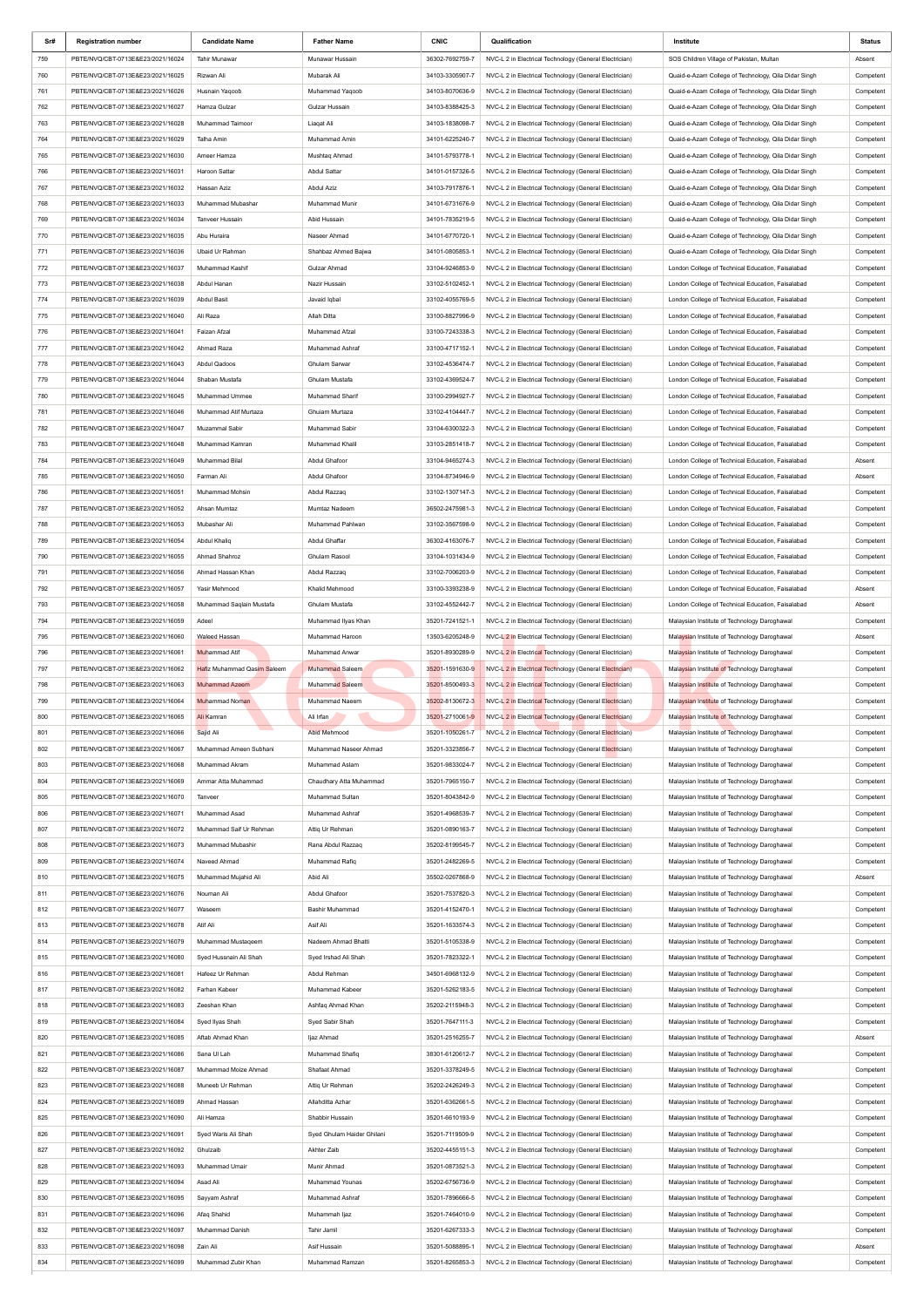| Sr# | <b>Registration number</b>        | <b>Candidate Name</b>       | <b>Father Name</b>         | <b>CNIC</b>     | Qualification                                          | Institute                                            | <b>Status</b> |
|-----|-----------------------------------|-----------------------------|----------------------------|-----------------|--------------------------------------------------------|------------------------------------------------------|---------------|
| 759 | PBTE/NVQ/CBT-0713E&E23/2021/16024 | <b>Tahir Munawar</b>        | Munawar Hussain            | 36302-7692759-7 | NVC-L 2 in Electrical Technology (General Electrician) | SOS Children Village of Pakistan, Multan             | Absent        |
| 760 | PBTE/NVQ/CBT-0713E&E23/2021/16025 | Rizwan Ali                  | Mubarak Ali                | 34103-3305907-7 | NVC-L 2 in Electrical Technology (General Electrician) | Quaid-e-Azam College of Technology, Qila Didar Singh | Competent     |
| 761 | PBTE/NVQ/CBT-0713E&E23/2021/16026 | Husnain Yaqoob              | Muhammad Yaqoob            | 34103-8070636-9 | NVC-L 2 in Electrical Technology (General Electrician) | Quaid-e-Azam College of Technology, Qila Didar Singh | Competent     |
| 762 | PBTE/NVQ/CBT-0713E&E23/2021/16027 | Hamza Gulzar                | Gulzar Hussain             | 34103-8388425-3 | NVC-L 2 in Electrical Technology (General Electrician) | Quaid-e-Azam College of Technology, Qila Didar Singh | Competent     |
| 763 | PBTE/NVQ/CBT-0713E&E23/2021/16028 | Muhammad Taimoor            | Liagat Ali                 | 34103-1838098-7 | NVC-L 2 in Electrical Technology (General Electrician) | Quaid-e-Azam College of Technology, Qila Didar Singh | Competent     |
| 764 | PBTE/NVQ/CBT-0713E&E23/2021/16029 | Talha Amin                  | Muhammad Amin              | 34101-6225240-7 | NVC-L 2 in Electrical Technology (General Electrician) | Quaid-e-Azam College of Technology, Qila Didar Singh | Competent     |
|     |                                   |                             |                            |                 |                                                        |                                                      |               |
| 765 | PBTE/NVQ/CBT-0713E&E23/2021/16030 | Ameer Hamza                 | Mushtaq Ahmad              | 34101-5793778-1 | NVC-L 2 in Electrical Technology (General Electrician) | Quaid-e-Azam College of Technology, Qila Didar Singh | Competent     |
| 766 | PBTE/NVQ/CBT-0713E&E23/2021/16031 | Haroon Sattar               | Abdul Sattar               | 34101-0157326-5 | NVC-L 2 in Electrical Technology (General Electrician) | Quaid-e-Azam College of Technology, Qila Didar Singh | Competent     |
| 767 | PBTE/NVQ/CBT-0713E&E23/2021/16032 | Hassan Aziz                 | Abdul Aziz                 | 34103-7917876-1 | NVC-L 2 in Electrical Technology (General Electrician) | Quaid-e-Azam College of Technology, Qila Didar Singh | Competent     |
| 768 | PBTE/NVQ/CBT-0713E&E23/2021/16033 | Muhammad Mubashar           | Muhammad Munir             | 34101-6731676-9 | NVC-L 2 in Electrical Technology (General Electrician) | Quaid-e-Azam College of Technology, Qila Didar Singh | Competent     |
| 769 | PBTE/NVQ/CBT-0713E&E23/2021/16034 | <b>Tanveer Hussain</b>      | Abid Hussain               | 34101-7835219-5 | NVC-L 2 in Electrical Technology (General Electrician) | Quaid-e-Azam College of Technology, Qila Didar Singh | Competent     |
| 770 | PBTE/NVQ/CBT-0713E&E23/2021/16035 | Abu Huraira                 | Naseer Ahmad               | 34101-6770720-1 | NVC-L 2 in Electrical Technology (General Electrician) | Quaid-e-Azam College of Technology, Qila Didar Singh | Competent     |
| 771 | PBTE/NVQ/CBT-0713E&E23/2021/16036 | Ubaid Ur Rahman             | Shahbaz Ahmed Bajwa        | 34101-0805853-1 | NVC-L 2 in Electrical Technology (General Electrician) | Quaid-e-Azam College of Technology, Qila Didar Singh | Competent     |
| 772 | PBTE/NVQ/CBT-0713E&E23/2021/16037 | Muhammad Kashif             | Gulzar Ahmad               | 33104-9246853-9 | NVC-L 2 in Electrical Technology (General Electrician) | London College of Technical Education, Faisalabad    | Competent     |
| 773 | PBTE/NVQ/CBT-0713E&E23/2021/16038 | Abdul Hanan                 | Nazir Hussain              | 33102-5102452-1 | NVC-L 2 in Electrical Technology (General Electrician) | London College of Technical Education, Faisalabad    | Competent     |
| 774 | PBTE/NVQ/CBT-0713E&E23/2021/16039 | Abdul Basit                 | Javaid Iqbal               | 33102-4055769-5 | NVC-L 2 in Electrical Technology (General Electrician) | London College of Technical Education, Faisalabad    | Competent     |
| 775 | PBTE/NVQ/CBT-0713E&E23/2021/16040 | Ali Raza                    | Allah Ditta                | 33100-8827996-9 | NVC-L 2 in Electrical Technology (General Electrician) | London College of Technical Education, Faisalabad    | Competent     |
|     |                                   |                             | Muhammad Afzal             |                 |                                                        |                                                      |               |
| 776 | PBTE/NVQ/CBT-0713E&E23/2021/16041 | Faizan Afzal                |                            | 33100-7243338-3 | NVC-L 2 in Electrical Technology (General Electrician) | London College of Technical Education, Faisalabad    | Competent     |
| 777 | PBTE/NVQ/CBT-0713E&E23/2021/16042 | Ahmad Raza                  | Muhammad Ashraf            | 33100-4717152-1 | NVC-L 2 in Electrical Technology (General Electrician) | London College of Technical Education, Faisalabad    | Competent     |
| 778 | PBTE/NVQ/CBT-0713E&E23/2021/16043 | Abdul Qadoos                | Ghulam Sarwar              | 33102-4536474-7 | NVC-L 2 in Electrical Technology (General Electrician) | London College of Technical Education, Faisalabad    | Competent     |
| 779 | PBTE/NVQ/CBT-0713E&E23/2021/16044 | Shaban Mustafa              | Ghulam Mustafa             | 33102-4369524-7 | NVC-L 2 in Electrical Technology (General Electrician) | London College of Technical Education, Faisalabad    | Competent     |
| 780 | PBTE/NVQ/CBT-0713E&E23/2021/16045 | Muhammad Ummee              | Muhammad Sharif            | 33100-2994927-7 | NVC-L 2 in Electrical Technology (General Electrician) | London College of Technical Education, Faisalabad    | Competent     |
| 781 | PBTE/NVQ/CBT-0713E&E23/2021/16046 | Muhammad Atif Murtaza       | Ghuiam Murtaza             | 33102-4104447-7 | NVC-L 2 in Electrical Technology (General Electrician) | London College of Technical Education, Faisalabad    | Competent     |
| 782 | PBTE/NVQ/CBT-0713E&E23/2021/16047 | Muzammal Sabir              | Muhammad Sabir             | 33104-6300322-3 | NVC-L 2 in Electrical Technology (General Electrician) | London College of Technical Education, Faisalabad    | Competent     |
| 783 | PBTE/NVQ/CBT-0713E&E23/2021/16048 | Muhammad Kamran             | Muhammad Khalil            | 33103-2851418-7 | NVC-L 2 in Electrical Technology (General Electrician) | London College of Technical Education, Faisalabad    | Competent     |
| 784 | PBTE/NVQ/CBT-0713E&E23/2021/16049 | <b>Muhammad Bilal</b>       | Abdul Ghafoor              | 33104-9465274-3 | NVC-L 2 in Electrical Technology (General Electrician) | London College of Technical Education, Faisalabad    | Absent        |
| 785 | PBTE/NVQ/CBT-0713E&E23/2021/16050 | Farman Ali                  | Abdul Ghafoor              | 33104-8734946-9 | NVC-L 2 in Electrical Technology (General Electrician) | London College of Technical Education, Faisalabad    | Absent        |
| 786 | PBTE/NVQ/CBT-0713E&E23/2021/16051 | Muhammad Mohsin             |                            | 33102-1307147-3 |                                                        |                                                      |               |
|     |                                   |                             | Abdul Razzaq               |                 | NVC-L 2 in Electrical Technology (General Electrician) | London College of Technical Education, Faisalabad    | Competent     |
| 787 | PBTE/NVQ/CBT-0713E&E23/2021/16052 | Ahsan Mumtaz                | Mumtaz Nadeem              | 36502-2475981-3 | NVC-L 2 in Electrical Technology (General Electrician) | London College of Technical Education, Faisalabad    | Competent     |
| 788 | PBTE/NVQ/CBT-0713E&E23/2021/16053 | Mubashar Ali                | Muhammad Pahlwan           | 33102-3567598-9 | NVC-L 2 in Electrical Technology (General Electrician) | London College of Technical Education, Faisalabad    | Competent     |
| 789 | PBTE/NVQ/CBT-0713E&E23/2021/16054 | Abdul Khalig                | Abdul Ghaffar              | 36302-4163076-7 | NVC-L 2 in Electrical Technology (General Electrician) | London College of Technical Education, Faisalabad    | Competent     |
| 790 | PBTE/NVQ/CBT-0713E&E23/2021/16055 | Ahmad Shahroz               | Ghulam Rasool              | 33104-1031434-9 | NVC-L 2 in Electrical Technology (General Electrician) | London College of Technical Education, Faisalabad    | Competent     |
| 791 | PBTE/NVQ/CBT-0713E&E23/2021/16056 | Ahmad Hassan Khan           | Abdul Razzaq               | 33102-7006203-9 | NVC-L 2 in Electrical Technology (General Electrician) | London College of Technical Education, Faisalabad    | Competent     |
| 792 | PBTE/NVQ/CBT-0713E&E23/2021/16057 | Yasir Mehmood               | Khalid Mehmood             | 33100-3393238-9 | NVC-L 2 in Electrical Technology (General Electrician) | London College of Technical Education, Faisalabad    | Absent        |
| 793 | PBTE/NVQ/CBT-0713E&E23/2021/16058 | Muhammad Saqlain Mustafa    | Ghulam Mustafa             | 33102-4552442-7 | NVC-L 2 in Electrical Technology (General Electrician) | London College of Technical Education, Faisalabad    | Absent        |
| 794 | PBTE/NVQ/CBT-0713E&E23/2021/16059 | Adeel                       | Muhammad Ilyas Khan        | 35201-7241521-1 | NVC-L 2 in Electrical Technology (General Electrician) | Malaysian Institute of Technology Daroghawal         | Competent     |
| 795 | PBTE/NVQ/CBT-0713E&E23/2021/16060 | <b>Waleed Hassan</b>        | Muhammad Haroon            | 13503-6205248-9 | NVC-L 2 in Electrical Technology (General Electrician) | Malaysian Institute of Technology Daroghawal         | Absent        |
| 796 | PBTE/NVQ/CBT-0713E&E23/2021/16061 | Muhammad Atif               | Muhammad Anwar             | 35201-8930289-9 | NVC-L 2 in Electrical Technology (General Electrician) | Malaysian Institute of Technology Daroghawal         | Competent     |
|     |                                   |                             |                            |                 |                                                        |                                                      |               |
| 797 |                                   |                             |                            |                 |                                                        |                                                      |               |
|     | PBTE/NVQ/CBT-0713E&E23/2021/16062 | Hafiz Muhammad Qasim Saleem | Muhammad Saleem            | 35201-1591630-9 | NVC-L 2 in Electrical Technology (General Electrician) | Malaysian Institute of Technology Daroghawal         | Competent     |
| 798 | PBTE/NVQ/CBT-0713E&E23/2021/16063 | <b>Muhammad Azeem</b>       | Muhammad Saleem            | 35201-8500493-3 | NVC-L 2 in Electrical Technology (General Electrician) | Malaysian Institute of Technology Daroghawal         | Competent     |
| 799 | PBTE/NVQ/CBT-0713E&E23/2021/16064 | Muhammad Noman              | Muhammad Naeem             | 35202-8130672-3 | NVC-L 2 in Electrical Technology (General Electrician) | Malaysian Institute of Technology Daroghawal         | Competent     |
| 800 | PBTE/NVQ/CBT-0713E&E23/2021/16065 | Ali Kamran                  | Ali Irfan                  | 35201-2710061-9 | NVC-L 2 in Electrical Technology (General Electrician) | Malaysian Institute of Technology Daroghawal         | Competent     |
| 801 | PBTE/NVQ/CBT-0713E&E23/2021/16066 | Sajid Ali                   | Abid Mehmood               | 35201-1050261-7 | NVC-L 2 in Electrical Technology (General Electrician) | Malaysian Institute of Technology Daroghawal         | Competent     |
| 802 | PBTE/NVQ/CBT-0713E&E23/2021/16067 | Muhammad Ameen Subhani      | Muhammad Naseer Ahmad      | 35201-3323856-7 | NVC-L 2 in Electrical Technology (General Electrician) | Malaysian Institute of Technology Daroghawal         | Competent     |
| 803 | PBTE/NVQ/CBT-0713E&E23/2021/16068 | Muhammad Akram              | Muhammad Aslam             | 35201-9833024-7 | NVC-L 2 in Electrical Technology (General Electrician) | Malaysian Institute of Technology Daroghawal         | Competent     |
| 804 | PBTE/NVQ/CBT-0713E&E23/2021/16069 | Ammar Atta Muhammad         | Chaudhary Atta Muhammad    | 35201-7965150-7 | NVC-L 2 in Electrical Technology (General Electrician) | Malaysian Institute of Technology Daroghawal         | Competent     |
| 805 | PBTE/NVQ/CBT-0713E&E23/2021/16070 | Tanveer                     | Muhammad Sultan            | 35201-8043842-9 | NVC-L 2 in Electrical Technology (General Electrician) | Malaysian Institute of Technology Daroghawal         |               |
|     |                                   |                             |                            |                 |                                                        |                                                      | Competent     |
| 806 | PBTE/NVQ/CBT-0713E&E23/2021/16071 | Muhammad Asad               | Muhammad Ashraf            | 35201-4968539-7 | NVC-L 2 in Electrical Technology (General Electrician) | Malaysian Institute of Technology Daroghawal         | Competent     |
| 807 | PBTE/NVQ/CBT-0713E&E23/2021/16072 | Muhammad Saif Ur Rehman     | Attiq Ur Rehman            | 35201-0890163-7 | NVC-L 2 in Electrical Technology (General Electrician) | Malaysian Institute of Technology Daroghawal         | Competent     |
| 808 | PBTE/NVQ/CBT-0713E&E23/2021/16073 | Muhammad Mubashir           | Rana Abdul Razzaq          | 35202-8199545-7 | NVC-L 2 in Electrical Technology (General Electrician) | Malaysian Institute of Technology Daroghawal         | Competent     |
| 809 | PBTE/NVQ/CBT-0713E&E23/2021/16074 | Naveed Ahmad                | Muhammad Rafiq             | 35201-2482269-5 | NVC-L 2 in Electrical Technology (General Electrician) | Malaysian Institute of Technology Daroghawal         | Competent     |
| 810 | PBTE/NVQ/CBT-0713E&E23/2021/16075 | Muhammad Mujahid Ali        | Abid Ali                   | 35502-0267868-9 | NVC-L 2 in Electrical Technology (General Electrician) | Malaysian Institute of Technology Daroghawal         | Absent        |
| 811 | PBTE/NVQ/CBT-0713E&E23/2021/16076 | Nouman Ali                  | Abdul Ghafoor              | 35201-7537820-3 | NVC-L 2 in Electrical Technology (General Electrician) | Malaysian Institute of Technology Daroghawal         | Competent     |
| 812 | PBTE/NVQ/CBT-0713E&E23/2021/16077 | Waseem                      | Bashir Muhammad            | 35201-4152470-1 | NVC-L 2 in Electrical Technology (General Electrician) | Malaysian Institute of Technology Daroghawal         | Competent     |
| 813 | PBTE/NVQ/CBT-0713E&E23/2021/16078 | Atif Ali                    | Asif Ali                   | 35201-1633574-3 | NVC-L 2 in Electrical Technology (General Electrician) | Malaysian Institute of Technology Daroghawal         | Competent     |
| 814 | PBTE/NVQ/CBT-0713E&E23/2021/16079 | Muhammad Mustageem          | Nadeem Ahmad Bhatti        | 35201-5105338-9 | NVC-L 2 in Electrical Technology (General Electrician) | Malaysian Institute of Technology Daroghawal         | Competent     |
| 815 | PBTE/NVQ/CBT-0713E&E23/2021/16080 | Syed Hussnain Ali Shah      | Syed Irshad Ali Shah       | 35201-7823322-1 | NVC-L 2 in Electrical Technology (General Electrician) | Malaysian Institute of Technology Daroghawal         | Competent     |
| 816 | PBTE/NVQ/CBT-0713E&E23/2021/16081 | Hafeez Ur Rehman            | Abdul Rehman               | 34501-6968132-9 | NVC-L 2 in Electrical Technology (General Electrician) | Malaysian Institute of Technology Daroghawal         | Competent     |
| 817 | PBTE/NVQ/CBT-0713E&E23/2021/16082 | Farhan Kabeer               | Muhammad Kabeer            | 35201-5262183-5 | NVC-L 2 in Electrical Technology (General Electrician) | Malaysian Institute of Technology Daroghawal         | Competent     |
|     |                                   |                             |                            |                 |                                                        |                                                      |               |
| 818 | PBTE/NVQ/CBT-0713E&E23/2021/16083 | Zeeshan Khan                | Ashfaq Ahmad Khan          | 35202-2115948-3 | NVC-L 2 in Electrical Technology (General Electrician) | Malaysian Institute of Technology Daroghawal         | Competent     |
| 819 | PBTE/NVQ/CBT-0713E&E23/2021/16084 | Syed Ilyas Shah             | Syed Sabir Shah            | 35201-7647111-3 | NVC-L 2 in Electrical Technology (General Electrician) | Malaysian Institute of Technology Daroghawal         | Competent     |
| 820 | PBTE/NVQ/CBT-0713E&E23/2021/16085 | Aftab Ahmad Khan            | ljaz Ahmad                 | 35201-2516255-7 | NVC-L 2 in Electrical Technology (General Electrician) | Malaysian Institute of Technology Daroghawal         | Absent        |
| 821 | PBTE/NVQ/CBT-0713E&E23/2021/16086 | Sana UI Lah                 | Muhammad Shafig            | 38301-6120612-7 | NVC-L 2 in Electrical Technology (General Electrician) | Malaysian Institute of Technology Daroghawal         | Competent     |
| 822 | PBTE/NVQ/CBT-0713E&E23/2021/16087 | Muhammad Moize Ahmad        | Shafaat Ahmad              | 35201-3378249-5 | NVC-L 2 in Electrical Technology (General Electrician) | Malaysian Institute of Technology Daroghawal         | Competent     |
| 823 | PBTE/NVQ/CBT-0713E&E23/2021/16088 | Muneeb Ur Rehman            | Attiq Ur Rehman            | 35202-2426249-3 | NVC-L 2 in Electrical Technology (General Electrician) | Malaysian Institute of Technology Daroghawal         | Competent     |
| 824 | PBTE/NVQ/CBT-0713E&E23/2021/16089 | Ahmad Hassan                | Allahditta Azhar           | 35201-6362661-5 | NVC-L 2 in Electrical Technology (General Electrician) | Malaysian Institute of Technology Daroghawal         | Competent     |
| 825 | PBTE/NVQ/CBT-0713E&E23/2021/16090 | Ali Hamza                   | Shabbir Hussain            | 35201-6610193-9 | NVC-L 2 in Electrical Technology (General Electrician) | Malaysian Institute of Technology Daroghawal         | Competent     |
| 826 | PBTE/NVQ/CBT-0713E&E23/2021/16091 | Syed Waris Ali Shah         | Syed Ghulam Haider Ghilani | 35201-7119509-9 | NVC-L 2 in Electrical Technology (General Electrician) | Malaysian Institute of Technology Daroghawal         | Competent     |
|     |                                   |                             |                            |                 |                                                        |                                                      |               |
| 827 | PBTE/NVQ/CBT-0713E&E23/2021/16092 | Ghulzaib                    | Akhter Zaib                | 35202-4455151-3 | NVC-L 2 in Electrical Technology (General Electrician) | Malaysian Institute of Technology Daroghawal         | Competent     |
| 828 | PBTE/NVQ/CBT-0713E&E23/2021/16093 | Muhammad Umair              | Munir Ahmad                | 35201-0873521-3 | NVC-L 2 in Electrical Technology (General Electrician) | Malaysian Institute of Technology Daroghawal         | Competent     |
| 829 | PBTE/NVQ/CBT-0713E&E23/2021/16094 | Asad Ali                    | Muhammad Younas            | 35202-6756736-9 | NVC-L 2 in Electrical Technology (General Electrician) | Malaysian Institute of Technology Daroghawal         | Competent     |
| 830 | PBTE/NVQ/CBT-0713E&E23/2021/16095 | Sayyam Ashraf               | Muhammad Ashraf            | 35201-7896666-5 | NVC-L 2 in Electrical Technology (General Electrician) | Malaysian Institute of Technology Daroghawal         | Competent     |
| 831 | PBTE/NVQ/CBT-0713E&E23/2021/16096 | Afaq Shahid                 | Muhammah Ijaz              | 35201-7464010-9 | NVC-L 2 in Electrical Technology (General Electrician) | Malaysian Institute of Technology Daroghawal         | Competent     |
| 832 | PBTE/NVQ/CBT-0713E&E23/2021/16097 | Muhammad Danish             | Tahir Jamil                | 35201-6267333-3 | NVC-L 2 in Electrical Technology (General Electrician) | Malaysian Institute of Technology Daroghawal         | Competent     |
| 833 | PBTE/NVQ/CBT-0713E&E23/2021/16098 | Zain Ali                    | Asif Hussain               | 35201-5088895-1 | NVC-L 2 in Electrical Technology (General Electrician) | Malaysian Institute of Technology Daroghawal         | Absent        |
| 834 | PBTE/NVQ/CBT-0713E&E23/2021/16099 | Muhammad Zubir Khan         | Muhammad Ramzan            | 35201-8265853-3 | NVC-L 2 in Electrical Technology (General Electrician) | Malaysian Institute of Technology Daroghawal         | Competent     |